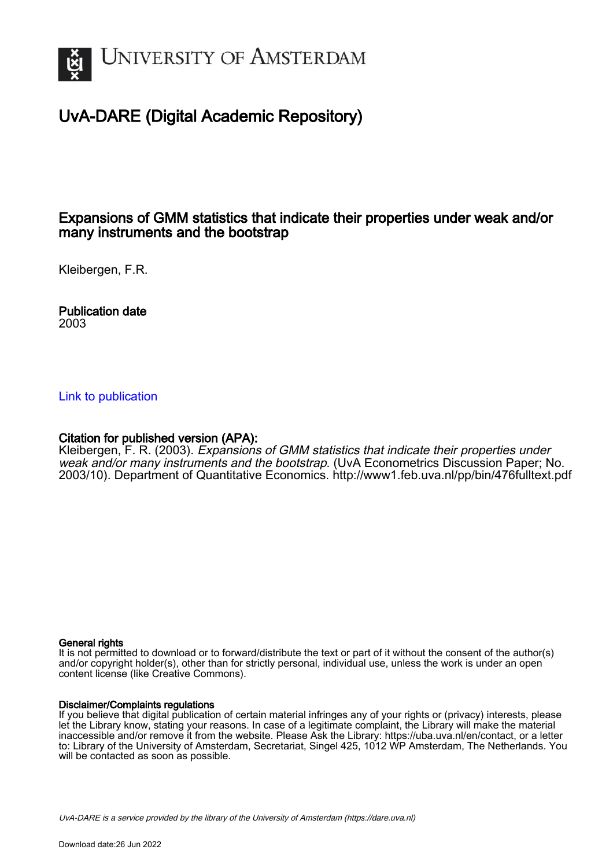

# UvA-DARE (Digital Academic Repository)

### Expansions of GMM statistics that indicate their properties under weak and/or many instruments and the bootstrap

Kleibergen, F.R.

Publication date 2003

#### [Link to publication](https://dare.uva.nl/personal/pure/en/publications/expansions-of-gmm-statistics-that-indicate-their-properties-under-weak-andor-many-instruments-and-the-bootstrap(d776a699-3852-4a58-9fd9-978bb7a36c07).html)

#### Citation for published version (APA):

Kleibergen, F. R. (2003). Expansions of GMM statistics that indicate their properties under weak and/or many instruments and the bootstrap. (UvA Econometrics Discussion Paper; No. 2003/10). Department of Quantitative Economics. <http://www1.feb.uva.nl/pp/bin/476fulltext.pdf>

#### General rights

It is not permitted to download or to forward/distribute the text or part of it without the consent of the author(s) and/or copyright holder(s), other than for strictly personal, individual use, unless the work is under an open content license (like Creative Commons).

#### Disclaimer/Complaints regulations

If you believe that digital publication of certain material infringes any of your rights or (privacy) interests, please let the Library know, stating your reasons. In case of a legitimate complaint, the Library will make the material inaccessible and/or remove it from the website. Please Ask the Library: https://uba.uva.nl/en/contact, or a letter to: Library of the University of Amsterdam, Secretariat, Singel 425, 1012 WP Amsterdam, The Netherlands. You will be contacted as soon as possible.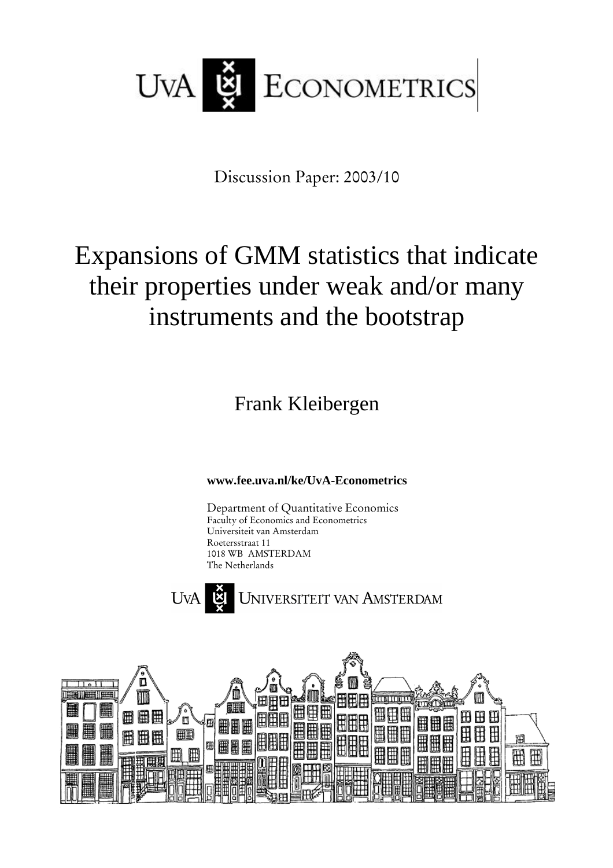

Discussion Paper: 2003/10

# Expansions of GMM statistics that indicate their properties under weak and/or many instruments and the bootstrap

Frank Kleibergen

**www.fee.uva.nl/ke/UvA-Econometrics**

Department of Quantitative Economics Faculty of Economics and Econometrics Universiteit van Amsterdam Roetersstraat 11 1018 WB AMSTERDAM The Netherlands



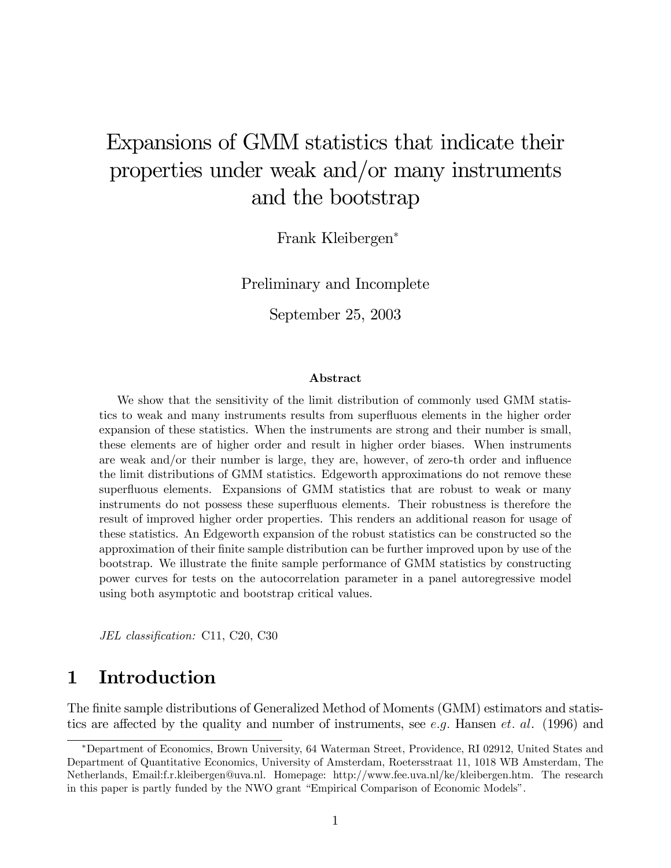# Expansions of GMM statistics that indicate their properties under weak and/or many instruments and the bootstrap

Frank Kleibergen<sup>∗</sup>

Preliminary and Incomplete

September 25, 2003

#### Abstract

We show that the sensitivity of the limit distribution of commonly used GMM statistics to weak and many instruments results from superfluous elements in the higher order expansion of these statistics. When the instruments are strong and their number is small, these elements are of higher order and result in higher order biases. When instruments are weak and/or their number is large, they are, however, of zero-th order and influence the limit distributions of GMM statistics. Edgeworth approximations do not remove these superfluous elements. Expansions of GMM statistics that are robust to weak or many instruments do not possess these superfluous elements. Their robustness is therefore the result of improved higher order properties. This renders an additional reason for usage of these statistics. An Edgeworth expansion of the robust statistics can be constructed so the approximation of their finite sample distribution can be further improved upon by use of the bootstrap. We illustrate the finite sample performance of GMM statistics by constructing power curves for tests on the autocorrelation parameter in a panel autoregressive model using both asymptotic and bootstrap critical values.

JEL classification: C11, C20, C30

# 1 Introduction

The finite sample distributions of Generalized Method of Moments (GMM) estimators and statistics are affected by the quality and number of instruments, see e.g. Hansen et. al. (1996) and

<sup>∗</sup>Department of Economics, Brown University, 64 Waterman Street, Providence, RI 02912, United States and Department of Quantitative Economics, University of Amsterdam, Roetersstraat 11, 1018 WB Amsterdam, The Netherlands, Email:f.r.kleibergen@uva.nl. Homepage: http://www.fee.uva.nl/ke/kleibergen.htm. The research in this paper is partly funded by the NWO grant "Empirical Comparison of Economic Models".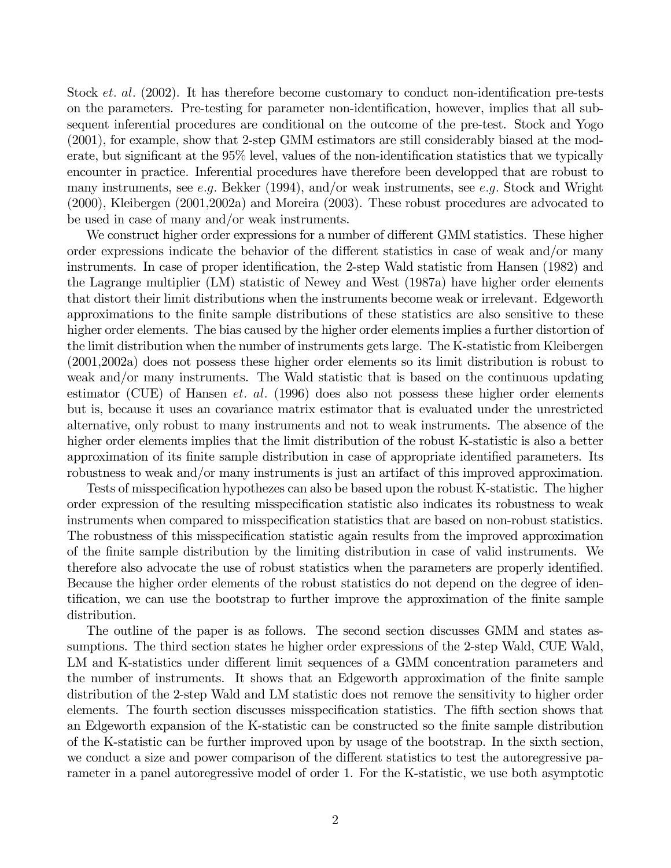Stock *et. al.* (2002). It has therefore become customary to conduct non-identification pre-tests on the parameters. Pre-testing for parameter non-identification, however, implies that all subsequent inferential procedures are conditional on the outcome of the pre-test. Stock and Yogo (2001), for example, show that 2-step GMM estimators are still considerably biased at the moderate, but significant at the 95% level, values of the non-identification statistics that we typically encounter in practice. Inferential procedures have therefore been developped that are robust to many instruments, see e.g. Bekker (1994), and/or weak instruments, see e.g. Stock and Wright (2000), Kleibergen (2001,2002a) and Moreira (2003). These robust procedures are advocated to be used in case of many and/or weak instruments.

We construct higher order expressions for a number of different GMM statistics. These higher order expressions indicate the behavior of the different statistics in case of weak and/or many instruments. In case of proper identification, the 2-step Wald statistic from Hansen (1982) and the Lagrange multiplier (LM) statistic of Newey and West (1987a) have higher order elements that distort their limit distributions when the instruments become weak or irrelevant. Edgeworth approximations to the finite sample distributions of these statistics are also sensitive to these higher order elements. The bias caused by the higher order elements implies a further distortion of the limit distribution when the number of instruments gets large. The K-statistic from Kleibergen (2001,2002a) does not possess these higher order elements so its limit distribution is robust to weak and/or many instruments. The Wald statistic that is based on the continuous updating estimator (CUE) of Hansen *et. al.* (1996) does also not possess these higher order elements but is, because it uses an covariance matrix estimator that is evaluated under the unrestricted alternative, only robust to many instruments and not to weak instruments. The absence of the higher order elements implies that the limit distribution of the robust K-statistic is also a better approximation of its finite sample distribution in case of appropriate identified parameters. Its robustness to weak and/or many instruments is just an artifact of this improved approximation.

Tests of misspecification hypothezes can also be based upon the robust K-statistic. The higher order expression of the resulting misspecification statistic also indicates its robustness to weak instruments when compared to misspecification statistics that are based on non-robust statistics. The robustness of this misspecification statistic again results from the improved approximation of the finite sample distribution by the limiting distribution in case of valid instruments. We therefore also advocate the use of robust statistics when the parameters are properly identified. Because the higher order elements of the robust statistics do not depend on the degree of identification, we can use the bootstrap to further improve the approximation of the finite sample distribution.

The outline of the paper is as follows. The second section discusses GMM and states assumptions. The third section states he higher order expressions of the 2-step Wald, CUE Wald, LM and K-statistics under different limit sequences of a GMM concentration parameters and the number of instruments. It shows that an Edgeworth approximation of the finite sample distribution of the 2-step Wald and LM statistic does not remove the sensitivity to higher order elements. The fourth section discusses misspecification statistics. The fifth section shows that an Edgeworth expansion of the K-statistic can be constructed so the finite sample distribution of the K-statistic can be further improved upon by usage of the bootstrap. In the sixth section, we conduct a size and power comparison of the different statistics to test the autoregressive parameter in a panel autoregressive model of order 1. For the K-statistic, we use both asymptotic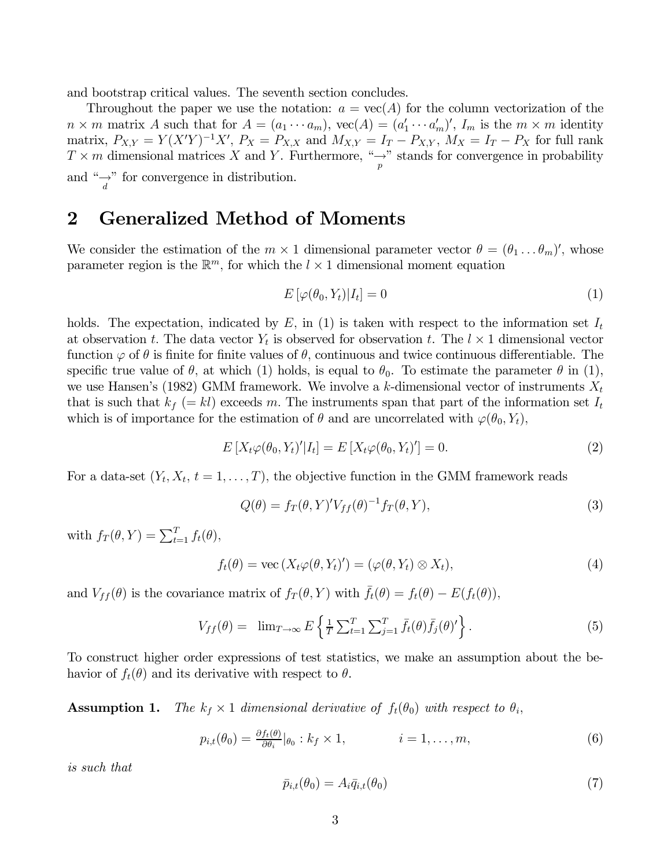and bootstrap critical values. The seventh section concludes.

Throughout the paper we use the notation:  $a = \text{vec}(A)$  for the column vectorization of the  $n \times m$  matrix A such that for  $A = (a_1 \cdots a_m)$ ,  $\text{vec}(A) = (a'_1 \cdots a'_m)'$ ,  $I_m$  is the  $m \times m$  identity matrix,  $P_{X,Y} = Y(X'Y)^{-1}X'$ ,  $P_X = P_{X,X}$  and  $M_{X,Y} = I_T - P_{X,Y}$ ,  $M_X = I_T - P_X$  for full rank  $T \times m$  dimensional matrices X and Y. Furthermore,  $\frac{n}{p}$  stands for convergence in probability and " $\rightarrow$ " for convergence in distribution.

## 2 Generalized Method of Moments

We consider the estimation of the  $m \times 1$  dimensional parameter vector  $\theta = (\theta_1 \dots \theta_m)'$ , whose parameter region is the  $\mathbb{R}^m$ , for which the  $l \times 1$  dimensional moment equation

$$
E\left[\varphi(\theta_0, Y_t)|I_t\right] = 0\tag{1}
$$

holds. The expectation, indicated by  $E$ , in (1) is taken with respect to the information set  $I_t$ at observation t. The data vector  $Y_t$  is observed for observation t. The  $l \times 1$  dimensional vector function  $\varphi$  of  $\theta$  is finite for finite values of  $\theta$ , continuous and twice continuous differentiable. The specific true value of  $\theta$ , at which (1) holds, is equal to  $\theta_0$ . To estimate the parameter  $\theta$  in (1), we use Hansen's (1982) GMM framework. We involve a k-dimensional vector of instruments  $X_t$ that is such that  $k_f (= kl)$  exceeds m. The instruments span that part of the information set  $I_t$ which is of importance for the estimation of  $\theta$  and are uncorrelated with  $\varphi(\theta_0, Y_t)$ ,

$$
E\left[X_t\varphi(\theta_0, Y_t)'|I_t\right] = E\left[X_t\varphi(\theta_0, Y_t)'\right] = 0.
$$
\n(2)

For a data-set  $(Y_t, X_t, t = 1, \ldots, T)$ , the objective function in the GMM framework reads

$$
Q(\theta) = f_T(\theta, Y)' V_{ff}(\theta)^{-1} f_T(\theta, Y), \qquad (3)
$$

with  $f_T(\theta, Y) = \sum_{t=1}^T f_t(\theta),$ 

$$
f_t(\theta) = \text{vec}(X_t \varphi(\theta, Y_t)') = (\varphi(\theta, Y_t) \otimes X_t), \tag{4}
$$

and  $V_{ff}(\theta)$  is the covariance matrix of  $f_T(\theta, Y)$  with  $\bar{f}_t(\theta) = f_t(\theta) - E(f_t(\theta)),$ 

$$
V_{ff}(\theta) = \lim_{T \to \infty} E \left\{ \frac{1}{T} \sum_{t=1}^{T} \sum_{j=1}^{T} \bar{f}_t(\theta) \bar{f}_j(\theta)^{\prime} \right\}.
$$
 (5)

To construct higher order expressions of test statistics, we make an assumption about the behavior of  $f_t(\theta)$  and its derivative with respect to  $\theta$ .

**Assumption 1.** The  $k_f \times 1$  dimensional derivative of  $f_t(\theta_0)$  with respect to  $\theta_i$ ,

$$
p_{i,t}(\theta_0) = \frac{\partial f_t(\theta)}{\partial \theta_i}|_{\theta_0} : k_f \times 1, \qquad i = 1, \dots, m,
$$
\n(6)

is such that

$$
\bar{p}_{i,t}(\theta_0) = A_i \bar{q}_{i,t}(\theta_0) \tag{7}
$$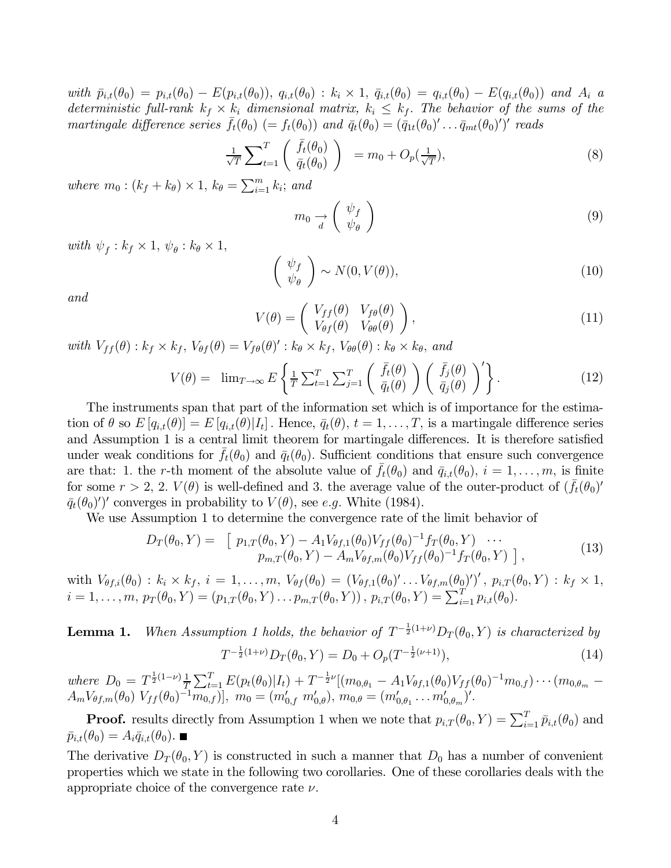with  $\bar{p}_{i,t}(\theta_0) = p_{i,t}(\theta_0) - E(p_{i,t}(\theta_0)), q_{i,t}(\theta_0) : k_i \times 1, \bar{q}_{i,t}(\theta_0) = q_{i,t}(\theta_0) - E(q_{i,t}(\theta_0))$  and  $A_i$  a deterministic full-rank  $k_f \times k_i$  dimensional matrix,  $k_i \leq k_f$ . The behavior of the sums of the martingale difference series  $\bar{f}_t(\theta_0)$  (=  $f_t(\theta_0)$ ) and  $\bar{q}_t(\theta_0) = (\bar{q}_{1t}(\theta_0)' \dots \bar{q}_{mt}(\theta_0)')'$  reads

$$
\frac{1}{\sqrt{T}} \sum_{t=1}^{T} \left( \overline{f}_t(\theta_0) \atop \overline{q}_t(\theta_0) \right) = m_0 + O_p(\frac{1}{\sqrt{T}}), \tag{8}
$$

where  $m_0$  :  $(k_f + k_\theta) \times 1$ ,  $k_\theta = \sum_{i=1}^m k_i$ ; and

$$
m_0 \underset{d}{\rightarrow} \left(\begin{array}{c} \psi_f \\ \psi_\theta \end{array}\right) \tag{9}
$$

with  $\psi_f : k_f \times 1, \psi_\theta : k_\theta \times 1,$ 

$$
\begin{pmatrix} \psi_f \\ \psi_\theta \end{pmatrix} \sim N(0, V(\theta)), \tag{10}
$$

and

$$
V(\theta) = \begin{pmatrix} V_{ff}(\theta) & V_{f\theta}(\theta) \\ V_{\theta f}(\theta) & V_{\theta \theta}(\theta) \end{pmatrix},
$$
\n(11)

with  $V_{ff}(\theta)$ :  $k_f \times k_f$ ,  $V_{\theta f}(\theta) = V_{f\theta}(\theta)'$ :  $k_{\theta} \times k_f$ ,  $V_{\theta\theta}(\theta)$ :  $k_{\theta} \times k_{\theta}$ , and

$$
V(\theta) = \lim_{T \to \infty} E\left\{\frac{1}{T} \sum_{t=1}^{T} \sum_{j=1}^{T} \left( \frac{\bar{f}_t(\theta)}{\bar{q}_t(\theta)} \right) \left( \frac{\bar{f}_j(\theta)}{\bar{q}_j(\theta)} \right)' \right\}.
$$
 (12)

The instruments span that part of the information set which is of importance for the estimation of  $\theta$  so  $E[q_{i,t}(\theta)]=E[q_{i,t}(\theta)|I_t]$ . Hence,  $\bar{q}_t(\theta), t=1,\ldots,T$ , is a martingale difference series and Assumption 1 is a central limit theorem for martingale differences. It is therefore satisfied under weak conditions for  $f_t(\theta_0)$  and  $\bar{q}_t(\theta_0)$ . Sufficient conditions that ensure such convergence are that: 1. the r-th moment of the absolute value of  $\bar{f}_t(\theta_0)$  and  $\bar{q}_{i,t}(\theta_0)$ ,  $i = 1, \ldots, m$ , is finite for some  $r > 2$ , 2.  $V(\theta)$  is well-defined and 3. the average value of the outer-product of  $(f_t(\theta_0))$  $\bar{q}_t(\theta_0)$ '' converges in probability to  $V(\theta)$ , see e.g. White (1984).

We use Assumption 1 to determine the convergence rate of the limit behavior of

$$
D_T(\theta_0, Y) = \begin{bmatrix} p_{1,T}(\theta_0, Y) - A_1 V_{\theta f,1}(\theta_0) V_{ff}(\theta_0)^{-1} f_T(\theta_0, Y) & \cdots \\ p_{m,T}(\theta_0, Y) - A_m V_{\theta f,m}(\theta_0) V_{ff}(\theta_0)^{-1} f_T(\theta_0, Y) \end{bmatrix},
$$
\n(13)

with  $V_{\theta f,i}(\theta_0) : k_i \times k_f, i = 1,\ldots,m, V_{\theta f}(\theta_0) = (V_{\theta f,1}(\theta_0)' \ldots V_{\theta f,m}(\theta_0)')'$ ,  $p_{i,T}(\theta_0,Y) : k_f \times 1$ ,  $i = 1, \ldots, m, p_T(\theta_0, Y) = (p_{1,T}(\theta_0, Y) \ldots p_{m,T}(\theta_0, Y))$ ,  $p_{i,T}(\theta_0, Y) = \sum_{i=1}^{T} p_{i,t}(\theta_0)$ .

**Lemma 1.** When Assumption 1 holds, the behavior of  $T^{-\frac{1}{2}(1+\nu)}D_T(\theta_0, Y)$  is characterized by  $T^{-\frac{1}{2}(1+\nu)}D_T(\theta_0, Y) = D_0 + O_p(T^{-\frac{1}{2}(\nu+1)}),$  (14)

where  $D_0 = T^{\frac{1}{2}(1-\nu)} \frac{1}{T} \sum_{t=1}^T E(p_t(\theta_0)|I_t) + T^{-\frac{1}{2}\nu} [(m_{0,\theta_1} - A_1 V_{\theta f,1}(\theta_0) V_{ff}(\theta_0)^{-1} m_{0,f}) \cdots (m_{0,\theta_m} A_m V_{\theta f,m}(\theta_0) V_{ff}(\theta_0)^{-1} m_{0,f})]$ ,  $m_0 = (m'_{0,f} m'_{0,\theta})$ ,  $m_{0,\theta} = (m'_{0,\theta_1} \ldots m'_{0,\theta_m})'$ .

**Proof.** results directly from Assumption 1 when we note that  $p_{i,T}(\theta_0, Y) = \sum_{i=1}^T \bar{p}_{i,t}(\theta_0)$  and  $\bar{p}_{i,t}(\theta_0) = A_i \bar{q}_{i,t}(\theta_0)$ .

The derivative  $D_T(\theta_0, Y)$  is constructed in such a manner that  $D_0$  has a number of convenient properties which we state in the following two corollaries. One of these corollaries deals with the appropriate choice of the convergence rate  $\nu$ .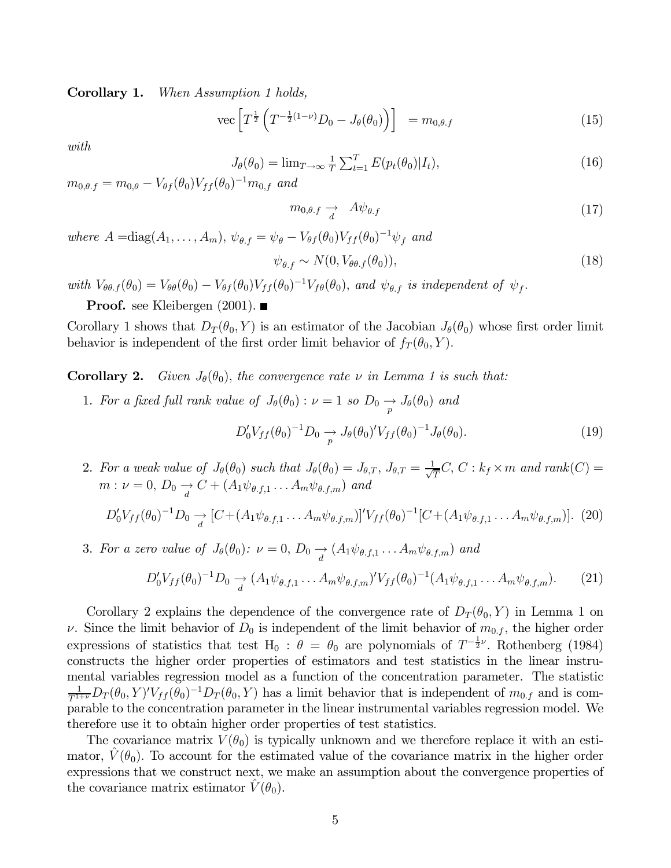Corollary 1. When Assumption 1 holds,

vec 
$$
\left[ T^{\frac{1}{2}} \left( T^{-\frac{1}{2}(1-\nu)} D_0 - J_\theta(\theta_0) \right) \right] = m_{0,\theta,f}
$$
 (15)

with

$$
J_{\theta}(\theta_0) = \lim_{T \to \infty} \frac{1}{T} \sum_{t=1}^{T} E(p_t(\theta_0)|I_t), \qquad (16)
$$

 $m_{0,\theta,f} = m_{0,\theta} - V_{\theta f}(\theta_0) V_{ff}(\theta_0)^{-1} m_{0,f}$  and

$$
m_{0,\theta,f} \to A\psi_{\theta,f} \tag{17}
$$

where  $A = \text{diag}(A_1,\ldots,A_m)$ ,  $\psi_{\theta,f} = \psi_{\theta} - V_{\theta f}(\theta_0)V_{ff}(\theta_0)^{-1}\psi_f$  and

$$
\psi_{\theta.f} \sim N(0, V_{\theta\theta.f}(\theta_0)),\tag{18}
$$

with  $V_{\theta\theta,f}(\theta_0) = V_{\theta\theta}(\theta_0) - V_{\theta f}(\theta_0)V_{ff}(\theta_0)^{-1}V_{f\theta}(\theta_0)$ , and  $\psi_{\theta,f}$  is independent of  $\psi_f$ .

**Proof.** see Kleibergen  $(2001)$ .

Corollary 1 shows that  $D_T(\theta_0, Y)$  is an estimator of the Jacobian  $J_\theta(\theta_0)$  whose first order limit behavior is independent of the first order limit behavior of  $f_T(\theta_0, Y)$ .

**Corollary 2.** Given  $J_{\theta}(\theta_0)$ , the convergence rate  $\nu$  in Lemma 1 is such that:

1. For a fixed full rank value of  $J_{\theta}(\theta_0): \nu = 1$  so  $D_0 \longrightarrow J_{\theta}(\theta_0)$  and

$$
D_0' V_{ff}(\theta_0)^{-1} D_0 \xrightarrow{p} J_{\theta}(\theta_0)' V_{ff}(\theta_0)^{-1} J_{\theta}(\theta_0).
$$
 (19)

2. For a weak value of  $J_{\theta}(\theta_0)$  such that  $J_{\theta}(\theta_0) = J_{\theta,T}$ ,  $J_{\theta,T} = \frac{1}{\sqrt{T}}C$ ,  $C: k_f \times m$  and  $rank(C) =$  $m: \nu = 0, D_0 \longrightarrow C + (A_1 \psi_{\theta, f,1} \dots A_m \psi_{\theta, f,m})$  and

$$
D_0'V_{ff}(\theta_0)^{-1}D_0 \to [C + (A_1\psi_{\theta,f,1} \dots A_m\psi_{\theta,f,m})]'V_{ff}(\theta_0)^{-1}[C + (A_1\psi_{\theta,f,1} \dots A_m\psi_{\theta,f,m})].
$$
 (20)

3. For a zero value of  $J_{\theta}(\theta_0): \nu = 0$ ,  $D_0 \longrightarrow (A_1 \psi_{\theta,f,1} \dots A_m \psi_{\theta,f,m})$  and

$$
D_0'V_{ff}(\theta_0)^{-1}D_0 \underset{d}{\rightarrow} (A_1\psi_{\theta,f,1} \dots A_m\psi_{\theta,f,m})'V_{ff}(\theta_0)^{-1}(A_1\psi_{\theta,f,1} \dots A_m\psi_{\theta,f,m}).
$$
 (21)

Corollary 2 explains the dependence of the convergence rate of  $D_T(\theta_0, Y)$  in Lemma 1 on v. Since the limit behavior of  $D_0$  is independent of the limit behavior of  $m_{0,f}$ , the higher order expressions of statistics that test H<sub>0</sub> :  $\theta = \theta_0$  are polynomials of  $T^{-\frac{1}{2}\nu}$ . Rothenberg (1984) constructs the higher order properties of estimators and test statistics in the linear instrumental variables regression model as a function of the concentration parameter. The statistic  $\frac{1}{T^{1+\nu}}D_T(\theta_0,Y)'V_{ff}(\theta_0)^{-1}D_T(\theta_0,Y)$  has a limit behavior that is independent of  $m_{0,f}$  and is comparable to the concentration parameter in the linear instrumental variables regression model. We therefore use it to obtain higher order properties of test statistics.

The covariance matrix  $V(\theta_0)$  is typically unknown and we therefore replace it with an estimator,  $V(\theta_0)$ . To account for the estimated value of the covariance matrix in the higher order expressions that we construct next, we make an assumption about the convergence properties of the covariance matrix estimator  $V(\theta_0)$ .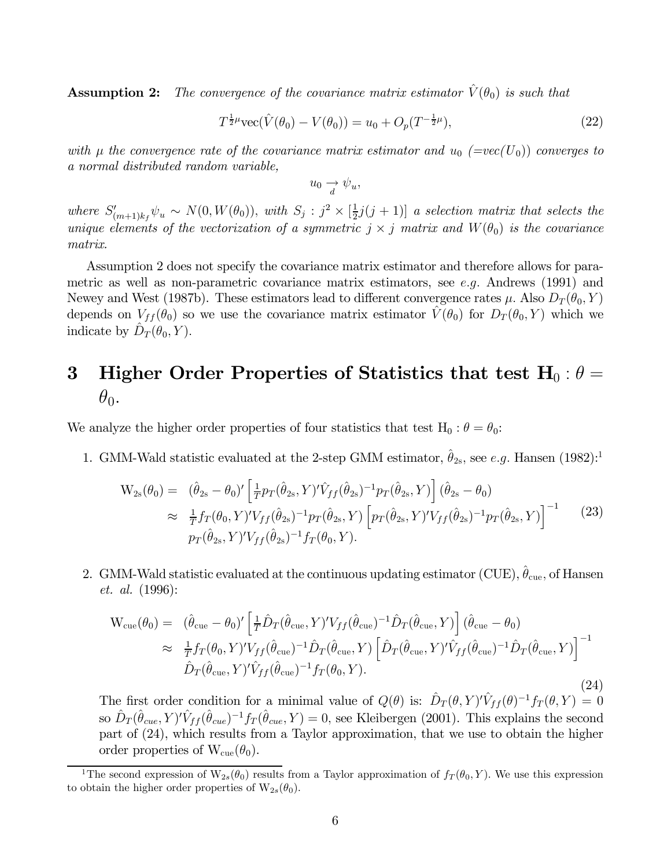**Assumption 2:** The convergence of the covariance matrix estimator  $\hat{V}(\theta_0)$  is such that

$$
T^{\frac{1}{2}\mu}\text{vec}(\hat{V}(\theta_0) - V(\theta_0)) = u_0 + O_p(T^{-\frac{1}{2}\mu}),\tag{22}
$$

with  $\mu$  the convergence rate of the covariance matrix estimator and  $u_0$  (=vec(U<sub>0</sub>)) converges to a normal distributed random variable,

$$
u_0 \xrightarrow[d]{} \psi_u,
$$

where  $S'_{(m+1)k_f}\psi_u \sim N(0, W(\theta_0))$ , with  $S_j : j^2 \times [\frac{1}{2}j(j+1)]$  a selection matrix that selects the unique elements of the vectorization of a symmetric  $j \times j$  matrix and  $W(\theta_0)$  is the covariance matrix.

Assumption 2 does not specify the covariance matrix estimator and therefore allows for parametric as well as non-parametric covariance matrix estimators, see e.g. Andrews (1991) and Newey and West (1987b). These estimators lead to different convergence rates  $\mu$ . Also  $D_T(\theta_0, Y)$ depends on  $V_{ff}(\theta_0)$  so we use the covariance matrix estimator  $\hat{V}(\theta_0)$  for  $D_T(\theta_0, Y)$  which we indicate by  $\overline{D}_T(\theta_0, Y)$ .

# 3 Higher Order Properties of Statistics that test  $H_0$ :  $\theta =$  $\theta_0$ .

We analyze the higher order properties of four statistics that test  $H_0$  :  $\theta = \theta_0$ :

1. GMM-Wald statistic evaluated at the 2-step GMM estimator,  $\hat{\theta}_{2s}$ , see e.g. Hansen (1982):<sup>1</sup>

$$
W_{2s}(\theta_0) = (\hat{\theta}_{2s} - \theta_0)' \left[ \frac{1}{T} p_T(\hat{\theta}_{2s}, Y)' \hat{V}_{ff}(\hat{\theta}_{2s})^{-1} p_T(\hat{\theta}_{2s}, Y) \right] (\hat{\theta}_{2s} - \theta_0)
$$
  
\n
$$
\approx \frac{1}{T} f_T(\theta_0, Y)' V_{ff}(\hat{\theta}_{2s})^{-1} p_T(\hat{\theta}_{2s}, Y) \left[ p_T(\hat{\theta}_{2s}, Y)' V_{ff}(\hat{\theta}_{2s})^{-1} p_T(\hat{\theta}_{2s}, Y) \right]^{-1}
$$
 (23)  
\n
$$
p_T(\hat{\theta}_{2s}, Y)' V_{ff}(\hat{\theta}_{2s})^{-1} f_T(\theta_0, Y).
$$

2. GMM-Wald statistic evaluated at the continuous updating estimator (CUE),  $\theta_{\rm cue}$ , of Hansen et. al. (1996):

$$
W_{\text{cue}}(\theta_0) = (\hat{\theta}_{\text{cue}} - \theta_0)' \left[ \frac{1}{T} \hat{D}_T (\hat{\theta}_{\text{cue}}, Y)' V_{ff} (\hat{\theta}_{\text{cue}})^{-1} \hat{D}_T (\hat{\theta}_{\text{cue}}, Y) \right] (\hat{\theta}_{\text{cue}} - \theta_0)
$$
  
\n
$$
\approx \frac{1}{T} f_T (\theta_0, Y)' V_{ff} (\hat{\theta}_{\text{cue}})^{-1} \hat{D}_T (\hat{\theta}_{\text{cue}}, Y) \left[ \hat{D}_T (\hat{\theta}_{\text{cue}}, Y)' \hat{V}_{ff} (\hat{\theta}_{\text{cue}})^{-1} \hat{D}_T (\hat{\theta}_{\text{cue}}, Y) \right]^{-1}
$$
  
\n
$$
\hat{D}_T (\hat{\theta}_{\text{cue}}, Y)' \hat{V}_{ff} (\hat{\theta}_{\text{cue}})^{-1} f_T (\theta_0, Y).
$$
\n(24)

The first order condition for a minimal value of  $Q(\theta)$  is:  $\hat{D}_T(\theta, Y)' \hat{V}_{ff}(\theta)^{-1} f_T(\theta, Y) = 0$ so  $\hat{D}_T(\hat{\theta}_{cue}, Y)' \hat{V}_{ff}(\hat{\theta}_{cue})^{-1} f_T(\hat{\theta}_{cue}, Y) = 0$ , see Kleibergen (2001). This explains the second part of (24), which results from a Taylor approximation, that we use to obtain the higher order properties of  $W_{\text{cue}}(\theta_0)$ .

<sup>&</sup>lt;sup>1</sup>The second expression of  $W_{2s}(\theta_0)$  results from a Taylor approximation of  $f_T(\theta_0, Y)$ . We use this expression to obtain the higher order properties of  $W_{2s}(\theta_0)$ .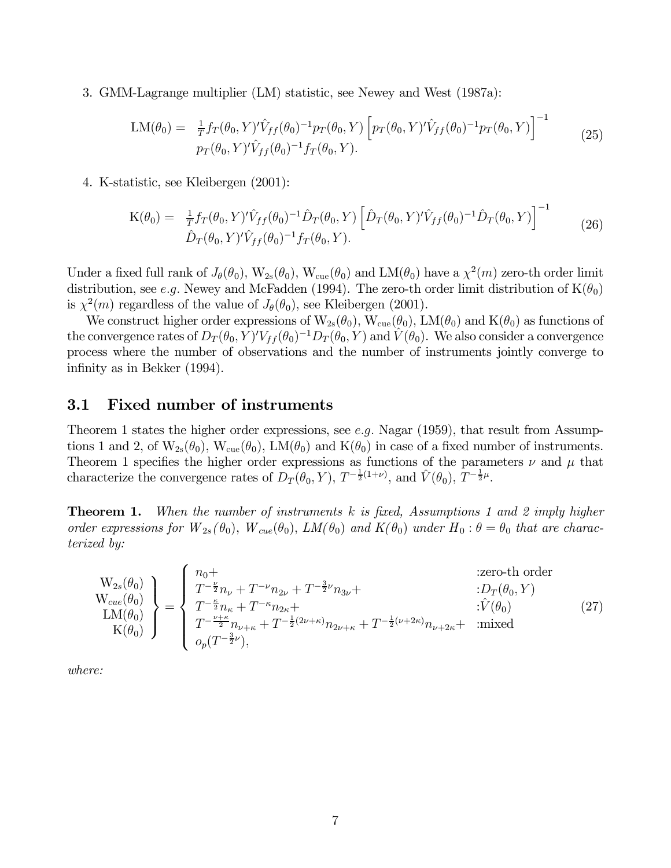3. GMM-Lagrange multiplier (LM) statistic, see Newey and West (1987a):

$$
\text{LM}(\theta_0) = \frac{1}{T} f_T(\theta_0, Y)' \hat{V}_{ff}(\theta_0)^{-1} p_T(\theta_0, Y) \left[ p_T(\theta_0, Y)' \hat{V}_{ff}(\theta_0)^{-1} p_T(\theta_0, Y) \right]^{-1} \tag{25}
$$
\n
$$
p_T(\theta_0, Y)' \hat{V}_{ff}(\theta_0)^{-1} f_T(\theta_0, Y).
$$

4. K-statistic, see Kleibergen (2001):

$$
K(\theta_0) = \frac{1}{T} f_T(\theta_0, Y)' \hat{V}_{ff}(\theta_0)^{-1} \hat{D}_T(\theta_0, Y) \left[ \hat{D}_T(\theta_0, Y)' \hat{V}_{ff}(\theta_0)^{-1} \hat{D}_T(\theta_0, Y) \right]^{-1} \qquad (26)
$$
  

$$
\hat{D}_T(\theta_0, Y)' \hat{V}_{ff}(\theta_0)^{-1} f_T(\theta_0, Y).
$$

Under a fixed full rank of  $J_\theta(\theta_0)$ ,  $W_{2s}(\theta_0)$ ,  $W_{\text{cue}}(\theta_0)$  and  $LM(\theta_0)$  have a  $\chi^2(m)$  zero-th order limit distribution, see e.g. Newey and McFadden (1994). The zero-th order limit distribution of  $K(\theta_0)$ is  $\chi^2(m)$  regardless of the value of  $J_\theta(\theta_0)$ , see Kleibergen (2001).

We construct higher order expressions of  $W_{2s}(\theta_0)$ ,  $W_{\text{cue}}(\theta_0)$ ,  $LM(\theta_0)$  and  $K(\theta_0)$  as functions of the convergence rates of  $D_T(\theta_0, Y)' V_{ff}(\theta_0)^{-1} D_T(\theta_0, Y)$  and  $\hat{V}(\theta_0)$ . We also consider a convergence process where the number of observations and the number of instruments jointly converge to infinity as in Bekker (1994).

#### 3.1 Fixed number of instruments

Theorem 1 states the higher order expressions, see e.g. Nagar (1959), that result from Assumptions 1 and 2, of  $W_{2s}(\theta_0)$ ,  $W_{\text{cue}}(\theta_0)$ ,  $LM(\theta_0)$  and  $K(\theta_0)$  in case of a fixed number of instruments. Theorem 1 specifies the higher order expressions as functions of the parameters  $\nu$  and  $\mu$  that characterize the convergence rates of  $D_T(\theta_0, Y)$ ,  $T^{-\frac{1}{2}(1+\nu)}$ , and  $\hat{V}(\theta_0)$ ,  $T^{-\frac{1}{2}\mu}$ .

**Theorem 1.** When the number of instruments  $k$  is fixed, Assumptions 1 and 2 imply higher order expressions for  $W_{2s}(\theta_0)$ ,  $W_{cue}(\theta_0)$ ,  $LM(\theta_0)$  and  $K(\theta_0)$  under  $H_0: \theta = \theta_0$  that are characterized by:

$$
\begin{aligned}\n\mathbf{W}_{2s}(\theta_{0}) \\
\mathbf{W}_{cue}(\theta_{0}) \\
\mathbf{L}\mathbf{M}(\theta_{0}) \\
\mathbf{K}(\theta_{0})\n\end{aligned}\n\bigg\} = \n\begin{cases}\n n_{0} + \\
 T^{-\frac{\nu}{2}}n_{\nu} + T^{-\nu}n_{2\nu} + T^{-\frac{3}{2}\nu}n_{3\nu} + \\
 T^{-\frac{\kappa}{2}}n_{\kappa} + T^{-\kappa}n_{2\kappa} + \\
 T^{-\frac{\nu+\kappa}{2}}n_{\nu+\kappa} + T^{-\frac{1}{2}(2\nu+\kappa)}n_{2\nu+\kappa} + T^{-\frac{1}{2}(\nu+2\kappa)}n_{\nu+2\kappa} + \text{ imixed} \\
 o_{p}(T^{-\frac{3}{2}\nu}),\n\end{cases}\n(27)
$$

where: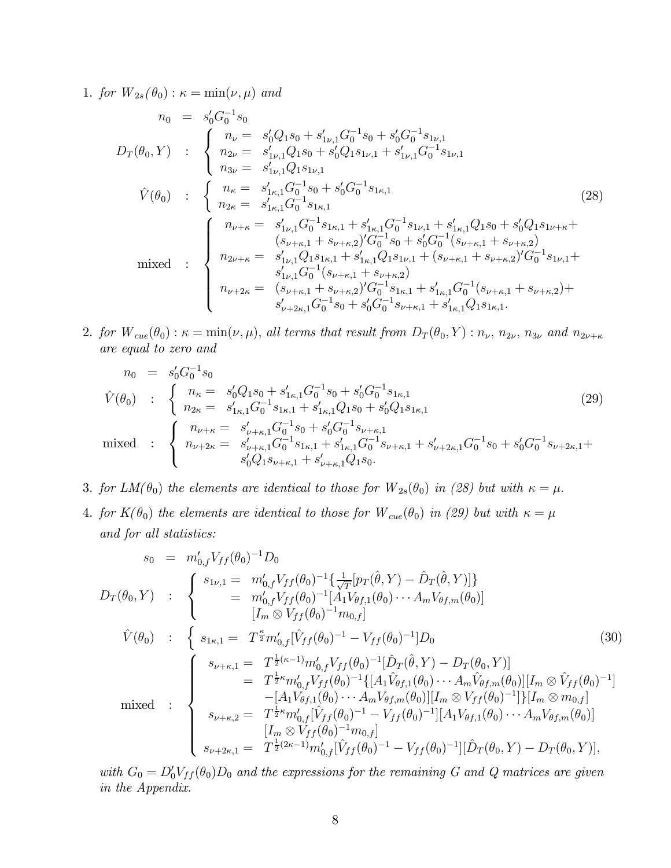1. for  $W_{2s}(\theta_0): \kappa = \min(\nu, \mu)$  and

$$
n_{0} = s'_{0}G_{0}^{-1}s_{0}
$$
\n
$$
D_{T}(\theta_{0}, Y) : \begin{cases}\nn_{\nu} = s'_{0}Q_{1}s_{0} + s'_{1\nu,1}G_{0}^{-1}s_{0} + s'_{0}G_{0}^{-1}s_{1\nu,1} \\
n_{2\nu} = s'_{1\nu,1}Q_{1}s_{0} + s'_{0}Q_{1}s_{1\nu,1} + s'_{1\nu,1}G_{0}^{-1}s_{1\nu,1} \\
n_{3\nu} = s'_{1\nu,1}Q_{1}s_{1\nu,1} \\
n_{2\kappa} = s'_{1\kappa,1}G_{0}^{-1}s_{0} + s'_{0}G_{0}^{-1}s_{1\kappa,1} \\
n_{2\kappa} = s'_{1\kappa,1}G_{0}^{-1}s_{1\kappa,1} \\
n_{2\kappa} = s'_{1\nu,1}G_{0}^{-1}s_{1\kappa,1} + s'_{1\kappa,1}G_{0}^{-1}s_{1\nu,1} + s'_{1\kappa,1}Q_{1}s_{0} + s'_{0}Q_{1}s_{1\nu+\kappa} + (s_{\nu+\kappa,1} + s_{\nu+\kappa,2})'G_{0}^{-1}s_{0} + s'_{0}G_{0}^{-1}(s_{\nu+\kappa,1} + s_{\nu+\kappa,2}) \\
n_{2\nu+\kappa} = s'_{1\nu,1}Q_{1}s_{1\kappa,1} + s'_{1\kappa,1}Q_{1}s_{1\nu,1} + (s_{\nu+\kappa,1} + s_{\nu+\kappa,2})'G_{0}^{-1}s_{1\nu,1} + (s_{\nu+\kappa,1} + s_{\nu+\kappa,2})'G_{0}^{-1}s_{1\nu,1} + s'_{1\nu,1}G_{0}^{-1}(s_{\nu+\kappa,1} + s_{\nu+\kappa,2})'G_{0}^{-1}s_{1\nu,1} + s'_{1\nu,\kappa,2}G_{0}^{-1}s_{1\nu+\kappa} + s'_{1\nu,\kappa,2}G_{0}^{-1}s_{1\kappa,1} + s'_{1\kappa,1}G_{0}^{-1}(s_{\nu+\kappa,1} + s_{\nu+\kappa,2}) + s'_{\nu+\kappa,1}G_{0}^{-1}s_{0} + s'_{0}G_{0}^{-1}s_{\nu
$$

2. for  $W_{cue}(\theta_0): \kappa = \min(\nu, \mu)$ , all terms that result from  $D_T(\theta_0, Y): n_{\nu}, n_{2\nu}, n_{3\nu}$  and  $n_{2\nu+\kappa}$ are equal to zero and

$$
n_0 = s'_0 G_0^{-1} s_0
$$
  
\n
$$
\hat{V}(\theta_0) : \begin{cases} n_{\kappa} = s'_0 Q_1 s_0 + s'_{1\kappa,1} G_0^{-1} s_0 + s'_0 G_0^{-1} s_{1\kappa,1} \\ n_{2\kappa} = s'_{1\kappa,1} G_0^{-1} s_{1\kappa,1} + s'_{1\kappa,1} Q_1 s_0 + s'_0 Q_1 s_{1\kappa,1} \\ \end{cases}
$$
\n
$$
\text{mixed} : \begin{cases} n_{\nu+\kappa} = s'_{\nu+\kappa,1} G_0^{-1} s_0 + s'_0 G_0^{-1} s_{\nu+\kappa,1} \\ n_{\nu+2\kappa} = s'_{\nu+\kappa,1} G_0^{-1} s_{1\kappa,1} + s'_{1\kappa,1} G_0^{-1} s_{\nu+\kappa,1} + s'_{\nu+2\kappa,1} G_0^{-1} s_0 + s'_0 G_0^{-1} s_{\nu+2\kappa,1} + s'_0 G_0^{-1} s_{1\kappa,1} + s'_0 G_0^{-1} s_{1\kappa,1} + s'_0 G_0^{-1} s_{1\kappa,1} + s'_0 G_0^{-1} s_{1\kappa,1} + s'_0 G_0^{-1} s_{1\kappa,1} + s'_0 G_0^{-1} s_{1\kappa,1} + s'_0 G_0^{-1} s_{1\kappa,1} + s'_0 G_0^{-1} s_{1\kappa,1} + s'_0 G_0^{-1} s_{1\kappa,1} + s'_0 G_0^{-1} s_{1\kappa,1} + s'_0 G_0^{-1} s_{1\kappa,1} + s'_0 G_0^{-1} s_{1\kappa,1} + s'_0 G_0^{-1} s_{1\kappa,1} + s'_0 G_0^{-1} s_{1\kappa,1} + s'_0 G_0^{-1} s_{1\kappa,1} + s'_0 G_0^{-1} s_{1\kappa,1} + s'_0 G_0^{-1} s_{1\kappa,1} + s'_0 G_0^{-1} s_{1\kappa,1} + s'_0 G_0^{-1} s_{1\kappa,1} + s'_0 G_0^{-1} s_{1\kappa,1} + s'_0 G_0^{-1} s_{1\kappa,1} + s'_0 G_0^{-1} s
$$

- 3. for  $LM(\theta_0)$  the elements are identical to those for  $W_{2s}(\theta_0)$  in (28) but with  $\kappa = \mu$ .
- 4. for  $K(\theta_0)$  the elements are identical to those for  $W_{cue}(\theta_0)$  in (29) but with  $\kappa = \mu$ and for all statistics:

$$
s_{0} = m'_{0,f}V_{ff}(\theta_{0})^{-1}D_{0}
$$
\n
$$
D_{T}(\theta_{0}, Y) : \begin{cases}\ns_{1\nu,1} = m'_{0,f}V_{ff}(\theta_{0})^{-1}\left\{\frac{1}{\sqrt{T}}[p_{T}(\hat{\theta}, Y) - \hat{D}_{T}(\hat{\theta}, Y)]\right\} \\
= m'_{0,f}V_{ff}(\theta_{0})^{-1}[A_{1}V_{\theta f,1}(\theta_{0}) \cdots A_{m}V_{\theta f,m}(\theta_{0})] \\
\left[I_{m} \otimes V_{ff}(\theta_{0})^{-1}m_{0,f}\right]\n\end{cases}
$$
\n
$$
\hat{V}(\theta_{0}) : \begin{cases}\ns_{1\kappa,1} = T^{\frac{\kappa}{2}}m'_{0,f}[\hat{V}_{ff}(\theta_{0})^{-1} - V_{ff}(\theta_{0})^{-1}]D_{0} \\
= T^{\frac{1}{2}\kappa - 1}m'_{0,f}V_{ff}(\theta_{0})^{-1}[\hat{D}_{T}(\hat{\theta}, Y) - D_{T}(\theta_{0}, Y)] \\
= T^{\frac{1}{2}\kappa}m'_{0,f}V_{ff}(\theta_{0})^{-1}\left\{[A_{1}\hat{V}_{\theta f,1}(\theta_{0}) \cdots A_{m}\hat{V}_{\theta f,m}(\theta_{0})][I_{m} \otimes \hat{V}_{ff}(\theta_{0})^{-1}\right\} \\
-[A_{1}V_{\theta f,1}(\theta_{0}) \cdots A_{m}V_{\theta f,m}(\theta_{0})][I_{m} \otimes V_{ff}(\theta_{0})^{-1}]\left\{I_{m} \otimes m_{0,f}\right\} \\
s_{\nu+\kappa,2} = T^{\frac{1}{2}\kappa}m'_{0,f}[\hat{V}_{ff}(\theta_{0})^{-1} - V_{ff}(\theta_{0})^{-1}][A_{1}V_{\theta f,1}(\theta_{0}) \cdots A_{m}V_{\theta f,m}(\theta_{0})] \\
[s_{\nu+2\kappa,1} = T^{\frac{1}{2}(2\kappa-1)}m'_{0,f}[\hat{V}_{ff}(\theta_{0})^{-1} - V_{ff}(\theta_{0})^{-1}][\hat{D}_{T}(\theta_{0}, Y) - D_{T}(\theta_{0}, Y)],\n\end{cases}
$$

with  $G_0 = D'_0 V_{ff}(\theta_0) D_0$  and the expressions for the remaining G and Q matrices are given in the Appendix.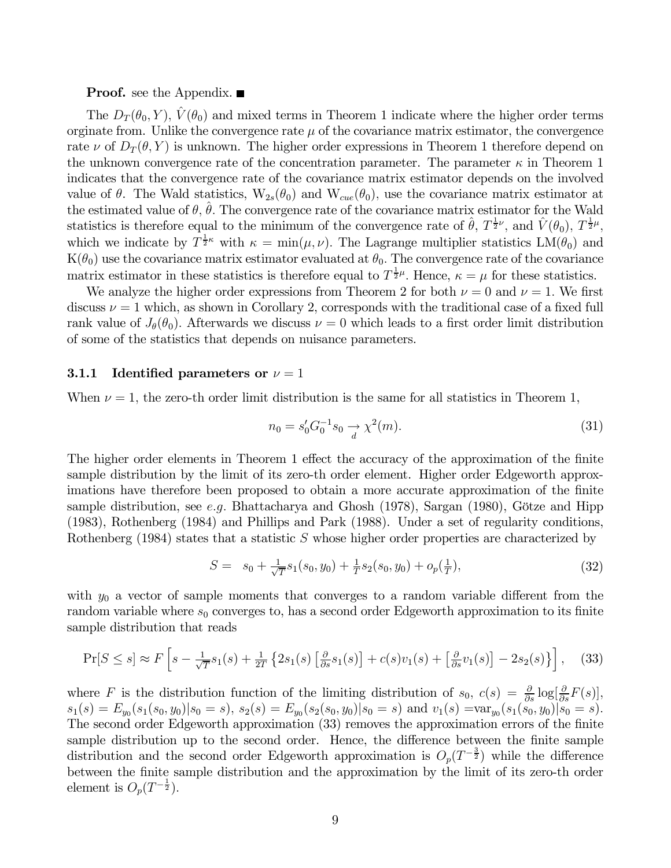#### **Proof.** see the Appendix. ■

The  $D_T(\theta_0, Y)$ ,  $\hat{V}(\theta_0)$  and mixed terms in Theorem 1 indicate where the higher order terms orginate from. Unlike the convergence rate  $\mu$  of the covariance matrix estimator, the convergence rate  $\nu$  of  $D_T(\theta, Y)$  is unknown. The higher order expressions in Theorem 1 therefore depend on the unknown convergence rate of the concentration parameter. The parameter  $\kappa$  in Theorem 1 indicates that the convergence rate of the covariance matrix estimator depends on the involved value of  $\theta$ . The Wald statistics,  $W_{2s}(\theta_0)$  and  $W_{cue}(\theta_0)$ , use the covariance matrix estimator at the estimated value of  $\theta$ ,  $\theta$ . The convergence rate of the covariance matrix estimator for the Wald statistics is therefore equal to the minimum of the convergence rate of  $\hat{\theta}$ ,  $T^{\frac{1}{2}\nu}$ , and  $\hat{V}(\theta_0)$ ,  $T^{\frac{1}{2}\mu}$ , which we indicate by  $T^{\frac{1}{2}\kappa}$  with  $\kappa = \min(\mu, \nu)$ . The Lagrange multiplier statistics  $LM(\theta_0)$  and  $K(\theta_0)$  use the covariance matrix estimator evaluated at  $\theta_0$ . The convergence rate of the covariance matrix estimator in these statistics is therefore equal to  $T^{\frac{1}{2}\mu}$ . Hence,  $\kappa = \mu$  for these statistics.

We analyze the higher order expressions from Theorem 2 for both  $\nu = 0$  and  $\nu = 1$ . We first discuss  $\nu = 1$  which, as shown in Corollary 2, corresponds with the traditional case of a fixed full rank value of  $J_{\theta}(\theta_0)$ . Afterwards we discuss  $\nu = 0$  which leads to a first order limit distribution of some of the statistics that depends on nuisance parameters.

#### 3.1.1 Identified parameters or  $\nu = 1$

When  $\nu = 1$ , the zero-th order limit distribution is the same for all statistics in Theorem 1,

$$
n_0 = s'_0 G_0^{-1} s_0 \xrightarrow{d} \chi^2(m). \tag{31}
$$

The higher order elements in Theorem 1 effect the accuracy of the approximation of the finite sample distribution by the limit of its zero-th order element. Higher order Edgeworth approximations have therefore been proposed to obtain a more accurate approximation of the finite sample distribution, see e.g. Bhattacharya and Ghosh  $(1978)$ , Sargan  $(1980)$ , Götze and Hipp (1983), Rothenberg (1984) and Phillips and Park (1988). Under a set of regularity conditions, Rothenberg (1984) states that a statistic S whose higher order properties are characterized by

$$
S = s_0 + \frac{1}{\sqrt{T}} s_1(s_0, y_0) + \frac{1}{T} s_2(s_0, y_0) + o_p(\frac{1}{T}), \tag{32}
$$

with  $y_0$  a vector of sample moments that converges to a random variable different from the random variable where  $s_0$  converges to, has a second order Edgeworth approximation to its finite sample distribution that reads

$$
\Pr[S \le s] \approx F\left[s - \frac{1}{\sqrt{T}}s_1(s) + \frac{1}{2T}\left\{2s_1(s)\left[\frac{\partial}{\partial s}s_1(s)\right] + c(s)v_1(s) + \left[\frac{\partial}{\partial s}v_1(s)\right] - 2s_2(s)\right\}\right],\tag{33}
$$

where F is the distribution function of the limiting distribution of  $s_0$ ,  $c(s) = \frac{\partial}{\partial s} \log[\frac{\partial}{\partial s}F(s)]$ ,  $s_1(s) = E_{y_0}(s_1(s_0, y_0)|s_0 = s), s_2(s) = E_{y_0}(s_2(s_0, y_0)|s_0 = s)$  and  $v_1(s) = \text{var}_{y_0}(s_1(s_0, y_0)|s_0 = s).$ The second order Edgeworth approximation (33) removes the approximation errors of the finite sample distribution up to the second order. Hence, the difference between the finite sample distribution and the second order Edgeworth approximation is  $O_p(T^{-\frac{3}{2}})$  while the difference between the finite sample distribution and the approximation by the limit of its zero-th order element is  $O_p(T^{-\frac{1}{2}})$ .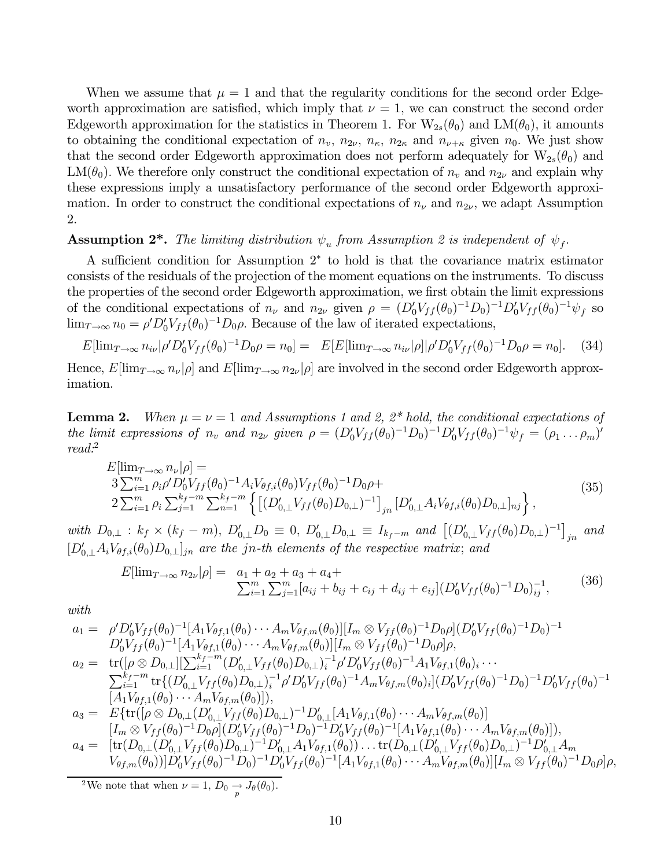When we assume that  $\mu = 1$  and that the regularity conditions for the second order Edgeworth approximation are satisfied, which imply that  $\nu = 1$ , we can construct the second order Edgeworth approximation for the statistics in Theorem 1. For  $W_{2s}(\theta_0)$  and  $LM(\theta_0)$ , it amounts to obtaining the conditional expectation of  $n_v$ ,  $n_{2\nu}$ ,  $n_{\kappa}$ ,  $n_{2\kappa}$  and  $n_{\nu+\kappa}$  given  $n_0$ . We just show that the second order Edgeworth approximation does not perform adequately for  $W_{2s}(\theta_0)$  and LM( $\theta_0$ ). We therefore only construct the conditional expectation of  $n_v$  and  $n_{2\nu}$  and explain why these expressions imply a unsatisfactory performance of the second order Edgeworth approximation. In order to construct the conditional expectations of  $n_{\nu}$  and  $n_{2\nu}$ , we adapt Assumption 2.

#### **Assumption 2<sup>\*</sup>.** The limiting distribution  $\psi_u$  from Assumption 2 is independent of  $\psi_f$ .

A sufficient condition for Assumption 2<sup>∗</sup> to hold is that the covariance matrix estimator consists of the residuals of the projection of the moment equations on the instruments. To discuss the properties of the second order Edgeworth approximation, we first obtain the limit expressions of the conditional expectations of  $n_{\nu}$  and  $n_{2\nu}$  given  $\rho = (D'_0 V_{ff}(\theta_0)^{-1}D_0)^{-1}D'_0 V_{ff}(\theta_0)^{-1}\psi_f$  so  $\lim_{T\to\infty} n_0 = \rho' D'_0 V_{ff}(\theta_0)^{-1} D_0 \rho$ . Because of the law of iterated expectations,

$$
E[\lim_{T \to \infty} n_{i\nu} | \rho' D'_0 V_{ff}(\theta_0)^{-1} D_0 \rho = n_0] = E[E[\lim_{T \to \infty} n_{i\nu} | \rho] | \rho' D'_0 V_{ff}(\theta_0)^{-1} D_0 \rho = n_0]. \tag{34}
$$

Hence,  $E[\lim_{T\to\infty}n_{\nu}|\rho]$  and  $E[\lim_{T\to\infty}n_{2\nu}|\rho]$  are involved in the second order Edgeworth approximation.

**Lemma 2.** When  $\mu = \nu = 1$  and Assumptions 1 and 2, 2<sup>\*</sup> hold, the conditional expectations of the limit expressions of  $n_v$  and  $n_{2\nu}$  given  $\rho = (D'_0 V_{ff}(\theta_0)^{-1} D_0)^{-1} D'_0 V_{ff}(\theta_0)^{-1} \psi_f = (\rho_1 \dots \rho_m)'$ read:<sup>2</sup>

$$
E[\lim_{T \to \infty} n_{\nu}|\rho] =
$$
  
\n
$$
3 \sum_{i=1}^{m} \rho_{i} \rho' D'_{0} V_{ff}(\theta_{0})^{-1} A_{i} V_{\theta f,i}(\theta_{0}) V_{ff}(\theta_{0})^{-1} D_{0} \rho +
$$
  
\n
$$
2 \sum_{i=1}^{m} \rho_{i} \sum_{j=1}^{k_{f}-m} \sum_{n=1}^{k_{f}-m} \left\{ \left[ (D'_{0,\perp} V_{ff}(\theta_{0}) D_{0,\perp})^{-1} \right]_{jn} [D'_{0,\perp} A_{i} V_{\theta f,i}(\theta_{0}) D_{0,\perp}]_{nj} \right\},
$$
\n(35)

with  $D_{0,\perp}$  :  $k_f \times (k_f - m)$ ,  $D'_{0,\perp}D_0 \equiv 0$ ,  $D'_{0,\perp}D_{0,\perp} \equiv I_{k_f-m}$  and  $[(D'_{0,\perp}V_{ff}(\theta_0)D_{0,\perp})^{-1}]_{jn}$  and  $[D'_{0,\perp}A_iV_{\theta f,i}(\theta_0)D_{0,\perp}]_{jn}$  are the jn-th elements of the respective matrix; and

$$
E[\lim_{T \to \infty} n_{2\nu}|\rho] = a_1 + a_2 + a_3 + a_4 + \sum_{i=1}^m \sum_{j=1}^m [a_{ij} + b_{ij} + c_{ij} + d_{ij} + e_{ij}] (D'_0 V_{ff}(\theta_0)^{-1} D_0)_{ij}^{-1},
$$
(36)

with

$$
a_1 = \rho' D'_0 V_{ff}(\theta_0)^{-1} [A_1 V_{\theta f,1}(\theta_0) \cdots A_m V_{\theta f,m}(\theta_0)][I_m \otimes V_{ff}(\theta_0)^{-1} D_0 \rho] (D'_0 V_{ff}(\theta_0)^{-1} D_0)^{-1}
$$
  
\n
$$
D'_0 V_{ff}(\theta_0)^{-1} [A_1 V_{\theta f,1}(\theta_0) \cdots A_m V_{\theta f,m}(\theta_0)][I_m \otimes V_{ff}(\theta_0)^{-1} D_0 \rho] \rho,
$$
  
\n
$$
a_2 = \text{tr}([\rho \otimes D_{0,1}][\sum_{i=1}^{k_f-m} (D'_{0,1} V_{ff}(\theta_0) D_{0,1})_i^{-1} \rho' D'_0 V_{ff}(\theta_0)^{-1} A_1 V_{\theta f,1}(\theta_0)_i \cdots
$$
  
\n
$$
\sum_{i=1}^{k_f-m} \text{tr}\{ (D'_{0,1} V_{ff}(\theta_0) D_{0,1})_i^{-1} \rho' D'_0 V_{ff}(\theta_0)^{-1} A_m V_{\theta f,m}(\theta_0)_i | (D'_0 V_{ff}(\theta_0)^{-1} D_0)^{-1} D'_0 V_{ff}(\theta_0)^{-1}
$$
  
\n
$$
[A_1 V_{\theta f,1}(\theta_0) \cdots A_m V_{\theta f,m}(\theta_0)]),
$$
  
\n
$$
a_3 = E\{\text{tr}([\rho \otimes D_{0,1}(D'_{0,1} V_{ff}(\theta_0) D_{0,1})^{-1} D'_{0,1}[A_1 V_{\theta f,1}(\theta_0) \cdots A_m V_{\theta f,m}(\theta_0)]\},
$$
  
\n
$$
[I_m \otimes V_{ff}(\theta_0)^{-1} D_0 \rho] (D'_0 V_{ff}(\theta_0)^{-1} D_0)^{-1} D'_0 V_{ff}(\theta_0)^{-1} [A_1 V_{\theta f,1}(\theta_0) \cdots A_m V_{\theta f,m}(\theta_0)]),
$$
  
\n
$$
a_4 = [\text{tr}(D_{0,1}(D'_{0,1} V_{ff}(\theta_0) D_{0,1})^{-1} D'_{0,1} A_1 V_{\theta f,1}(\theta_0)) \
$$

<sup>2</sup>We note that when  $\nu = 1$ ,  $D_0 \rightarrow J_\theta(\theta_0)$ .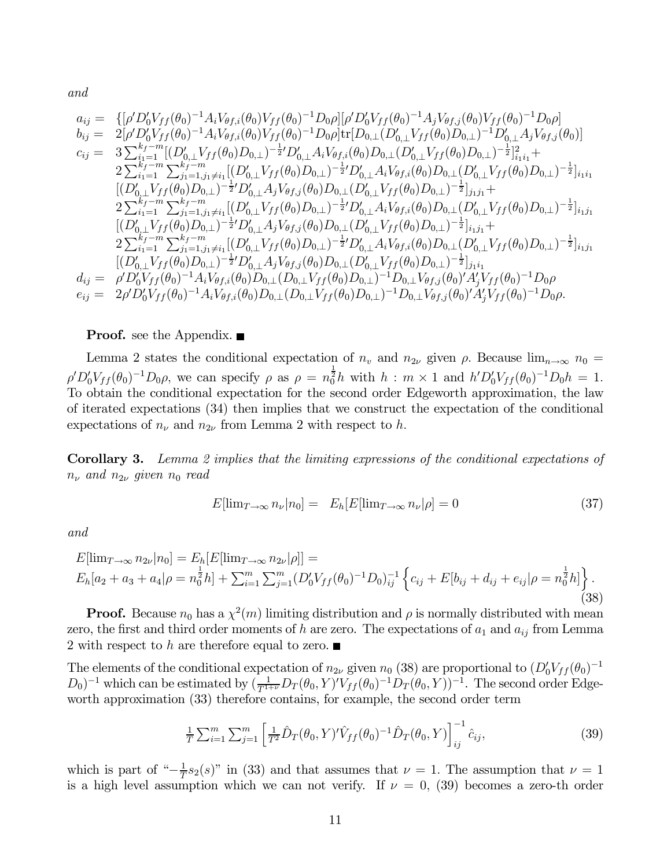and

$$
a_{ij} = \{ [\rho' D'_0 V_{ff}(\theta_0)^{-1} A_i V_{\theta f,i}(\theta_0) V_{ff}(\theta_0)^{-1} D_0 \rho] [\rho' D'_0 V_{ff}(\theta_0)^{-1} A_j V_{\theta f,j}(\theta_0)^{V_{ff}}(\theta_0)^{-1} D_0 \rho] \n b_{ij} = 2[\rho' D'_0 V_{ff}(\theta_0)^{-1} A_i V_{\theta f,i}(\theta_0) V_{ff}(\theta_0)^{-1} D_0 \rho] \text{tr}[D_{0,\perp} (D'_{0,\perp} V_{ff}(\theta_0) D_{0,\perp})^{-1} D'_{0,\perp} A_j V_{\theta f,j}(\theta_0)] \n c_{ij} = 3 \sum_{i_1=1}^{k_f-m} [(D'_{0,\perp} V_{ff}(\theta_0) D_{0,\perp})^{-\frac{1}{2}} D'_{0,\perp} A_i V_{\theta f,i}(\theta_0) D_{0,\perp} (D'_{0,\perp} V_{ff}(\theta_0) D_{0,\perp})^{-\frac{1}{2}}]_{i_1i_1}^2 +\n 2 \sum_{i_1=1}^{k_f-m} \sum_{j_1=1, j_1 \neq i_1}^{k_f-m} [(D'_{0,\perp} V_{ff}(\theta_0) D_{0,\perp})^{-\frac{1}{2}} D'_{0,\perp} A_i V_{\theta f,i}(\theta_0) D_{0,\perp} (D'_{0,\perp} V_{ff}(\theta_0) D_{0,\perp})^{-\frac{1}{2}}]_{i_1i_1} \n [(D'_{0,\perp} V_{ff}(\theta_0) D_{0,\perp})^{-\frac{1}{2}} D'_{0,\perp} A_j V_{\theta f,j}(\theta_0) D_{0,\perp} (D'_{0,\perp} V_{ff}(\theta_0) D_{0,\perp})^{-\frac{1}{2}}]_{i_1j_1} +\n 2 \sum_{i_1=1}^{k_f-m} \sum_{j_1=1, j_1 \neq i_1}^{k_f-m} [(D'_{0,\perp} V_{ff}(\theta_0) D_{0,\perp})^{-\frac{1}{2}} D'_{0,\perp} A_i V_{\theta f,i}(\theta_0) D_{0,\perp})^{-\frac{1}{2}}]_{i_1j_1} +\n 2 \sum_{i_1=1}
$$

#### **Proof.** see the Appendix. ■

Lemma 2 states the conditional expectation of  $n_v$  and  $n_{2\nu}$  given  $\rho$ . Because  $\lim_{n\to\infty} n_0 =$  $\rho' D_0' V_{ff}(\theta_0)^{-1} D_0 \rho$ , we can specify  $\rho$  as  $\rho = n_0^{\frac{1}{2}} h$  with  $h : m \times 1$  and  $h' D_0' V_{ff}(\theta_0)^{-1} D_0 h = 1$ . To obtain the conditional expectation for the second order Edgeworth approximation, the law of iterated expectations (34) then implies that we construct the expectation of the conditional expectations of  $n_{\nu}$  and  $n_{2\nu}$  from Lemma 2 with respect to h.

Corollary 3. Lemma 2 implies that the limiting expressions of the conditional expectations of  $n_{\nu}$  and  $n_{2\nu}$  given  $n_0$  read

$$
E[\lim_{T \to \infty} n_{\nu} | n_0] = E_h[E[\lim_{T \to \infty} n_{\nu} | \rho] = 0 \tag{37}
$$

and

$$
E[\lim_{T \to \infty} n_{2\nu}|n_0] = E_h[E[\lim_{T \to \infty} n_{2\nu}|\rho]] =
$$
  
\n
$$
E_h[a_2 + a_3 + a_4|\rho = n_0^{\frac{1}{2}}h] + \sum_{i=1}^m \sum_{j=1}^m (D'_0V_{ff}(\theta_0)^{-1}D_0)_{ij}^{-1} \left\{c_{ij} + E[b_{ij} + d_{ij} + e_{ij}|\rho = n_0^{\frac{1}{2}}h]\right\}.
$$
\n(38)

**Proof.** Because  $n_0$  has a  $\chi^2(m)$  limiting distribution and  $\rho$  is normally distributed with mean zero, the first and third order moments of h are zero. The expectations of  $a_1$  and  $a_{ij}$  from Lemma 2 with respect to h are therefore equal to zero.  $\blacksquare$ 

The elements of the conditional expectation of  $n_{2\nu}$  given  $n_0$  (38) are proportional to  $(D'_0 V_{ff}(\theta_0)^{-1}$  $(D_0)^{-1}$  which can be estimated by  $\left(\frac{1}{T^{1+\nu}}D_T(\theta_0, Y)'V_{ff}(\theta_0)^{-1}D_T(\theta_0, Y)\right)^{-1}$ . The second order Edgeworth approximation (33) therefore contains, for example, the second order term

$$
\frac{1}{T} \sum_{i=1}^{m} \sum_{j=1}^{m} \left[ \frac{1}{T^2} \hat{D}_T(\theta_0, Y)' \hat{V}_{ff}(\theta_0)^{-1} \hat{D}_T(\theta_0, Y) \right]_{ij}^{-1} \hat{c}_{ij},\tag{39}
$$

which is part of " $-\frac{1}{T}s_2(s)$ " in (33) and that assumes that  $\nu = 1$ . The assumption that  $\nu = 1$ is a high level assumption which we can not verify. If  $\nu = 0$ , (39) becomes a zero-th order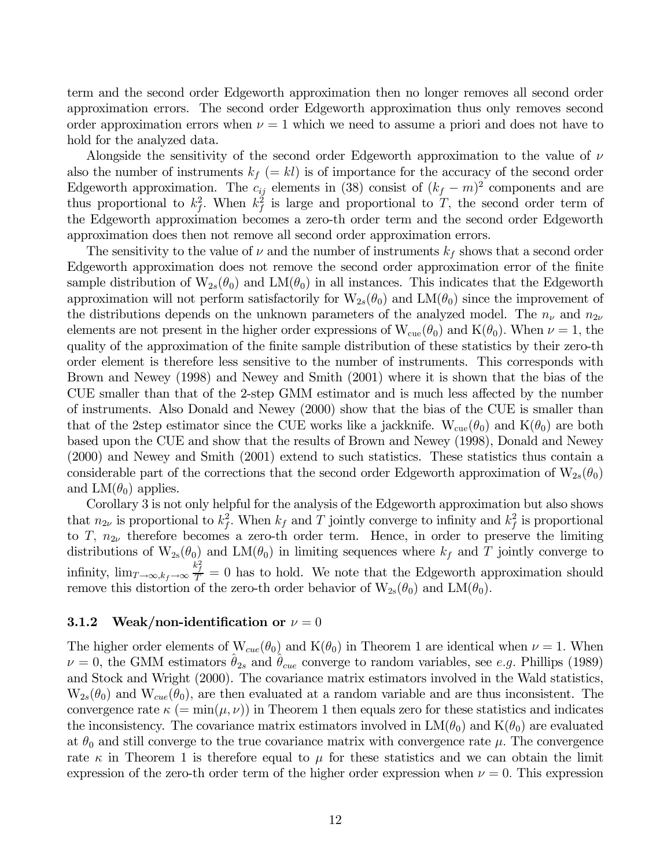term and the second order Edgeworth approximation then no longer removes all second order approximation errors. The second order Edgeworth approximation thus only removes second order approximation errors when  $\nu = 1$  which we need to assume a priori and does not have to hold for the analyzed data.

Alongside the sensitivity of the second order Edgeworth approximation to the value of  $\nu$ also the number of instruments  $k_f (= kl)$  is of importance for the accuracy of the second order Edgeworth approximation. The  $c_{ij}$  elements in (38) consist of  $(k_f - m)^2$  components and are thus proportional to  $k_f^2$ . When  $k_f^2$  is large and proportional to T, the second order term of the Edgeworth approximation becomes a zero-th order term and the second order Edgeworth approximation does then not remove all second order approximation errors.

The sensitivity to the value of  $\nu$  and the number of instruments  $k_f$  shows that a second order Edgeworth approximation does not remove the second order approximation error of the finite sample distribution of  $W_{2s}(\theta_0)$  and  $LM(\theta_0)$  in all instances. This indicates that the Edgeworth approximation will not perform satisfactorily for  $W_{2s}(\theta_0)$  and  $LM(\theta_0)$  since the improvement of the distributions depends on the unknown parameters of the analyzed model. The  $n_{\nu}$  and  $n_{2\nu}$ elements are not present in the higher order expressions of  $W_{\text{cue}}(\theta_0)$  and  $K(\theta_0)$ . When  $\nu = 1$ , the quality of the approximation of the finite sample distribution of these statistics by their zero-th order element is therefore less sensitive to the number of instruments. This corresponds with Brown and Newey (1998) and Newey and Smith (2001) where it is shown that the bias of the CUE smaller than that of the 2-step GMM estimator and is much less affected by the number of instruments. Also Donald and Newey (2000) show that the bias of the CUE is smaller than that of the 2step estimator since the CUE works like a jackknife.  $W_{cue}(\theta_0)$  and  $K(\theta_0)$  are both based upon the CUE and show that the results of Brown and Newey (1998), Donald and Newey (2000) and Newey and Smith (2001) extend to such statistics. These statistics thus contain a considerable part of the corrections that the second order Edgeworth approximation of  $W_{2s}(\theta_0)$ and  $LM(\theta_0)$  applies.

Corollary 3 is not only helpful for the analysis of the Edgeworth approximation but also shows that  $n_{2\nu}$  is proportional to  $k_f^2$ . When  $k_f$  and T jointly converge to infinity and  $k_f^2$  is proportional to T,  $n_{2\nu}$  therefore becomes a zero-th order term. Hence, in order to preserve the limiting distributions of  $W_{2s}(\theta_0)$  and  $LM(\theta_0)$  in limiting sequences where  $k_f$  and T jointly converge to infinity,  $\lim_{T\to\infty, k_f\to\infty} \frac{k_f^2}{T} = 0$  has to hold. We note that the Edgeworth approximation should remove this distortion of the zero-th order behavior of  $W_{2s}(\theta_0)$  and  $LM(\theta_0)$ .

#### 3.1.2 Weak/non-identification or  $\nu = 0$

The higher order elements of  $W_{cue}(\theta_0)$  and  $K(\theta_0)$  in Theorem 1 are identical when  $\nu = 1$ . When  $\nu = 0$ , the GMM estimators  $\theta_{2s}$  and  $\theta_{cue}$  converge to random variables, see e.g. Phillips (1989) and Stock and Wright (2000). The covariance matrix estimators involved in the Wald statistics,  $W_{2s}(\theta_0)$  and  $W_{cue}(\theta_0)$ , are then evaluated at a random variable and are thus inconsistent. The convergence rate  $\kappa$  (= min( $\mu$ ,  $\nu$ )) in Theorem 1 then equals zero for these statistics and indicates the inconsistency. The covariance matrix estimators involved in  $LM(\theta_0)$  and  $K(\theta_0)$  are evaluated at  $\theta_0$  and still converge to the true covariance matrix with convergence rate  $\mu$ . The convergence rate  $\kappa$  in Theorem 1 is therefore equal to  $\mu$  for these statistics and we can obtain the limit expression of the zero-th order term of the higher order expression when  $\nu = 0$ . This expression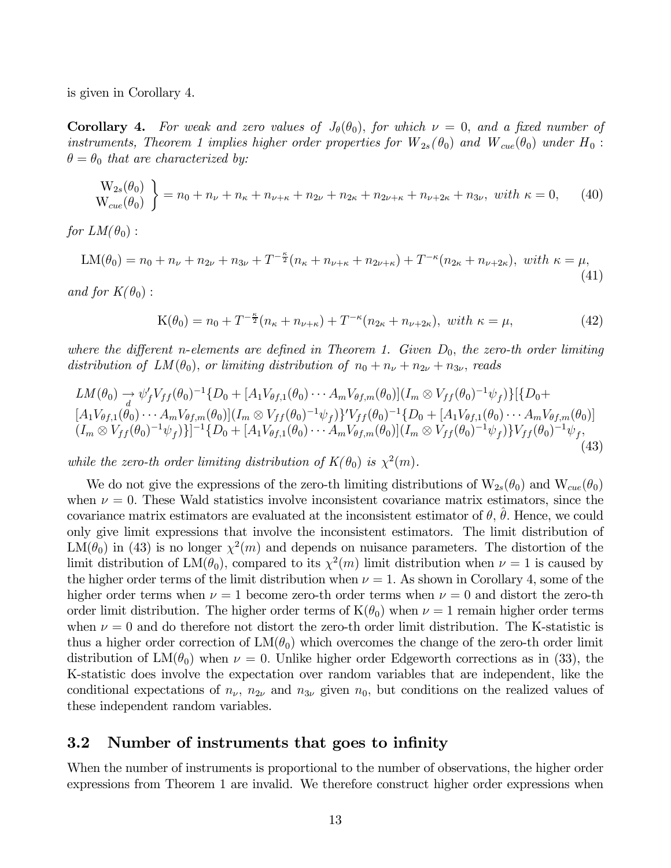is given in Corollary 4.

**Corollary 4.** For weak and zero values of  $J_{\theta}(\theta_0)$ , for which  $\nu = 0$ , and a fixed number of instruments, Theorem 1 implies higher order properties for  $W_{2s}(\theta_0)$  and  $W_{cue}(\theta_0)$  under  $H_0$ :  $\theta = \theta_0$  that are characterized by:

$$
\begin{aligned} \mathcal{W}_{2s}(\theta_0) \\ \mathcal{W}_{cue}(\theta_0) \end{aligned} = n_0 + n_{\nu} + n_{\kappa} + n_{\nu+\kappa} + n_{2\nu} + n_{2\kappa} + n_{2\nu+\kappa} + n_{\nu+2\kappa} + n_{3\nu}, \text{ with } \kappa = 0, \qquad (40)
$$

for  $LM(\theta_0)$ :

$$
LM(\theta_0) = n_0 + n_\nu + n_{2\nu} + n_{3\nu} + T^{-\frac{\kappa}{2}}(n_\kappa + n_{\nu+\kappa} + n_{2\nu+\kappa}) + T^{-\kappa}(n_{2\kappa} + n_{\nu+2\kappa}), \text{ with } \kappa = \mu,
$$
\n(41)

and for  $K(\theta_0)$ :

$$
K(\theta_0) = n_0 + T^{-\frac{\kappa}{2}}(n_{\kappa} + n_{\nu + \kappa}) + T^{-\kappa}(n_{2\kappa} + n_{\nu + 2\kappa}), \ \ with \ \ \kappa = \mu,
$$
 (42)

where the different n-elements are defined in Theorem 1. Given  $D_0$ , the zero-th order limiting distribution of  $LM(\theta_0)$ , or limiting distribution of  $n_0 + n_{\nu} + n_{2\nu} + n_{3\nu}$ , reads

$$
LM(\theta_0) \to \psi'_f V_{ff}(\theta_0)^{-1} \{D_0 + [A_1 V_{\theta f,1}(\theta_0) \cdots A_m V_{\theta f,m}(\theta_0)] (I_m \otimes V_{ff}(\theta_0)^{-1} \psi_f) \} [\{D_0 + [A_1 V_{\theta f,1}(\theta_0) \cdots A_m V_{\theta f,m}(\theta_0)] (I_m \otimes V_{ff}(\theta_0)^{-1} \psi_f) \}^{\prime} V_{ff}(\theta_0)^{-1} \{D_0 + [A_1 V_{\theta f,1}(\theta_0) \cdots A_m V_{\theta f,m}(\theta_0)] (I_m \otimes V_{ff}(\theta_0)^{-1} \psi_f) \}^{-1} \{D_0 + [A_1 V_{\theta f,1}(\theta_0) \cdots A_m V_{\theta f,m}(\theta_0)] (I_m \otimes V_{ff}(\theta_0)^{-1} \psi_f) \} V_{ff}(\theta_0)^{-1} \psi_f, \tag{43}
$$

while the zero-th order limiting distribution of  $K(\theta_0)$  is  $\chi^2(m)$ .

We do not give the expressions of the zero-th limiting distributions of  $W_{2s}(\theta_0)$  and  $W_{cue}(\theta_0)$ when  $\nu = 0$ . These Wald statistics involve inconsistent covariance matrix estimators, since the covariance matrix estimators are evaluated at the inconsistent estimator of  $\theta$ ,  $\theta$ . Hence, we could only give limit expressions that involve the inconsistent estimators. The limit distribution of  $LM(\theta_0)$  in (43) is no longer  $\chi^2(m)$  and depends on nuisance parameters. The distortion of the limit distribution of  $LM(\theta_0)$ , compared to its  $\chi^2(m)$  limit distribution when  $\nu = 1$  is caused by the higher order terms of the limit distribution when  $\nu = 1$ . As shown in Corollary 4, some of the higher order terms when  $\nu = 1$  become zero-th order terms when  $\nu = 0$  and distort the zero-th order limit distribution. The higher order terms of  $K(\theta_0)$  when  $\nu = 1$  remain higher order terms when  $\nu = 0$  and do therefore not distort the zero-th order limit distribution. The K-statistic is thus a higher order correction of  $LM(\theta_0)$  which overcomes the change of the zero-th order limit distribution of  $LM(\theta_0)$  when  $\nu = 0$ . Unlike higher order Edgeworth corrections as in (33), the K-statistic does involve the expectation over random variables that are independent, like the conditional expectations of  $n_{\nu}$ ,  $n_{2\nu}$  and  $n_{3\nu}$  given  $n_0$ , but conditions on the realized values of these independent random variables.

#### 3.2 Number of instruments that goes to infinity

When the number of instruments is proportional to the number of observations, the higher order expressions from Theorem 1 are invalid. We therefore construct higher order expressions when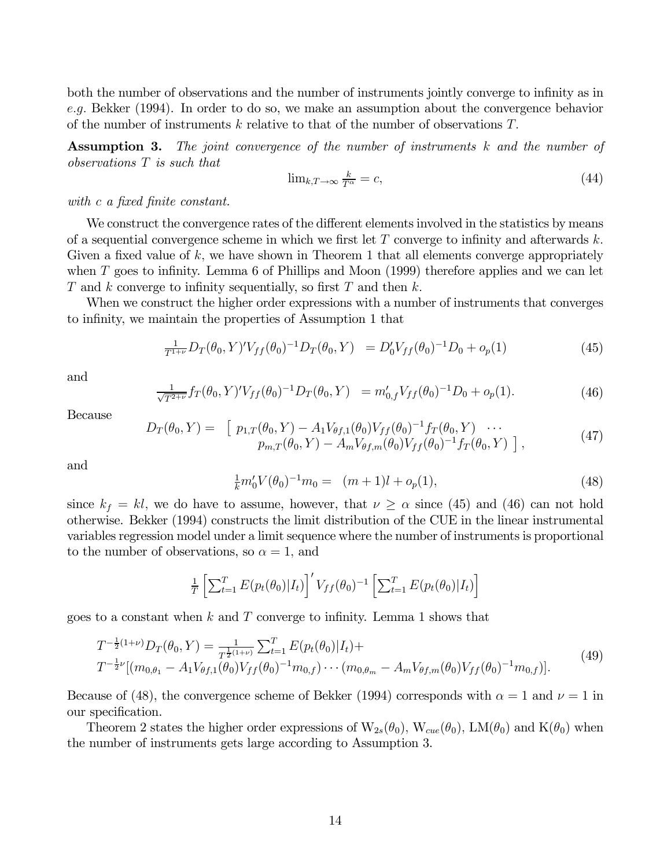both the number of observations and the number of instruments jointly converge to infinity as in e.g. Bekker (1994). In order to do so, we make an assumption about the convergence behavior of the number of instruments k relative to that of the number of observations  $T$ .

**Assumption 3.** The joint convergence of the number of instruments k and the number of observations T is such that

$$
\lim_{k,T \to \infty} \frac{k}{T^{\alpha}} = c,\tag{44}
$$

with c a fixed finite constant.

We construct the convergence rates of the different elements involved in the statistics by means of a sequential convergence scheme in which we first let  $T$  converge to infinity and afterwards  $k$ . Given a fixed value of  $k$ , we have shown in Theorem 1 that all elements converge appropriately when  $T$  goes to infinity. Lemma 6 of Phillips and Moon (1999) therefore applies and we can let T and k converge to infinity sequentially, so first T and then  $k$ .

When we construct the higher order expressions with a number of instruments that converges to infinity, we maintain the properties of Assumption 1 that

$$
\frac{1}{T^{1+\nu}} D_T(\theta_0, Y)' V_{ff}(\theta_0)^{-1} D_T(\theta_0, Y) = D'_0 V_{ff}(\theta_0)^{-1} D_0 + o_p(1)
$$
\n(45)

and

$$
\frac{1}{\sqrt{T^{2+\nu}}} f_T(\theta_0, Y)' V_{ff}(\theta_0)^{-1} D_T(\theta_0, Y) = m'_{0,f} V_{ff}(\theta_0)^{-1} D_0 + o_p(1).
$$
 (46)

Because

$$
D_T(\theta_0, Y) = \begin{bmatrix} p_{1,T}(\theta_0, Y) - A_1 V_{\theta f,1}(\theta_0) V_{ff}(\theta_0)^{-1} f_T(\theta_0, Y) & \cdots \\ p_{m,T}(\theta_0, Y) - A_m V_{\theta f,m}(\theta_0) V_{ff}(\theta_0)^{-1} f_T(\theta_0, Y) \end{bmatrix},
$$
(47)

and

$$
\frac{1}{k}m_0'V(\theta_0)^{-1}m_0 = (m+1)l + o_p(1),\tag{48}
$$

since  $k_f = kl$ , we do have to assume, however, that  $\nu \geq \alpha$  since (45) and (46) can not hold otherwise. Bekker (1994) constructs the limit distribution of the CUE in the linear instrumental variables regression model under a limit sequence where the number of instruments is proportional to the number of observations, so  $\alpha = 1$ , and

$$
\frac{1}{T} \left[ \sum_{t=1}^{T} E(p_t(\theta_0)|I_t) \right]' V_{ff}(\theta_0)^{-1} \left[ \sum_{t=1}^{T} E(p_t(\theta_0)|I_t) \right]
$$

goes to a constant when  $k$  and  $T$  converge to infinity. Lemma 1 shows that

$$
T^{-\frac{1}{2}(1+\nu)}D_T(\theta_0, Y) = \frac{1}{T^{\frac{1}{2}(1+\nu)}} \sum_{t=1}^T E(p_t(\theta_0)|I_t) +
$$
  
\n
$$
T^{-\frac{1}{2}\nu}[(m_{0,\theta_1} - A_1 V_{\theta f,1}(\theta_0) V_{ff}(\theta_0)^{-1} m_{0,f}) \cdots (m_{0,\theta_m} - A_m V_{\theta f,m}(\theta_0) V_{ff}(\theta_0)^{-1} m_{0,f})].
$$
\n(49)

Because of (48), the convergence scheme of Bekker (1994) corresponds with  $\alpha = 1$  and  $\nu = 1$  in our specification.

Theorem 2 states the higher order expressions of  $W_{2s}(\theta_0)$ ,  $W_{cue}(\theta_0)$ ,  $LM(\theta_0)$  and  $K(\theta_0)$  when the number of instruments gets large according to Assumption 3.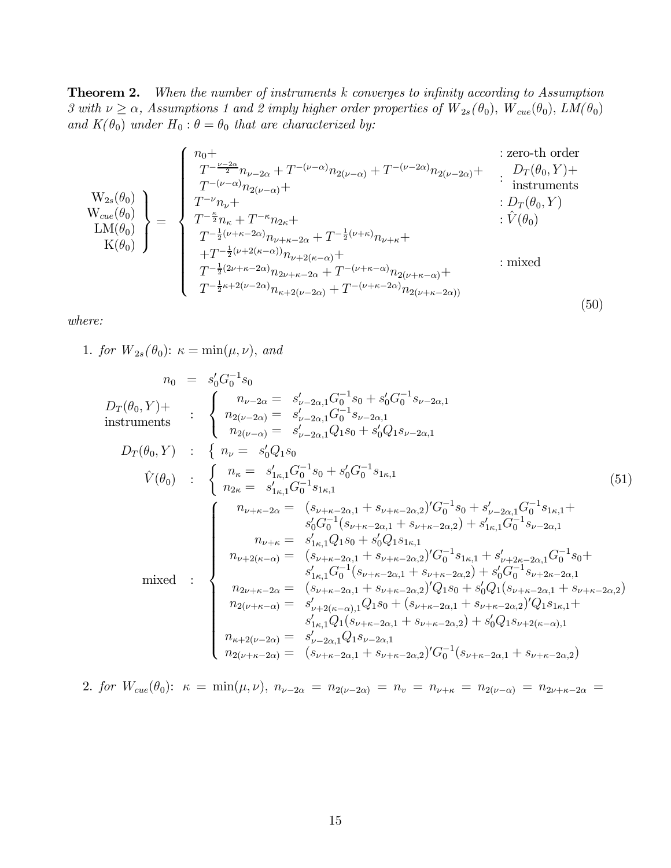**Theorem 2.** When the number of instruments  $k$  converges to infinity according to Assumption 3 with  $\nu \ge \alpha$ , Assumptions 1 and 2 imply higher order properties of  $W_{2s}(\theta_0)$ ,  $W_{cue}(\theta_0)$ ,  $LM(\theta_0)$ and  $K(\theta_0)$  under  $H_0: \theta = \theta_0$  that are characterized by:

$$
\begin{pmatrix}\nn_0 + \\
T^{-\frac{\nu-2\alpha}{2}}n_{\nu-2\alpha} + T^{-(\nu-\alpha)}n_{2(\nu-\alpha)} + T^{-(\nu-2\alpha)}n_{2(\nu-2\alpha)} + \\
T^{-(\nu-\alpha)}n_{2(\nu-\alpha)} + \n\end{pmatrix}\n= \n\begin{pmatrix}\nn_0 + \\
T^{-\frac{\nu-2\alpha}{2}}n_{\nu-2\alpha} + T^{-(\nu-\alpha)}n_{2(\nu-\alpha)} + T^{-(\nu-2\alpha)}n_{2(\nu-2\alpha)} + \n\vdots D_T(\theta_0, Y) + \\
T^{-\frac{\nu}{2}}n_{\nu} + \n\vdots D_T(\theta_0, Y) \\
T^{-\frac{\nu}{2}}n_{\nu} + \n\vdots D_T(\theta_0, Y) \\
T^{-\frac{1}{2}(\nu+\kappa-2\alpha)}n_{\nu} + \n\vdots D_T(\theta_0, Y) \\
T^{-\frac{1}{2}(\nu+\kappa-2\alpha)}n_{\nu+\kappa-2\alpha} + T^{-\frac{1}{2}(\nu+\kappa)}n_{\nu+\kappa} + \n\vdots \\
T^{-\frac{1}{2}(2\nu+\kappa-2\alpha)}n_{2\nu+\kappa-2\alpha} + T^{-(\nu+\kappa-\alpha)}n_{2(\nu+\kappa-\alpha)} + \n\end{pmatrix}\n\text{ : mixed}
$$
\n
$$
T^{-\frac{1}{2}\kappa+2(\nu-2\alpha)}n_{\kappa+2(\nu-2\alpha)} + T^{-(\nu+\kappa-2\alpha)}n_{2(\nu+\kappa-2\alpha)}
$$
\n(50)

where:

1. for  $W_{2s}(\theta_0)$ :  $\kappa = \min(\mu, \nu)$ , and

$$
n_{0} = s'_{0}G_{0}^{-1}s_{0}
$$
\n
$$
D_{T}(\theta_{0},Y)+\n\begin{cases}\nn_{\nu-2\alpha} = s'_{\nu-2\alpha,1}G_{0}^{-1}s_{0} + s'_{0}G_{0}^{-1}s_{\nu-2\alpha,1} \\
n_{2(\nu-2\alpha)} = s'_{\nu-2\alpha,1}G_{0}^{-1}s_{\nu-2\alpha,1} \\
n_{2(\nu-\alpha)} = s'_{\nu-2\alpha,1}Q_{1}s_{0} + s'_{0}Q_{1}s_{\nu-2\alpha,1} \\
n_{2(\nu-\alpha)} = s'_{1\kappa,1}G_{0}^{-1}s_{0} + s'_{0}G_{0}^{-1}s_{1\kappa,1}\n\end{cases}
$$
\n
$$
\hat{V}(\theta_{0}) : \begin{cases}\nn_{\kappa} = s'_{1\kappa,1}G_{0}^{-1}s_{0} + s'_{0}G_{0}^{-1}s_{1\kappa,1} \\
n_{2\kappa} = s'_{1\kappa,1}G_{0}^{-1}s_{1\kappa,1} \\
n_{\kappa} = s'_{1\kappa,1}G_{0}^{-1}s_{1\kappa,1}\n\end{cases}
$$
\n
$$
D_{T}(\theta_{0},Y) : \begin{cases}\nn_{\kappa} = s'_{1\kappa,1}G_{0}^{-1}s_{0} + s'_{0}G_{0}^{-1}s_{1\kappa,1} \\
n_{2\kappa} = s'_{1\kappa,1}G_{0}^{-1}s_{1\kappa,1} \\
s'_{0}G_{0}^{-1}(s_{\nu+\kappa-2\alpha,1} + s_{\nu+\kappa-2\alpha,2}) + s'_{1\kappa,1}G_{0}^{-1}s_{1\kappa,1} + s'_{1\kappa,1}G_{0}^{-1}s_{1\kappa,1} \\
n_{\nu+\kappa} = s'_{1\kappa,1}Q_{1}s_{0} + s'_{0}Q_{1}s_{1\kappa,1} \\
n_{\nu+\kappa} = s'_{1\kappa,1}Q_{1}^{-1}(s_{1\kappa+2\alpha,1} + s_{\nu+\kappa-2\alpha,2}) + s'_{1\kappa,1}G_{0}^{-1}s_{1\kappa+2\kappa,2\kappa,1} \\
n_{2\nu+\kappa-2\alpha} = (s_{\nu+\kappa-2\
$$

2. for  $W_{cue}(\theta_0)$ :  $\kappa = \min(\mu, \nu)$ ,  $n_{\nu-2\alpha} = n_{2(\nu-2\alpha)} = n_{\nu} = n_{\nu+\kappa} = n_{2(\nu-\alpha)} = n_{2\nu+\kappa-2\alpha} =$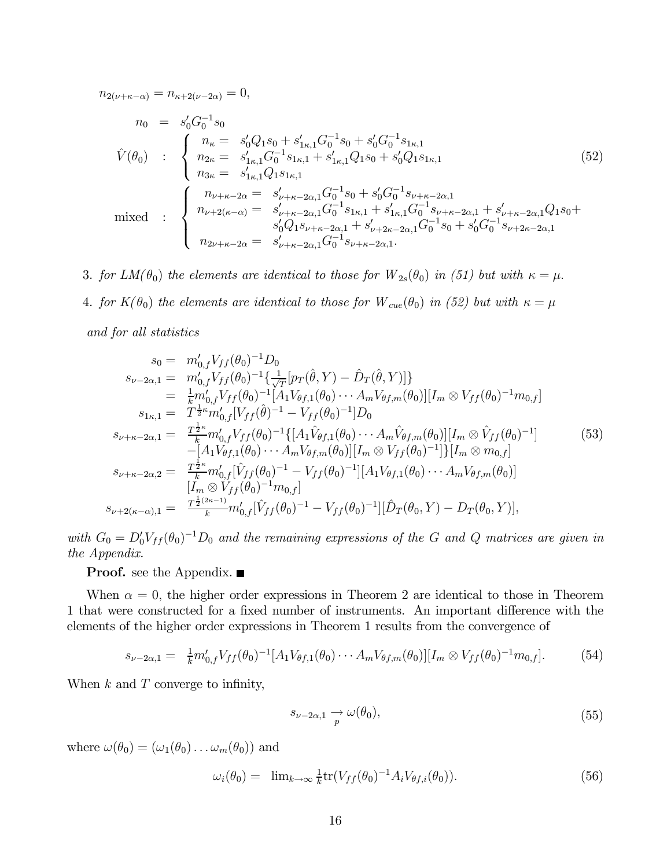$n_{2(\nu+\kappa-\alpha)} = n_{\kappa+2(\nu-2\alpha)} = 0,$ 

$$
n_{0} = s'_{0} G_{0}^{-1} s_{0}
$$
\n
$$
\hat{V}(\theta_{0}) : \begin{cases}\n n_{\kappa} = s'_{0} Q_{1} s_{0} + s'_{1\kappa,1} G_{0}^{-1} s_{0} + s'_{0} G_{0}^{-1} s_{1\kappa,1} \\
 n_{2\kappa} = s'_{1\kappa,1} G_{0}^{-1} s_{1\kappa,1} + s'_{1\kappa,1} Q_{1} s_{0} + s'_{0} Q_{1} s_{1\kappa,1} \\
 n_{3\kappa} = s'_{1\kappa,1} Q_{1} s_{1\kappa,1}\n\end{cases}
$$
\n
$$
(52)
$$
\n
$$
\text{mixed} : \begin{cases}\n n_{\nu+\kappa-2\alpha} = s'_{\nu+\kappa-2\alpha,1} G_{0}^{-1} s_{0} + s'_{0} G_{0}^{-1} s_{\nu+\kappa-2\alpha,1} \\
 n_{\nu+2(\kappa-\alpha)} = s'_{\nu+\kappa-2\alpha,1} G_{0}^{-1} s_{1\kappa,1} + s'_{1\kappa,1} G_{0}^{-1} s_{\nu+\kappa-2\alpha,1} + s'_{\nu+\kappa-2\alpha,1} Q_{1} s_{0} + s'_{0} Q_{1} s_{\nu+\kappa-2\alpha,1} \\
 s'_{0} Q_{1} s_{\nu+\kappa-2\alpha,1} + s'_{\nu+2\kappa-2\alpha,1} G_{0}^{-1} s_{0} + s'_{0} G_{0}^{-1} s_{\nu+2\kappa-2\alpha,1} \\
 n_{2\nu+\kappa-2\alpha} = s'_{\nu+\kappa-2\alpha,1} G_{0}^{-1} s_{\nu+\kappa-2\alpha,1}.\n\end{cases}
$$
\n
$$
(52)
$$

3. for  $LM(\theta_0)$  the elements are identical to those for  $W_{2s}(\theta_0)$  in (51) but with  $\kappa = \mu$ . 4. for  $K(\theta_0)$  the elements are identical to those for  $W_{cue}(\theta_0)$  in (52) but with  $\kappa = \mu$ and for all statistics

$$
s_{0} = m'_{0,f} V_{ff}(\theta_{0})^{-1} D_{0}
$$
  
\n
$$
s_{\nu-2\alpha,1} = m'_{0,f} V_{ff}(\theta_{0})^{-1} \left\{ \frac{1}{\sqrt{T}} [p_{T}(\hat{\theta}, Y) - \hat{D}_{T}(\hat{\theta}, Y)] \right\}
$$
  
\n
$$
= \frac{1}{k} m'_{0,f} V_{ff}(\theta_{0})^{-1} [A_{1} V_{\theta f,1}(\theta_{0}) \cdots A_{m} V_{\theta f,m}(\theta_{0})] [I_{m} \otimes V_{ff}(\theta_{0})^{-1} m_{0,f}]
$$
  
\n
$$
s_{1\kappa,1} = T^{\frac{1}{2}\kappa} m'_{0,f} [V_{ff}(\hat{\theta})^{-1} - V_{ff}(\theta_{0})^{-1}] D_{0}
$$
  
\n
$$
s_{\nu+\kappa-2\alpha,1} = \frac{T^{\frac{1}{2}\kappa}}{k} m'_{0,f} V_{ff}(\theta_{0})^{-1} \{ [A_{1} \hat{V}_{\theta f,1}(\theta_{0}) \cdots A_{m} \hat{V}_{\theta f,m}(\theta_{0})] [I_{m} \otimes \hat{V}_{ff}(\theta_{0})^{-1}] - [A_{1} V_{\theta f,1}(\theta_{0}) \cdots A_{m} V_{\theta f,m}(\theta_{0})] [I_{m} \otimes V_{ff}(\theta_{0})^{-1}] \} [I_{m} \otimes m_{0,f}]
$$
  
\n
$$
s_{\nu+\kappa-2\alpha,2} = \frac{T^{\frac{1}{2}\kappa}}{k} m'_{0,f} [\hat{V}_{ff}(\theta_{0})^{-1} - V_{ff}(\theta_{0})^{-1}] [A_{1} V_{\theta f,1}(\theta_{0}) \cdots A_{m} V_{\theta f,m}(\theta_{0})]
$$
  
\n
$$
[I_{m} \otimes V_{ff}(\theta_{0})^{-1} m_{0,f}]
$$
  
\n
$$
s_{\nu+2(\kappa-\alpha),1} = \frac{T^{\frac{1}{2}(2\kappa-1)}{k}} m'_{0,f} [\hat{V}_{ff}(\theta_{0})^{-1} - V_{ff}(\theta_{0})^{-1}] [\hat{D}_{T}(\theta_{0}, Y) - D_{T}(\theta_{0}, Y)],
$$

with  $G_0 = D'_0 V_{ff}(\theta_0)^{-1} D_0$  and the remaining expressions of the G and Q matrices are given in the Appendix.

**Proof.** see the Appendix.  $\blacksquare$ 

When  $\alpha = 0$ , the higher order expressions in Theorem 2 are identical to those in Theorem 1 that were constructed for a fixed number of instruments. An important difference with the elements of the higher order expressions in Theorem 1 results from the convergence of

$$
s_{\nu-2\alpha,1} = \frac{1}{k} m'_{0,f} V_{ff}(\theta_0)^{-1} [A_1 V_{\theta f,1}(\theta_0) \cdots A_m V_{\theta f,m}(\theta_0)] [I_m \otimes V_{ff}(\theta_0)^{-1} m_{0,f}]. \tag{54}
$$

When  $k$  and  $T$  converge to infinity,

$$
s_{\nu-2\alpha,1} \underset{p}{\rightarrow} \omega(\theta_0),\tag{55}
$$

where  $\omega(\theta_0)=(\omega_1(\theta_0)\dots\omega_m(\theta_0))$  and

$$
\omega_i(\theta_0) = \lim_{k \to \infty} \frac{1}{k} tr(V_{ff}(\theta_0)^{-1} A_i V_{\theta f,i}(\theta_0)). \tag{56}
$$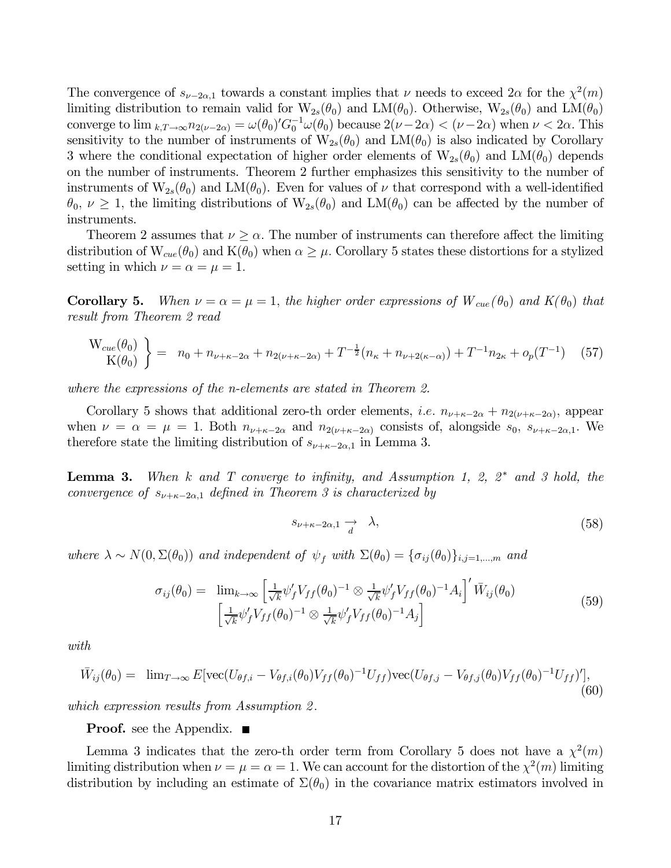The convergence of  $s_{\nu-2\alpha,1}$  towards a constant implies that  $\nu$  needs to exceed  $2\alpha$  for the  $\chi^2(m)$ limiting distribution to remain valid for  $W_{2s}(\theta_0)$  and  $LM(\theta_0)$ . Otherwise,  $W_{2s}(\theta_0)$  and  $LM(\theta_0)$ converge to  $\lim_{k,T\to\infty} n_{2(\nu-2\alpha)} = \omega(\theta_0)' G_0^{-1} \omega(\theta_0)$  because  $2(\nu-2\alpha) < (\nu-2\alpha)$  when  $\nu < 2\alpha$ . This sensitivity to the number of instruments of  $W_{2s}(\theta_0)$  and  $LM(\theta_0)$  is also indicated by Corollary 3 where the conditional expectation of higher order elements of  $W_{2s}(\theta_0)$  and  $LM(\theta_0)$  depends on the number of instruments. Theorem 2 further emphasizes this sensitivity to the number of instruments of  $W_{2s}(\theta_0)$  and  $LM(\theta_0)$ . Even for values of  $\nu$  that correspond with a well-identified  $\theta_0, \nu \geq 1$ , the limiting distributions of  $W_{2s}(\theta_0)$  and  $LM(\theta_0)$  can be affected by the number of instruments.

Theorem 2 assumes that  $\nu > \alpha$ . The number of instruments can therefore affect the limiting distribution of  $W_{cue}(\theta_0)$  and  $K(\theta_0)$  when  $\alpha \geq \mu$ . Corollary 5 states these distortions for a stylized setting in which  $\nu = \alpha = \mu = 1$ .

**Corollary 5.** When  $\nu = \alpha = \mu = 1$ , the higher order expressions of  $W_{cue}(\theta_0)$  and  $K(\theta_0)$  that result from Theorem 2 read

$$
\begin{aligned} \mathcal{W}_{cue}(\theta_0) \\ \mathcal{K}(\theta_0) \end{aligned} \bigg\} = n_0 + n_{\nu + \kappa - 2\alpha} + n_{2(\nu + \kappa - 2\alpha)} + T^{-\frac{1}{2}}(n_{\kappa} + n_{\nu + 2(\kappa - \alpha)}) + T^{-1}n_{2\kappa} + o_p(T^{-1}) \tag{57}
$$

where the expressions of the n-elements are stated in Theorem 2.

Corollary 5 shows that additional zero-th order elements, *i.e.*  $n_{\nu+\kappa-2\alpha} + n_{2(\nu+\kappa-2\alpha)}$ , appear when  $\nu = \alpha = \mu = 1$ . Both  $n_{\nu+\kappa-2\alpha}$  and  $n_{2(\nu+\kappa-2\alpha)}$  consists of, alongside  $s_0$ ,  $s_{\nu+\kappa-2\alpha,1}$ . We therefore state the limiting distribution of  $s_{\nu+\kappa-2\alpha,1}$  in Lemma 3.

**Lemma 3.** When k and T converge to infinity, and Assumption 1, 2,  $2^*$  and 3 hold, the convergence of  $s_{\nu+\kappa-2\alpha,1}$  defined in Theorem 3 is characterized by

$$
s_{\nu+\kappa-2\alpha,1} \xrightarrow{d} \lambda,\tag{58}
$$

where  $\lambda \sim N(0, \Sigma(\theta_0))$  and independent of  $\psi_f$  with  $\Sigma(\theta_0) = {\sigma_{ij}(\theta_0)}_{i,j=1,\dots,m}$  and

$$
\sigma_{ij}(\theta_0) = \lim_{k \to \infty} \left[ \frac{1}{\sqrt{k}} \psi'_f V_{ff}(\theta_0)^{-1} \otimes \frac{1}{\sqrt{k}} \psi'_f V_{ff}(\theta_0)^{-1} A_i \right]' \bar{W}_{ij}(\theta_0)
$$
\n
$$
\left[ \frac{1}{\sqrt{k}} \psi'_f V_{ff}(\theta_0)^{-1} \otimes \frac{1}{\sqrt{k}} \psi'_f V_{ff}(\theta_0)^{-1} A_j \right]
$$
\n(59)

with

$$
\bar{W}_{ij}(\theta_0) = \lim_{T \to \infty} E[\text{vec}(U_{\theta f,i} - V_{\theta f,i}(\theta_0)V_{ff}(\theta_0)^{-1}U_{ff})\text{vec}(U_{\theta f,j} - V_{\theta f,j}(\theta_0)V_{ff}(\theta_0)^{-1}U_{ff})'],
$$
\n(60)

which expression results from Assumption 2.

**Proof.** see the Appendix.  $\blacksquare$ 

Lemma 3 indicates that the zero-th order term from Corollary 5 does not have a  $\chi^2(m)$ limiting distribution when  $\nu = \mu = \alpha = 1$ . We can account for the distortion of the  $\chi^2(m)$  limiting distribution by including an estimate of  $\Sigma(\theta_0)$  in the covariance matrix estimators involved in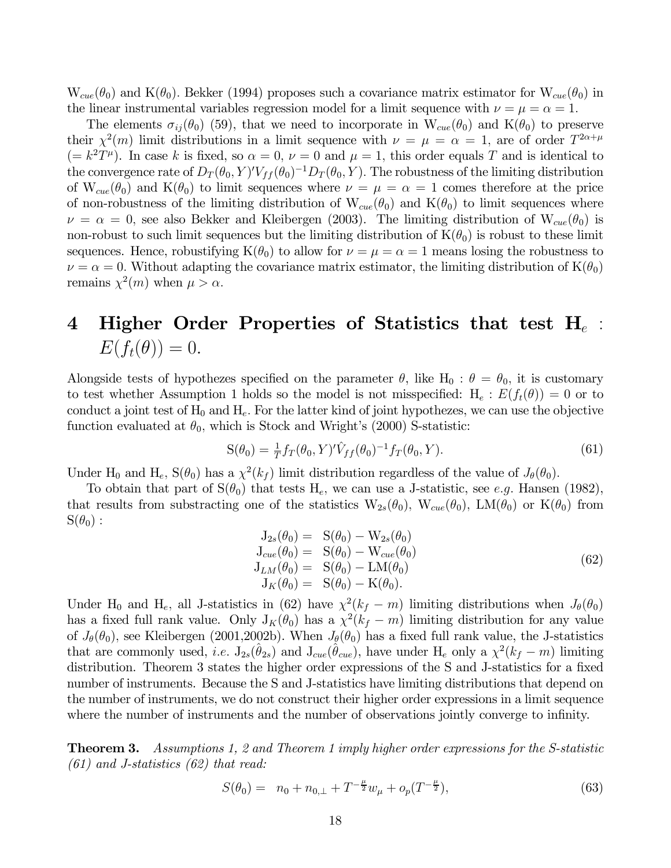$W_{cue}(\theta_0)$  and  $K(\theta_0)$ . Bekker (1994) proposes such a covariance matrix estimator for  $W_{cue}(\theta_0)$  in the linear instrumental variables regression model for a limit sequence with  $\nu = \mu = \alpha = 1$ .

The elements  $\sigma_{ij}(\theta_0)$  (59), that we need to incorporate in  $W_{cue}(\theta_0)$  and  $K(\theta_0)$  to preserve their  $\chi^2(m)$  limit distributions in a limit sequence with  $\nu = \mu = \alpha = 1$ , are of order  $T^{2\alpha+\mu}$  $(= k^2 T^{\mu})$ . In case k is fixed, so  $\alpha = 0$ ,  $\nu = 0$  and  $\mu = 1$ , this order equals T and is identical to the convergence rate of  $D_T(\theta_0, Y)' V_{ff}(\theta_0)^{-1} D_T(\theta_0, Y)$ . The robustness of the limiting distribution of  $W_{cue}(\theta_0)$  and  $K(\theta_0)$  to limit sequences where  $\nu = \mu = \alpha = 1$  comes therefore at the price of non-robustness of the limiting distribution of  $W_{cue}(\theta_0)$  and  $K(\theta_0)$  to limit sequences where  $\nu = \alpha = 0$ , see also Bekker and Kleibergen (2003). The limiting distribution of  $W_{cue}(\theta_0)$  is non-robust to such limit sequences but the limiting distribution of  $K(\theta_0)$  is robust to these limit sequences. Hence, robustifying  $K(\theta_0)$  to allow for  $\nu = \mu = \alpha = 1$  means losing the robustness to  $\nu = \alpha = 0$ . Without adapting the covariance matrix estimator, the limiting distribution of  $K(\theta_0)$ remains  $\chi^2(m)$  when  $\mu > \alpha$ .

# 4 Higher Order Properties of Statistics that test  $H_e$ :  $E(f_t(\theta))=0.$

Alongside tests of hypothezes specified on the parameter  $\theta$ , like H<sub>0</sub> :  $\theta = \theta_0$ , it is customary to test whether Assumption 1 holds so the model is not misspecified:  $H_e: E(f_t(\theta)) = 0$  or to conduct a joint test of  $H_0$  and  $H_e$ . For the latter kind of joint hypothezes, we can use the objective function evaluated at  $\theta_0$ , which is Stock and Wright's (2000) S-statistic:

$$
S(\theta_0) = \frac{1}{T} f_T(\theta_0, Y)' \hat{V}_{ff}(\theta_0)^{-1} f_T(\theta_0, Y).
$$
\n(61)

Under H<sub>0</sub> and H<sub>e</sub>, S( $\theta_0$ ) has a  $\chi^2(k_f)$  limit distribution regardless of the value of  $J_\theta(\theta_0)$ .

To obtain that part of  $S(\theta_0)$  that tests  $H_e$ , we can use a J-statistic, see e.g. Hansen (1982), that results from substracting one of the statistics  $W_{2s}(\theta_0)$ ,  $W_{cue}(\theta_0)$ ,  $LM(\theta_0)$  or  $K(\theta_0)$  from  $S(\theta_0):$ 

$$
J_{2s}(\theta_0) = S(\theta_0) - W_{2s}(\theta_0)
$$
  
\n
$$
J_{cue}(\theta_0) = S(\theta_0) - W_{cue}(\theta_0)
$$
  
\n
$$
J_{LM}(\theta_0) = S(\theta_0) - LM(\theta_0)
$$
  
\n
$$
J_K(\theta_0) = S(\theta_0) - K(\theta_0).
$$
\n(62)

Under H<sub>0</sub> and H<sub>e</sub>, all J-statistics in (62) have  $\chi^2(k_f - m)$  limiting distributions when  $J_\theta(\theta_0)$ has a fixed full rank value. Only  $J_K(\theta_0)$  has a  $\chi^2(k_f - m)$  limiting distribution for any value of  $J_{\theta}(\theta_0)$ , see Kleibergen (2001,2002b). When  $J_{\theta}(\theta_0)$  has a fixed full rank value, the J-statistics that are commonly used, i.e.  $J_{2s}(\hat{\theta}_{2s})$  and  $J_{cue}(\hat{\theta}_{cue})$ , have under  $H_e$  only a  $\chi^2(k_f - m)$  limiting distribution. Theorem 3 states the higher order expressions of the S and J-statistics for a fixed number of instruments. Because the S and J-statistics have limiting distributions that depend on the number of instruments, we do not construct their higher order expressions in a limit sequence where the number of instruments and the number of observations jointly converge to infinity.

**Theorem 3.** Assumptions 1, 2 and Theorem 1 imply higher order expressions for the S-statistic  $(61)$  and J-statistics  $(62)$  that read:

$$
S(\theta_0) = n_0 + n_{0,\perp} + T^{-\frac{\mu}{2}} w_{\mu} + o_p(T^{-\frac{\mu}{2}}), \tag{63}
$$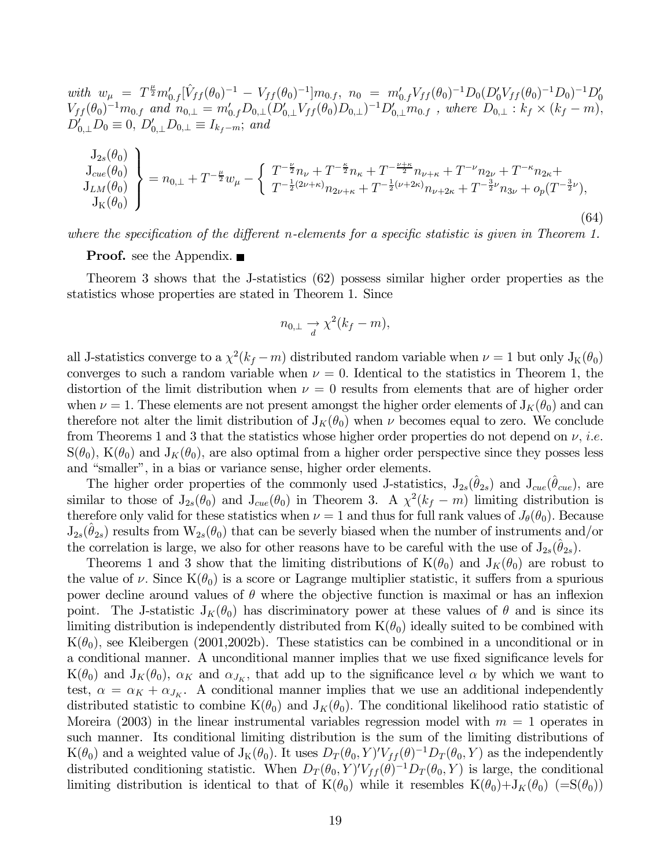$with \ \ w_{\mu} = T^{\frac{\mu}{2}} m'_{0,f} [\hat{V}_{ff}(\theta_0)^{-1} - V_{ff}(\theta_0)^{-1}] m_{0,f}, \ \ n_0 = m'_{0,f} V_{ff}(\theta_0)^{-1} D_0 (D'_0 V_{ff}(\theta_0)^{-1} D_0)^{-1} D'_0$  $V_{ff} (\theta_0)^{-1} m_{0,f}$  and  $n_{0,\perp} = m'_{0,f} D_{0,\perp} (D'_{0,\perp} V_{ff}(\theta_0) D_{0,\perp})^{-1} D'_{0,\perp} m_{0,f}$ , where  $D_{0,\perp} : k_f \times (k_f - m)$ ,  $D'_{0,\perp}D_0 \equiv 0, D'_{0,\perp}D_{0,\perp} \equiv I_{k_f-m};$  and

$$
\begin{aligned}\n\mathcal{J}_{2s}(\theta_{0}) \\
\mathcal{J}_{cue}(\theta_{0}) \\
\mathcal{J}_{LM}(\theta_{0}) \\
\mathcal{J}_{K}(\theta_{0})\n\end{aligned}\n\bigg\} = n_{0,\perp} + T^{-\frac{\mu}{2}} w_{\mu} - \left\{ \begin{aligned}\nT^{-\frac{\nu}{2}} n_{\nu} + T^{-\frac{\kappa}{2}} n_{\kappa} + T^{-\frac{\nu+\kappa}{2}} n_{\nu+\kappa} + T^{-\nu} n_{2\nu} + T^{-\kappa} n_{2\kappa} + \\
T^{-\frac{1}{2}(\nu+\kappa)} n_{2\nu+\kappa} + T^{-\frac{1}{2}(\nu+2\kappa)} n_{\nu+2\kappa} + T^{-\frac{3}{2}\nu} n_{3\nu} + o_{p}(T^{-\frac{3}{2}\nu}),\n\end{aligned}\n\right. \tag{64}
$$

where the specification of the different n-elements for a specific statistic is given in Theorem 1.

**Proof.** see the Appendix. ■

Theorem 3 shows that the J-statistics (62) possess similar higher order properties as the statistics whose properties are stated in Theorem 1. Since

$$
n_{0,\perp} \xrightarrow[d]{} \chi^2(k_f - m),
$$

all J-statistics converge to a  $\chi^2(k_f - m)$  distributed random variable when  $\nu = 1$  but only  $J_K(\theta_0)$ converges to such a random variable when  $\nu = 0$ . Identical to the statistics in Theorem 1, the distortion of the limit distribution when  $\nu = 0$  results from elements that are of higher order when  $\nu = 1$ . These elements are not present amongst the higher order elements of  $J_K(\theta_0)$  and can therefore not alter the limit distribution of  $J_K(\theta_0)$  when  $\nu$  becomes equal to zero. We conclude from Theorems 1 and 3 that the statistics whose higher order properties do not depend on  $\nu$ , *i.e.*  $S(\theta_0)$ ,  $K(\theta_0)$  and  $J_K(\theta_0)$ , are also optimal from a higher order perspective since they posses less and "smaller", in a bias or variance sense, higher order elements.

The higher order properties of the commonly used J-statistics,  $J_{2s}(\hat{\theta}_{2s})$  and  $J_{cue}(\hat{\theta}_{cue})$ , are similar to those of  $J_{2s}(\theta_0)$  and  $J_{cue}(\theta_0)$  in Theorem 3. A  $\chi^2(k_f - m)$  limiting distribution is therefore only valid for these statistics when  $\nu = 1$  and thus for full rank values of  $J_{\theta}(\theta_0)$ . Because  $J_{2s}(\theta_{2s})$  results from  $W_{2s}(\theta_0)$  that can be severly biased when the number of instruments and/or the correlation is large, we also for other reasons have to be careful with the use of  $J_{2s}(\theta_{2s})$ .

Theorems 1 and 3 show that the limiting distributions of  $K(\theta_0)$  and  $J_K(\theta_0)$  are robust to the value of  $\nu$ . Since  $K(\theta_0)$  is a score or Lagrange multiplier statistic, it suffers from a spurious power decline around values of  $\theta$  where the objective function is maximal or has an inflexion point. The J-statistic  $J_K(\theta_0)$  has discriminatory power at these values of  $\theta$  and is since its limiting distribution is independently distributed from  $K(\theta_0)$  ideally suited to be combined with  $K(\theta_0)$ , see Kleibergen (2001,2002b). These statistics can be combined in a unconditional or in a conditional manner. A unconditional manner implies that we use fixed significance levels for  $K(\theta_0)$  and  $J_K(\theta_0)$ ,  $\alpha_K$  and  $\alpha_{J_K}$ , that add up to the significance level  $\alpha$  by which we want to test,  $\alpha = \alpha_K + \alpha_{J_K}$ . A conditional manner implies that we use an additional independently distributed statistic to combine  $K(\theta_0)$  and  $J_K(\theta_0)$ . The conditional likelihood ratio statistic of Moreira (2003) in the linear instrumental variables regression model with  $m = 1$  operates in such manner. Its conditional limiting distribution is the sum of the limiting distributions of  $K(\theta_0)$  and a weighted value of  $J_K(\theta_0)$ . It uses  $D_T(\theta_0, Y)'V_{ff}(\theta)^{-1}D_T(\theta_0, Y)$  as the independently distributed conditioning statistic. When  $D_T(\theta_0, Y)'V_{ff}(\theta)^{-1}D_T(\theta_0, Y)$  is large, the conditional limiting distribution is identical to that of  $K(\theta_0)$  while it resembles  $K(\theta_0)+J_K(\theta_0)$  (=S( $\theta_0$ ))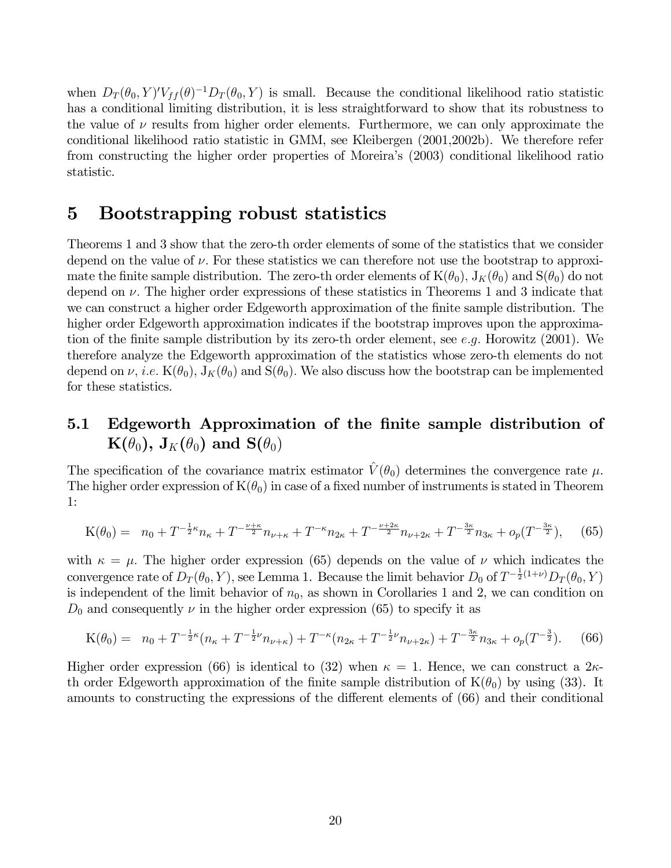when  $D_T(\theta_0, Y)' V_{ff}(\theta)^{-1} D_T(\theta_0, Y)$  is small. Because the conditional likelihood ratio statistic has a conditional limiting distribution, it is less straightforward to show that its robustness to the value of  $\nu$  results from higher order elements. Furthermore, we can only approximate the conditional likelihood ratio statistic in GMM, see Kleibergen (2001,2002b). We therefore refer from constructing the higher order properties of Moreira's (2003) conditional likelihood ratio statistic.

### 5 Bootstrapping robust statistics

Theorems 1 and 3 show that the zero-th order elements of some of the statistics that we consider depend on the value of  $\nu$ . For these statistics we can therefore not use the bootstrap to approximate the finite sample distribution. The zero-th order elements of  $K(\theta_0)$ ,  $J_K(\theta_0)$  and  $S(\theta_0)$  do not depend on  $\nu$ . The higher order expressions of these statistics in Theorems 1 and 3 indicate that we can construct a higher order Edgeworth approximation of the finite sample distribution. The higher order Edgeworth approximation indicates if the bootstrap improves upon the approximation of the finite sample distribution by its zero-th order element, see e.g. Horowitz (2001). We therefore analyze the Edgeworth approximation of the statistics whose zero-th elements do not depend on  $\nu$ , *i.e.* K( $\theta_0$ ), J<sub>K</sub>( $\theta_0$ ) and S( $\theta_0$ ). We also discuss how the bootstrap can be implemented for these statistics.

### 5.1 Edgeworth Approximation of the finite sample distribution of  $\mathbf{K}(\theta_0)$ ,  $\mathbf{J}_K(\theta_0)$  and  $\mathbf{S}(\theta_0)$

The specification of the covariance matrix estimator  $\hat{V}(\theta_0)$  determines the convergence rate  $\mu$ . The higher order expression of  $K(\theta_0)$  in case of a fixed number of instruments is stated in Theorem 1:

$$
K(\theta_0) = n_0 + T^{-\frac{1}{2}\kappa} n_{\kappa} + T^{-\frac{\nu+\kappa}{2}} n_{\nu+\kappa} + T^{-\kappa} n_{2\kappa} + T^{-\frac{\nu+2\kappa}{2}} n_{\nu+2\kappa} + T^{-\frac{3\kappa}{2}} n_{3\kappa} + o_p(T^{-\frac{3\kappa}{2}}), \quad (65)
$$

with  $\kappa = \mu$ . The higher order expression (65) depends on the value of  $\nu$  which indicates the convergence rate of  $D_T(\theta_0, Y)$ , see Lemma 1. Because the limit behavior  $D_0$  of  $T^{-\frac{1}{2}(1+\nu)}D_T(\theta_0, Y)$ is independent of the limit behavior of  $n_0$ , as shown in Corollaries 1 and 2, we can condition on  $D_0$  and consequently  $\nu$  in the higher order expression (65) to specify it as

$$
K(\theta_0) = n_0 + T^{-\frac{1}{2}\kappa} (n_{\kappa} + T^{-\frac{1}{2}\nu} n_{\nu + \kappa}) + T^{-\kappa} (n_{2\kappa} + T^{-\frac{1}{2}\nu} n_{\nu + 2\kappa}) + T^{-\frac{3\kappa}{2}} n_{3\kappa} + o_p(T^{-\frac{3}{2}}). \tag{66}
$$

Higher order expression (66) is identical to (32) when  $\kappa = 1$ . Hence, we can construct a  $2\kappa$ th order Edgeworth approximation of the finite sample distribution of  $K(\theta_0)$  by using (33). It amounts to constructing the expressions of the different elements of (66) and their conditional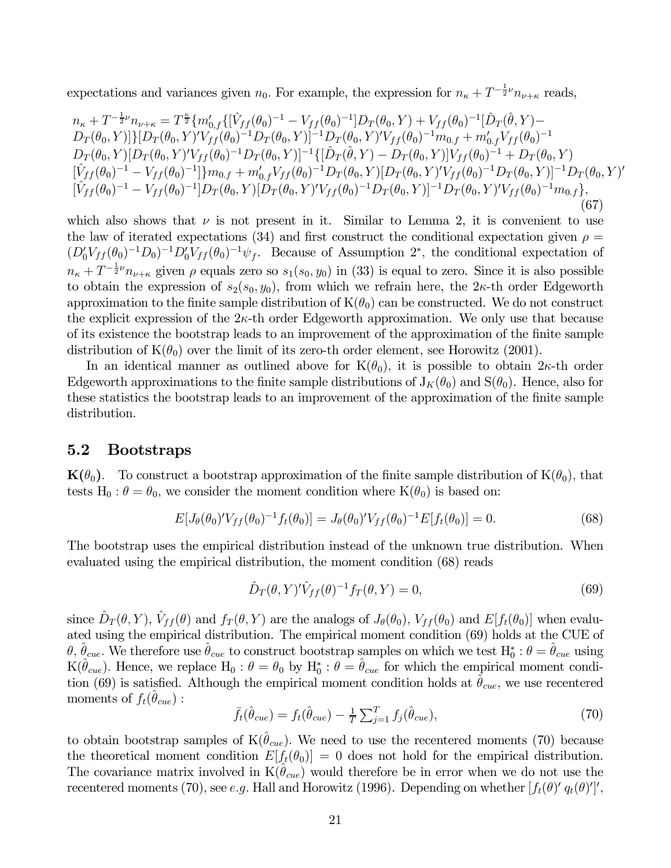expectations and variances given  $n_0$ . For example, the expression for  $n_{\kappa} + T^{-\frac{1}{2}\nu} n_{\nu+\kappa}$  reads,

$$
n_{\kappa} + T^{-\frac{1}{2}\nu} n_{\nu+\kappa} = T^{\frac{\kappa}{2}} \{ m'_{0,f} \{ [\hat{V}_{ff}(\theta_0)^{-1} - V_{ff}(\theta_0)^{-1}] D_T(\theta_0, Y) + V_{ff}(\theta_0)^{-1} [\hat{D}_T(\hat{\theta}, Y) - D_T(\theta_0, Y)] \} [D_T(\theta_0, Y)' V_{ff}(\theta_0)^{-1} D_T(\theta_0, Y)]^{-1} D_T(\theta_0, Y)' V_{ff}(\theta_0)^{-1} m_{0,f} + m'_{0,f} V_{ff}(\theta_0)^{-1} \nD_T(\theta_0, Y) [D_T(\theta_0, Y)' V_{ff}(\theta_0)^{-1} D_T(\theta_0, Y)]^{-1} \{ [\hat{D}_T(\hat{\theta}, Y) - D_T(\theta_0, Y)] V_{ff}(\theta_0)^{-1} + D_T(\theta_0, Y) \n[\hat{V}_{ff}(\theta_0)^{-1} - V_{ff}(\theta_0)^{-1}] \} m_{0,f} + m'_{0,f} V_{ff}(\theta_0)^{-1} D_T(\theta_0, Y) [D_T(\theta_0, Y)' V_{ff}(\theta_0)^{-1} D_T(\theta_0, Y)]^{-1} D_T(\theta_0, Y)' \n[\hat{V}_{ff}(\theta_0)^{-1} - V_{ff}(\theta_0)^{-1}] D_T(\theta_0, Y) [D_T(\theta_0, Y)' V_{ff}(\theta_0)^{-1} D_T(\theta_0, Y)' V_{ff}(\theta_0)^{-1} m_{0,f} \},
$$
\n(67)

which also shows that  $\nu$  is not present in it. Similar to Lemma 2, it is convenient to use the law of iterated expectations (34) and first construct the conditional expectation given  $\rho =$  $(D'_0V_{ff}(\theta_0)^{-1}D_0)^{-1}D'_0V_{ff}(\theta_0)^{-1}\psi_f$ . Because of Assumption 2<sup>∗</sup>, the conditional expectation of  $n_{\kappa} + T^{-\frac{1}{2}\nu} n_{\nu+\kappa}$  given  $\rho$  equals zero so  $s_1(s_0, y_0)$  in (33) is equal to zero. Since it is also possible to obtain the expression of  $s_2(s_0, y_0)$ , from which we refrain here, the  $2\kappa$ -th order Edgeworth approximation to the finite sample distribution of  $K(\theta_0)$  can be constructed. We do not construct the explicit expression of the  $2\kappa$ -th order Edgeworth approximation. We only use that because of its existence the bootstrap leads to an improvement of the approximation of the finite sample distribution of  $K(\theta_0)$  over the limit of its zero-th order element, see Horowitz (2001).

In an identical manner as outlined above for  $K(\theta_0)$ , it is possible to obtain  $2\kappa$ -th order Edgeworth approximations to the finite sample distributions of  $J_K(\theta_0)$  and  $S(\theta_0)$ . Hence, also for these statistics the bootstrap leads to an improvement of the approximation of the finite sample distribution.

#### 5.2 Bootstraps

 $\mathbf{K}(\theta_0)$ . To construct a bootstrap approximation of the finite sample distribution of  $\mathbf{K}(\theta_0)$ , that tests H<sub>0</sub> :  $\theta = \theta_0$ , we consider the moment condition where K( $\theta_0$ ) is based on:

$$
E[J_{\theta}(\theta_0)'V_{ff}(\theta_0)^{-1}f_t(\theta_0)] = J_{\theta}(\theta_0)'V_{ff}(\theta_0)^{-1}E[f_t(\theta_0)] = 0.
$$
\n(68)

The bootstrap uses the empirical distribution instead of the unknown true distribution. When evaluated using the empirical distribution, the moment condition (68) reads

$$
\hat{D}_T(\theta, Y)^{\prime} \hat{V}_{ff}(\theta)^{-1} f_T(\theta, Y) = 0,\tag{69}
$$

since  $\hat{D}_T(\theta, Y)$ ,  $\hat{V}_{ff}(\theta)$  and  $f_T(\theta, Y)$  are the analogs of  $J_\theta(\theta_0)$ ,  $V_{ff}(\theta_0)$  and  $E[f_t(\theta_0)]$  when evaluated using the empirical distribution. The empirical moment condition (69) holds at the CUE of  $\theta$ ,  $\hat{\theta}_{cue}$ . We therefore use  $\hat{\theta}_{cue}$  to construct bootstrap samples on which we test  $H_0^*: \theta = \hat{\theta}_{cue}$  using  $K(\hat{\theta}_{cue})$ . Hence, we replace  $H_0: \theta = \theta_0$  by  $H_0^*: \theta = \hat{\theta}_{cue}$  for which the empirical moment condition (69) is satisfied. Although the empirical moment condition holds at  $\theta_{cue}$ , we use recentered moments of  $f_t(\theta_{cue})$  :

$$
\bar{f}_t(\hat{\theta}_{cue}) = f_t(\hat{\theta}_{cue}) - \frac{1}{T} \sum_{j=1}^T f_j(\hat{\theta}_{cue}), \qquad (70)
$$

to obtain bootstrap samples of  $K(\hat{\theta}_{cue})$ . We need to use the recentered moments (70) because the theoretical moment condition  $E[f_t(\theta_0)] = 0$  does not hold for the empirical distribution. The covariance matrix involved in  $K(\theta_{cue})$  would therefore be in error when we do not use the recentered moments (70), see *e.g.* Hall and Horowitz (1996). Depending on whether  $[f_t(\theta)^\prime q_t(\theta)']'$ ,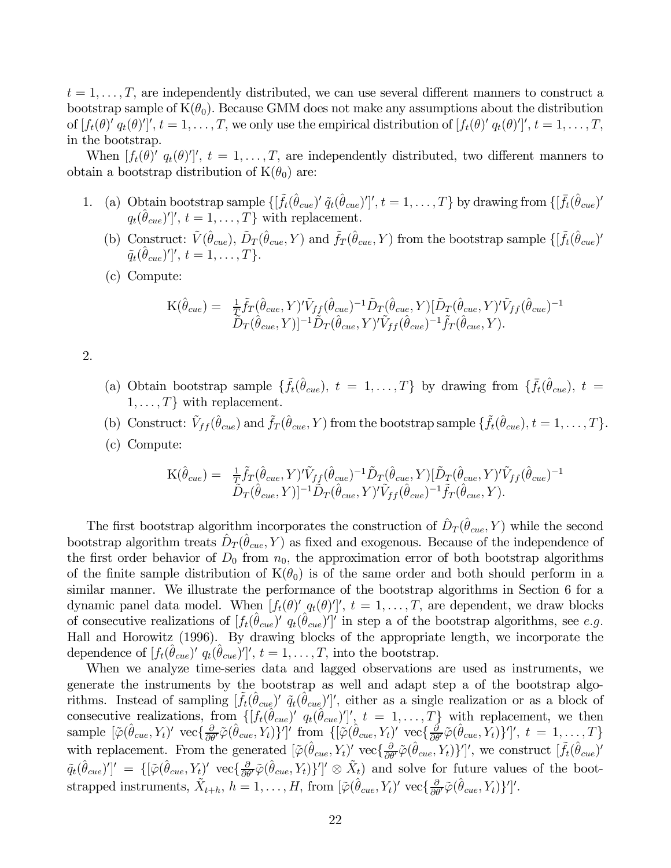$t = 1, \ldots, T$ , are independently distributed, we can use several different manners to construct a bootstrap sample of  $K(\theta_0)$ . Because GMM does not make any assumptions about the distribution of  $[f_t(\theta)' q_t(\theta)']', t = 1, \ldots, T$ , we only use the empirical distribution of  $[f_t(\theta)' q_t(\theta)']', t = 1, \ldots, T$ , in the bootstrap.

When  $[f_t(\theta)^\prime q_t(\theta)^\prime]^\prime$ ,  $t = 1, \ldots, T$ , are independently distributed, two different manners to obtain a bootstrap distribution of  $K(\theta_0)$  are:

- 1. (a) Obtain bootstrap sample  $\{\left[\tilde{f}_t(\hat{\theta}_{cue})'\tilde{q}_t(\hat{\theta}_{cue})'\right]$ ,  $t = 1, \ldots, T\}$  by drawing from  $\{\left[\bar{f}_t(\hat{\theta}_{cue})'\right]$  $q_t(\hat{\theta}_{cue})'$ ,  $t = 1, \ldots, T$  with replacement.
	- (b) Construct:  $\tilde{V}(\hat{\theta}_{cue}), \tilde{D}_{T}(\hat{\theta}_{cue}, Y)$  and  $\tilde{f}_{T}(\hat{\theta}_{cue}, Y)$  from the bootstrap sample  $\{\tilde{f}_{t}(\hat{\theta}_{cue})\}$  $\widetilde{q}_t(\hat{\theta}_{cue})'|',\,t=1,\ldots,T\}.$
	- (c) Compute:

$$
\mathcal{K}(\hat{\theta}_{cue}) = \frac{1}{T} \tilde{f}_T(\hat{\theta}_{cue}, Y)' \tilde{V}_{ff}(\hat{\theta}_{cue})^{-1} \tilde{D}_T(\hat{\theta}_{cue}, Y) [\tilde{D}_T(\hat{\theta}_{cue}, Y)' \tilde{V}_{ff}(\hat{\theta}_{cue})^{-1} \n\tilde{D}_T(\hat{\theta}_{cue}, Y)]^{-1} \tilde{D}_T(\hat{\theta}_{cue}, Y)' \tilde{V}_{ff}(\hat{\theta}_{cue})^{-1} \tilde{f}_T(\hat{\theta}_{cue}, Y).
$$

2.

- (a) Obtain bootstrap sample  $\{\tilde{f}_t(\hat{\theta}_{cue}), t = 1,\ldots,T\}$  by drawing from  $\{\bar{f}_t(\hat{\theta}_{cue}), t =$  $1,\ldots,T$  with replacement.
- (b) Construct:  $\tilde{V}_{ff}(\hat{\theta}_{cue})$  and  $\tilde{f}_T(\hat{\theta}_{cue}, Y)$  from the bootstrap sample  $\{\tilde{f}_t(\hat{\theta}_{cue}), t = 1, \ldots, T\}$ .
- (c) Compute:

$$
\mathcal{K}(\hat{\theta}_{cue}) = \frac{1}{T} \tilde{f}_T(\hat{\theta}_{cue}, Y)' \tilde{V}_{ff}(\hat{\theta}_{cue})^{-1} \tilde{D}_T(\hat{\theta}_{cue}, Y) [\tilde{D}_T(\hat{\theta}_{cue}, Y)' \tilde{V}_{ff}(\hat{\theta}_{cue})^{-1} \n\tilde{D}_T(\hat{\theta}_{cue}, Y)]^{-1} \tilde{D}_T(\hat{\theta}_{cue}, Y)' \tilde{V}_{ff}(\hat{\theta}_{cue})^{-1} \tilde{f}_T(\hat{\theta}_{cue}, Y).
$$

The first bootstrap algorithm incorporates the construction of  $\hat{D}_T(\hat{\theta}_{cue}, Y)$  while the second bootstrap algorithm treats  $\hat{D}_T(\hat{\theta}_{cue}, Y)$  as fixed and exogenous. Because of the independence of the first order behavior of  $D_0$  from  $n_0$ , the approximation error of both bootstrap algorithms of the finite sample distribution of  $K(\theta_0)$  is of the same order and both should perform in a similar manner. We illustrate the performance of the bootstrap algorithms in Section 6 for a dynamic panel data model. When  $[f_t(\theta)^\prime] q_t(\theta)^\prime]'$ ,  $t = 1, \ldots, T$ , are dependent, we draw blocks of consecutive realizations of  $[f_t(\hat{\theta}_{cue})' q_t(\hat{\theta}_{cue})']'$  in step a of the bootstrap algorithms, see e.g. Hall and Horowitz (1996). By drawing blocks of the appropriate length, we incorporate the dependence of  $[f_t(\hat{\theta}_{cue})' q_t(\hat{\theta}_{cue})']', t = 1, \ldots, T$ , into the bootstrap.

When we analyze time-series data and lagged observations are used as instruments, we generate the instruments by the bootstrap as well and adapt step a of the bootstrap algorithms. Instead of sampling  $[\tilde{f}_t(\hat{\theta}_{cue})' \tilde{q}_t(\hat{\theta}_{cue})']'$ , either as a single realization or as a block of consecutive realizations, from  $\{[f_t(\hat{\theta}_{cue})']' \cdot q_t(\hat{\theta}_{cue})'\}$ ,  $t = 1, \ldots, T\}$  with replacement, we then sample  $[\tilde{\varphi}(\hat{\theta}_{cue}, Y_t)' \text{ vec}\left\{\frac{\partial}{\partial \theta'}\tilde{\varphi}(\hat{\theta}_{cue}, Y_t)\right\}']' \text{ from } \{[\tilde{\varphi}(\hat{\theta}_{cue}, Y_t)' \text{ vec}\left\{\frac{\partial}{\partial \theta'}\tilde{\varphi}(\hat{\theta}_{cue}, Y_t)\right\}']', t = 1, ..., T\}$ with replacement. From the generated  $[\tilde{\varphi}(\hat{\theta}_{cue}, Y_t)']$  vec $\{\frac{\partial}{\partial \theta'}\tilde{\varphi}(\hat{\theta}_{cue}, Y_t)\}'$ , we construct  $[\tilde{f}_t(\hat{\theta}_{cue})'$  $\tilde{q}_t(\hat{\theta}_{cue})'$  = { $[\tilde{\varphi}(\hat{\theta}_{cue}, Y_t)'$  vec $\{\frac{\partial}{\partial \theta'}\tilde{\varphi}(\hat{\theta}_{cue}, Y_t)\}']' \otimes \tilde{X}_t$  and solve for future values of the bootstrapped instruments,  $\tilde{X}_{t+h}$ ,  $h = 1, \ldots, H$ , from  $\left[ \tilde{\varphi}(\hat{\theta}_{cue}, Y_t)' \, \text{vec}\{\frac{\partial}{\partial \theta'} \tilde{\varphi}(\hat{\theta}_{cue}, Y_t) \} \right]'$ .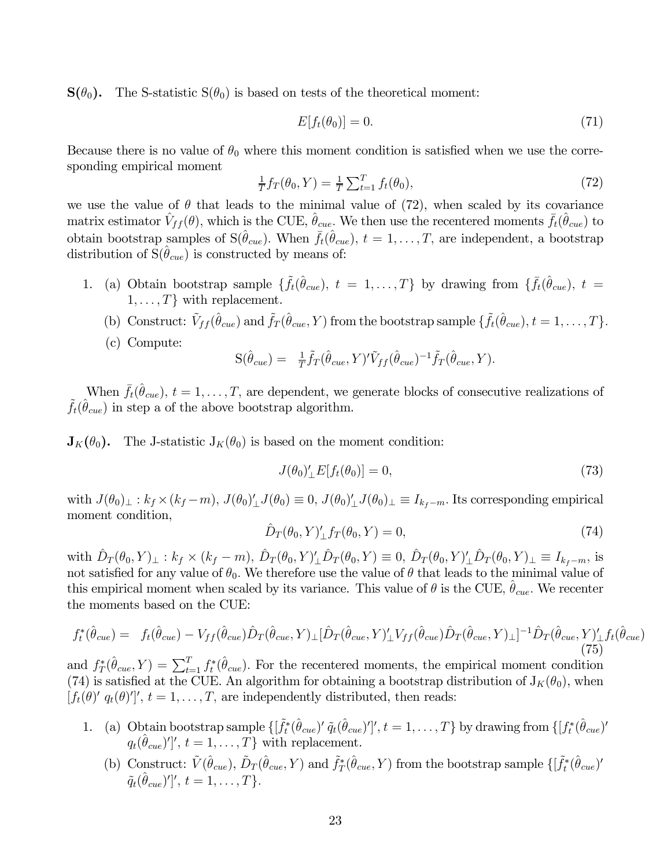$\mathbf{S}(\theta_0)$ . The S-statistic  $\mathbf{S}(\theta_0)$  is based on tests of the theoretical moment:

$$
E[f_t(\theta_0)] = 0.\t\t(71)
$$

Because there is no value of  $\theta_0$  where this moment condition is satisfied when we use the corresponding empirical moment

$$
\frac{1}{T}f_T(\theta_0, Y) = \frac{1}{T} \sum_{t=1}^T f_t(\theta_0),
$$
\n(72)

we use the value of  $\theta$  that leads to the minimal value of (72), when scaled by its covariance matrix estimator  $\hat{V}_{ff}(\theta)$ , which is the CUE,  $\hat{\theta}_{cue}$ . We then use the recentered moments  $\bar{f}_{t}(\hat{\theta}_{cue})$  to obtain bootstrap samples of  $S(\hat{\theta}_{cue})$ . When  $\bar{f}_t(\hat{\theta}_{cue})$ ,  $t = 1, \ldots, T$ , are independent, a bootstrap distribution of  $S(\hat{\theta}_{cue})$  is constructed by means of:

- 1. (a) Obtain bootstrap sample  $\{\tilde{f}_t(\hat{\theta}_{cue}), t = 1, \ldots, T\}$  by drawing from  $\{\bar{f}_t(\hat{\theta}_{cue}), t =$  $1, \ldots, T$  with replacement.
	- (b) Construct:  $\tilde{V}_{ff}(\hat{\theta}_{cue})$  and  $\tilde{f}_T(\hat{\theta}_{cue}, Y)$  from the bootstrap sample  $\{\tilde{f}_t(\hat{\theta}_{cue}), t = 1, \ldots, T\}$ .
	- (c) Compute:

$$
S(\hat{\theta}_{cue}) = \frac{1}{T}\tilde{f}_T(\hat{\theta}_{cue}, Y)' \tilde{V}_{ff}(\hat{\theta}_{cue})^{-1} \tilde{f}_T(\hat{\theta}_{cue}, Y).
$$

When  $\bar{f}_t(\hat{\theta}_{cue}), t = 1, \ldots, T$ , are dependent, we generate blocks of consecutive realizations of  $\tilde{f}_t(\hat{\theta}_{cue})$  in step a of the above bootstrap algorithm.

 $J_K(\theta_0)$ . The J-statistic  $J_K(\theta_0)$  is based on the moment condition:

$$
J(\theta_0)'_{\perp}E[f_t(\theta_0)] = 0,\t\t(73)
$$

with  $J(\theta_0)_\perp : k_f \times (k_f - m)$ ,  $J(\theta_0)'_\perp J(\theta_0) \equiv 0$ ,  $J(\theta_0)'_\perp J(\theta_0)_\perp \equiv I_{k_f - m}$ . Its corresponding empirical moment condition,

$$
\hat{D}_T(\theta_0, Y)'_{\perp} f_T(\theta_0, Y) = 0,\tag{74}
$$

with  $\hat{D}_T(\theta_0, Y)_\perp : k_f \times (k_f - m), \hat{D}_T(\theta_0, Y)'_\perp \hat{D}_T(\theta_0, Y) \equiv 0, \hat{D}_T(\theta_0, Y)'_\perp \hat{D}_T(\theta_0, Y)_\perp \equiv I_{k_f - m},$  is not satisfied for any value of  $\theta_0$ . We therefore use the value of  $\theta$  that leads to the minimal value of this empirical moment when scaled by its variance. This value of  $\theta$  is the CUE,  $\hat{\theta}_{cue}$ . We recenter the moments based on the CUE:

$$
f_t^*(\hat{\theta}_{cue}) = f_t(\hat{\theta}_{cue}) - V_{ff}(\hat{\theta}_{cue})\hat{D}_T(\hat{\theta}_{cue}, Y)_{\perp}[\hat{D}_T(\hat{\theta}_{cue}, Y)_{\perp}' V_{ff}(\hat{\theta}_{cue})\hat{D}_T(\hat{\theta}_{cue}, Y)_{\perp}]^{-1}\hat{D}_T(\hat{\theta}_{cue}, Y)_{\perp}' f_t(\hat{\theta}_{cue})
$$
\n(75)

and  $f_T^*(\hat{\theta}_{cue}, Y) = \sum_{t=1}^T f_t^*(\hat{\theta}_{cue})$ . For the recentered moments, the empirical moment condition (74) is satisfied at the CUE. An algorithm for obtaining a bootstrap distribution of  $J_K(\theta_0)$ , when  $[f_t(\theta)^\prime q_t(\theta)^\prime]'$ ,  $t = 1, \ldots, T$ , are independently distributed, then reads:

- 1. (a) Obtain bootstrap sample  $\{\left[\tilde{f}_t^*(\hat{\theta}_{cue})'\tilde{q}_t(\hat{\theta}_{cue})'\right]', t = 1,\ldots,T\}$  by drawing from  $\{\left[f_t^*(\hat{\theta}_{cue})'\right]$  $q_t(\hat{\theta}_{cue})'$ ,  $t = 1, \ldots, T$  with replacement.
	- (b) Construct:  $\tilde{V}(\hat{\theta}_{cue}), \tilde{D}_T(\hat{\theta}_{cue}, Y)$  and  $\tilde{f}_T^*(\hat{\theta}_{cue}, Y)$  from the bootstrap sample  $\{[\tilde{f}_t^*(\hat{\theta}_{cue})$  $\widetilde{q}_t(\hat{\theta}_{cue})'$ ',  $t = 1, \ldots, T$ }.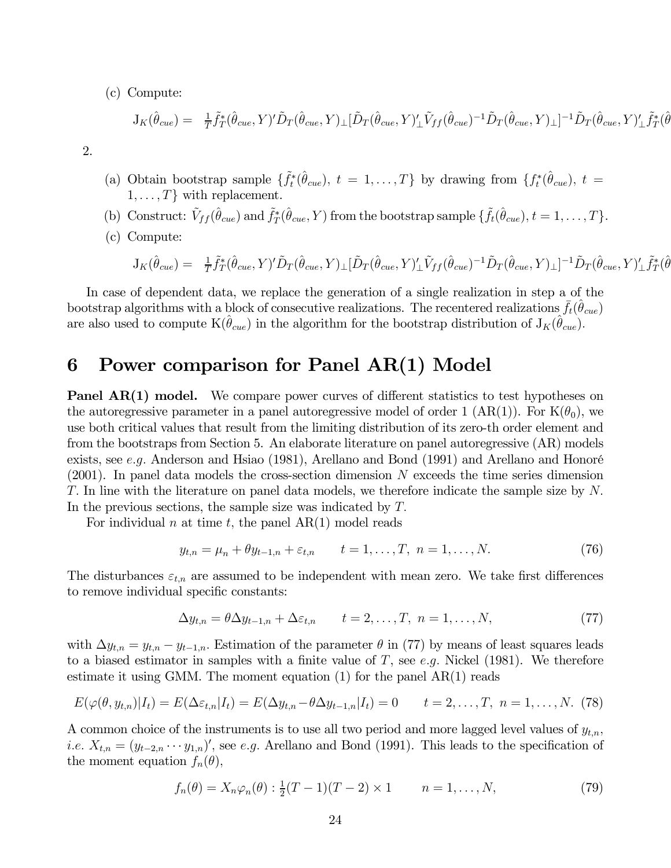(c) Compute:

$$
J_K(\hat{\theta}_{cue}) = \frac{1}{T} \tilde{f}_T^*(\hat{\theta}_{cue}, Y)' \tilde{D}_T(\hat{\theta}_{cue}, Y) \perp [\tilde{D}_T(\hat{\theta}_{cue}, Y)']_r \tilde{V}_{ff}(\hat{\theta}_{cue})^{-1} \tilde{D}_T(\hat{\theta}_{cue}, Y) \perp ]^{-1} \tilde{D}_T(\hat{\theta}_{cue}, Y)'_r \tilde{f}_T^*(\hat{\theta}_{cue}, Y) \perp \tilde{V}_{ff}(\hat{\theta}_{cue}, Y) \perp \tilde{V}_{ff}(\hat{\theta}_{cue}, Y) \perp \tilde{V}_{ff}(\hat{\theta}_{cue}, Y) \perp \tilde{V}_{ff}(\hat{\theta}_{cue}, Y) \perp \tilde{V}_{ff}(\hat{\theta}_{cue}, Y) \perp \tilde{V}_{ff}(\hat{\theta}_{cue}, Y) \perp \tilde{V}_{ff}(\hat{\theta}_{cue}, Y) \perp \tilde{V}_{ff}(\hat{\theta}_{cue}, Y) \perp \tilde{V}_{ff}(\hat{\theta}_{cue}, Y) \perp \tilde{V}_{ff}(\hat{\theta}_{cue}, Y) \perp \tilde{V}_{ff}(\hat{\theta}_{cue}, Y) \perp \tilde{V}_{ff}(\hat{\theta}_{cue}, Y) \perp \tilde{V}_{ff}(\hat{\theta}_{cue}, Y) \perp \tilde{V}_{ff}(\hat{\theta}_{cue}, Y) \perp \tilde{V}_{ff}(\hat{\theta}_{cue}, Y) \perp \tilde{V}_{ff}(\hat{\theta}_{cue}, Y) \perp \tilde{V}_{ff}(\hat{\theta}_{cue}, Y) \perp \tilde{V}_{ff}(\hat{\theta}_{cue}, Y) \perp \tilde{V}_{ff}(\hat{\theta}_{cue}, Y) \perp \tilde{V}_{ff}(\hat{\theta}_{cue}, Y) \perp \tilde{V}_{ff}(\hat{\theta}_{cue}, Y) \perp \tilde{V}_{ff}(\hat{\theta}_{cue}, Y) \perp \tilde{V}_{ff}(\hat{\theta}_{cue}, Y) \perp \tilde{V}_{ff}(\hat{\theta}_{cue}, Y) \perp \tilde{V}_{ff}(\hat{\theta}_{cue}, Y) \perp \tilde{V}_{ff}(\hat{\theta}_{cue}, Y) \perp \tilde{V}_{ff}(\hat{\theta}_{cue}, Y) \perp \tilde{V}_{ff}(\hat{\theta}_{cue}, Y) \perp \tilde{V}_{ff}(\hat
$$

2.

- (a) Obtain bootstrap sample  $\{\tilde{f}_t^*(\hat{\theta}_{cue}), t = 1,\ldots,T\}$  by drawing from  $\{f_t^*(\hat{\theta}_{cue}), t =$  $1, \ldots, T$  with replacement.
- (b) Construct:  $\tilde{V}_{ff}(\hat{\theta}_{cue})$  and  $\tilde{f}_{T}^{*}(\hat{\theta}_{cue}, Y)$  from the bootstrap sample  $\{\tilde{f}_{t}(\hat{\theta}_{cue}), t = 1, ..., T\}$ .
- (c) Compute:

$$
J_K(\hat{\theta}_{cue}) = \frac{1}{T} \tilde{f}_T^*(\hat{\theta}_{cue}, Y)' \tilde{D}_T(\hat{\theta}_{cue}, Y) \perp [\tilde{D}_T(\hat{\theta}_{cue}, Y)']_r \tilde{V}_{ff}(\hat{\theta}_{cue})^{-1} \tilde{D}_T(\hat{\theta}_{cue}, Y) \perp ]^{-1} \tilde{D}_T(\hat{\theta}_{cue}, Y) \perp f_T^*(\hat{\theta}_{cue}, Y) \perp \tilde{f}_T^*(\hat{\theta}_{cue}, Y) \perp \tilde{V}_{ff}(\hat{\theta}_{cue}, Y) \perp \tilde{V}_{ff}(\hat{\theta}_{cue}, Y) \perp \tilde{V}_{ff}(\hat{\theta}_{cue}, Y) \perp \tilde{V}_{ff}(\hat{\theta}_{cue}, Y) \perp \tilde{V}_{ff}(\hat{\theta}_{cue}, Y) \perp \tilde{V}_{ff}(\hat{\theta}_{cue}, Y) \perp \tilde{V}_{ff}(\hat{\theta}_{cue}, Y) \perp \tilde{V}_{ff}(\hat{\theta}_{cue}, Y) \perp \tilde{V}_{ff}(\hat{\theta}_{cue}, Y) \perp \tilde{V}_{ff}(\hat{\theta}_{cue}, Y) \perp \tilde{V}_{ff}(\hat{\theta}_{cue}, Y) \perp \tilde{V}_{ff}(\hat{\theta}_{cue}, Y) \perp \tilde{V}_{ff}(\hat{\theta}_{cue}, Y) \perp \tilde{V}_{ff}(\hat{\theta}_{cue}, Y) \perp \tilde{V}_{ff}(\hat{\theta}_{cue}, Y) \perp \tilde{V}_{ff}(\hat{\theta}_{cue}, Y) \perp \tilde{V}_{ff}(\hat{\theta}_{cue}, Y) \perp \tilde{V}_{ff}(\hat{\theta}_{cue}, Y) \perp \tilde{V}_{ff}(\hat{\theta}_{cue}, Y) \perp \tilde{V}_{ff}(\hat{\theta}_{cue}, Y) \perp \tilde{V}_{ff}(\hat{\theta}_{cue}, Y) \perp \tilde{V}_{ff}(\hat{\theta}_{cue}, Y) \perp \tilde{V}_{ff}(\hat{\theta}_{cue}, Y) \perp \tilde{V}_{ff}(\hat{\theta}_{cue}, Y) \perp \tilde{V}_{ff}(\hat{\theta}_{cue}, Y) \perp \tilde{V}_{ff}(\hat{\theta}_{cue}, Y) \perp \tilde{V}_{ff}(\hat{\theta}_{cue}, Y) \perp \tilde{V}_{ff}(\hat{\theta}_{
$$

In case of dependent data, we replace the generation of a single realization in step a of the bootstrap algorithms with a block of consecutive realizations. The recentered realizations  $\bar{f}_t(\hat{\theta}_{cue})$ are also used to compute  $K(\hat{\theta}_{cue})$  in the algorithm for the bootstrap distribution of  $J_K(\hat{\theta}_{cue})$ .

## 6 Power comparison for Panel AR(1) Model

**Panel AR(1) model.** We compare power curves of different statistics to test hypotheses on the autoregressive parameter in a panel autoregressive model of order 1 (AR(1)). For  $K(\theta_0)$ , we use both critical values that result from the limiting distribution of its zero-th order element and from the bootstraps from Section 5. An elaborate literature on panel autoregressive (AR) models exists, see e.g. Anderson and Hsiao (1981), Arellano and Bond (1991) and Arellano and Honoré  $(2001)$ . In panel data models the cross-section dimension N exceeds the time series dimension T. In line with the literature on panel data models, we therefore indicate the sample size by N. In the previous sections, the sample size was indicated by T.

For individual n at time t, the panel  $AR(1)$  model reads

$$
y_{t,n} = \mu_n + \theta y_{t-1,n} + \varepsilon_{t,n} \qquad t = 1, \dots, T, \ n = 1, \dots, N. \tag{76}
$$

The disturbances  $\varepsilon_{t,n}$  are assumed to be independent with mean zero. We take first differences to remove individual specific constants:

$$
\Delta y_{t,n} = \theta \Delta y_{t-1,n} + \Delta \varepsilon_{t,n} \qquad t = 2, \dots, T, \ n = 1, \dots, N,
$$
\n
$$
(77)
$$

with  $\Delta y_{t,n} = y_{t,n} - y_{t-1,n}$ . Estimation of the parameter  $\theta$  in (77) by means of least squares leads to a biased estimator in samples with a finite value of T, see e.g. Nickel (1981). We therefore estimate it using GMM. The moment equation  $(1)$  for the panel  $AR(1)$  reads

$$
E(\varphi(\theta, y_{t,n})|I_t) = E(\Delta \varepsilon_{t,n}|I_t) = E(\Delta y_{t,n} - \theta \Delta y_{t-1,n}|I_t) = 0 \qquad t = 2,\ldots,T, \ n = 1,\ldots,N. \tag{78}
$$

A common choice of the instruments is to use all two period and more lagged level values of  $y_{t,n}$ , *i.e.*  $X_{t,n} = (y_{t-2,n} \cdots y_{1,n})'$ , see *e.g.* Arellano and Bond (1991). This leads to the specification of the moment equation  $f_n(\theta)$ ,

$$
f_n(\theta) = X_n \varphi_n(\theta) : \frac{1}{2}(T-1)(T-2) \times 1 \qquad n = 1, ..., N,
$$
 (79)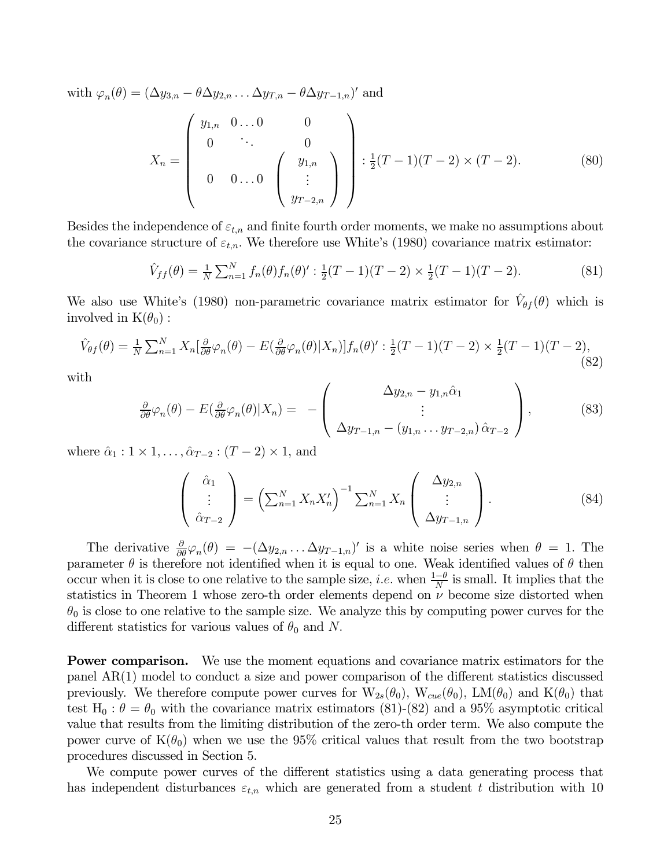with  $\varphi_n(\theta)=(\Delta y_{3,n}-\theta \Delta y_{2,n} \ldots \Delta y_{T,n}-\theta \Delta y_{T-1,n})'$  and

$$
X_n = \begin{pmatrix} y_{1,n} & 0 \dots 0 & 0 \\ 0 & \ddots & 0 \\ 0 & 0 \dots 0 & \begin{pmatrix} y_{1,n} \\ \vdots \\ y_{T-2,n} \end{pmatrix} \end{pmatrix} : \frac{1}{2}(T-1)(T-2) \times (T-2). \tag{80}
$$

Besides the independence of  $\varepsilon_{t,n}$  and finite fourth order moments, we make no assumptions about the covariance structure of  $\varepsilon_{t,n}$ . We therefore use White's (1980) covariance matrix estimator:

$$
\hat{V}_{ff}(\theta) = \frac{1}{N} \sum_{n=1}^{N} f_n(\theta) f_n(\theta)' : \frac{1}{2}(T-1)(T-2) \times \frac{1}{2}(T-1)(T-2). \tag{81}
$$

We also use White's (1980) non-parametric covariance matrix estimator for  $V_{\theta f}(\theta)$  which is involved in  $K(\theta_0)$ :

$$
\hat{V}_{\theta f}(\theta) = \frac{1}{N} \sum_{n=1}^{N} X_n \left[ \frac{\partial}{\partial \theta} \varphi_n(\theta) - E \left( \frac{\partial}{\partial \theta} \varphi_n(\theta) | X_n \right) \right] f_n(\theta)' : \frac{1}{2} (T - 1)(T - 2) \times \frac{1}{2} (T - 1)(T - 2), \tag{82}
$$

with

$$
\frac{\partial}{\partial \theta} \varphi_n(\theta) - E(\frac{\partial}{\partial \theta} \varphi_n(\theta) | X_n) = - \left( \begin{array}{c} \Delta y_{2,n} - y_{1,n} \hat{\alpha}_1 \\ \vdots \\ \Delta y_{T-1,n} - (y_{1,n} \dots y_{T-2,n}) \hat{\alpha}_{T-2} \end{array} \right), \tag{83}
$$

where  $\hat{\alpha}_1 : 1 \times 1, \ldots, \hat{\alpha}_{T-2} : (T-2) \times 1$ , and

$$
\begin{pmatrix}\n\hat{\alpha}_1 \\
\vdots \\
\hat{\alpha}_{T-2}\n\end{pmatrix} = \left(\sum_{n=1}^N X_n X_n'\right)^{-1} \sum_{n=1}^N X_n \begin{pmatrix}\n\Delta y_{2,n} \\
\vdots \\
\Delta y_{T-1,n}\n\end{pmatrix}.
$$
\n(84)

The derivative  $\frac{\partial}{\partial \theta} \varphi_n(\theta) = -(\Delta y_{2,n} \dots \Delta y_{T-1,n})'$  is a white noise series when  $\theta = 1$ . The parameter  $\theta$  is therefore not identified when it is equal to one. Weak identified values of  $\theta$  then occur when it is close to one relative to the sample size, *i.e.* when  $\frac{1-\theta}{N}$  is small. It implies that the statistics in Theorem 1 whose zero-th order elements depend on  $\nu$  become size distorted when  $\theta_0$  is close to one relative to the sample size. We analyze this by computing power curves for the different statistics for various values of  $\theta_0$  and N.

Power comparison. We use the moment equations and covariance matrix estimators for the panel AR(1) model to conduct a size and power comparison of the different statistics discussed previously. We therefore compute power curves for  $W_{2s}(\theta_0)$ ,  $W_{cue}(\theta_0)$ ,  $LM(\theta_0)$  and  $K(\theta_0)$  that test H<sub>0</sub>:  $\theta = \theta_0$  with the covariance matrix estimators (81)-(82) and a 95% asymptotic critical value that results from the limiting distribution of the zero-th order term. We also compute the power curve of  $K(\theta_0)$  when we use the 95% critical values that result from the two bootstrap procedures discussed in Section 5.

We compute power curves of the different statistics using a data generating process that has independent disturbances  $\varepsilon_{t,n}$  which are generated from a student t distribution with 10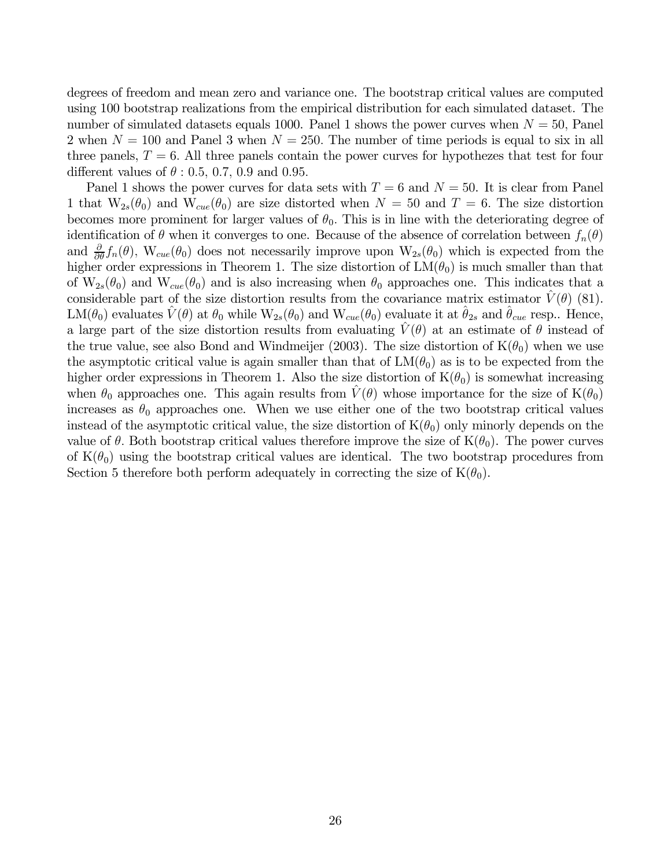degrees of freedom and mean zero and variance one. The bootstrap critical values are computed using 100 bootstrap realizations from the empirical distribution for each simulated dataset. The number of simulated datasets equals 1000. Panel 1 shows the power curves when  $N = 50$ , Panel 2 when  $N = 100$  and Panel 3 when  $N = 250$ . The number of time periods is equal to six in all three panels,  $T = 6$ . All three panels contain the power curves for hypothezes that test for four different values of  $\theta$  : 0.5, 0.7, 0.9 and 0.95.

Panel 1 shows the power curves for data sets with  $T = 6$  and  $N = 50$ . It is clear from Panel 1 that  $W_{2s}(\theta_0)$  and  $W_{cue}(\theta_0)$  are size distorted when  $N = 50$  and  $T = 6$ . The size distortion becomes more prominent for larger values of  $\theta_0$ . This is in line with the deteriorating degree of identification of  $\theta$  when it converges to one. Because of the absence of correlation between  $f_n(\theta)$ and  $\frac{\partial}{\partial \theta} f_n(\theta)$ , W<sub>cue</sub>( $\theta_0$ ) does not necessarily improve upon W<sub>2s</sub>( $\theta_0$ ) which is expected from the higher order expressions in Theorem 1. The size distortion of  $LM(\theta_0)$  is much smaller than that of  $W_{2s}(\theta_0)$  and  $W_{cue}(\theta_0)$  and is also increasing when  $\theta_0$  approaches one. This indicates that a considerable part of the size distortion results from the covariance matrix estimator  $V(\theta)$  (81).  $LM(\theta_0)$  evaluates  $\hat{V}(\theta)$  at  $\theta_0$  while  $W_{2s}(\theta_0)$  and  $W_{cue}(\theta_0)$  evaluate it at  $\hat{\theta}_{2s}$  and  $\hat{\theta}_{cue}$  resp.. Hence, a large part of the size distortion results from evaluating  $\hat{V}(\theta)$  at an estimate of  $\theta$  instead of the true value, see also Bond and Windmeijer (2003). The size distortion of  $K(\theta_0)$  when we use the asymptotic critical value is again smaller than that of  $LM(\theta_0)$  as is to be expected from the higher order expressions in Theorem 1. Also the size distortion of  $K(\theta_0)$  is somewhat increasing when  $\theta_0$  approaches one. This again results from  $\tilde{V}(\theta)$  whose importance for the size of  $K(\theta_0)$ increases as  $\theta_0$  approaches one. When we use either one of the two bootstrap critical values instead of the asymptotic critical value, the size distortion of  $K(\theta_0)$  only minorly depends on the value of  $\theta$ . Both bootstrap critical values therefore improve the size of  $K(\theta_0)$ . The power curves of  $K(\theta_0)$  using the bootstrap critical values are identical. The two bootstrap procedures from Section 5 therefore both perform adequately in correcting the size of  $K(\theta_0)$ .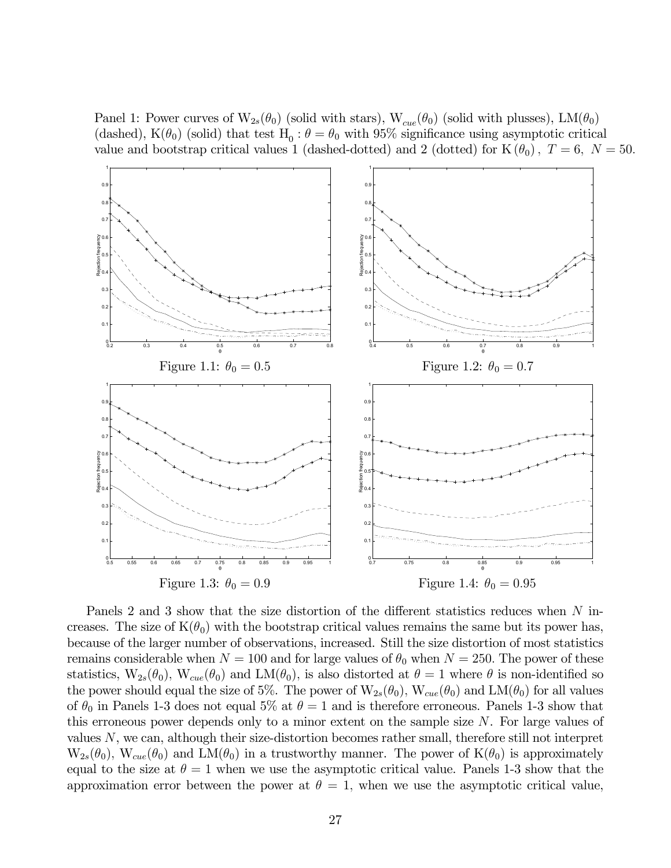Panel 1: Power curves of  $W_{2s}(\theta_0)$  (solid with stars),  $W_{cue}(\theta_0)$  (solid with plusses), LM $(\theta_0)$ (dashed),  $K(\theta_0)$  (solid) that test  $H_0 : \theta = \theta_0$  with 95% significance using asymptotic critical value and bootstrap critical values 1 (dashed-dotted) and 2 (dotted) for  $K(\theta_0)$ ,  $T=6$ ,  $N=50$ .



Panels 2 and 3 show that the size distortion of the different statistics reduces when N increases. The size of  $K(\theta_0)$  with the bootstrap critical values remains the same but its power has, because of the larger number of observations, increased. Still the size distortion of most statistics remains considerable when  $N = 100$  and for large values of  $\theta_0$  when  $N = 250$ . The power of these statistics,  $W_{2s}(\theta_0)$ ,  $W_{cue}(\theta_0)$  and  $LM(\theta_0)$ , is also distorted at  $\theta = 1$  where  $\theta$  is non-identified so the power should equal the size of 5%. The power of  $W_{2s}(\theta_0)$ ,  $W_{cue}(\theta_0)$  and  $LM(\theta_0)$  for all values of  $\theta_0$  in Panels 1-3 does not equal 5% at  $\theta = 1$  and is therefore erroneous. Panels 1-3 show that this erroneous power depends only to a minor extent on the sample size  $N$ . For large values of values N, we can, although their size-distortion becomes rather small, therefore still not interpret  $W_{2s}(\theta_0)$ ,  $W_{cue}(\theta_0)$  and  $LM(\theta_0)$  in a trustworthy manner. The power of  $K(\theta_0)$  is approximately equal to the size at  $\theta = 1$  when we use the asymptotic critical value. Panels 1-3 show that the approximation error between the power at  $\theta = 1$ , when we use the asymptotic critical value,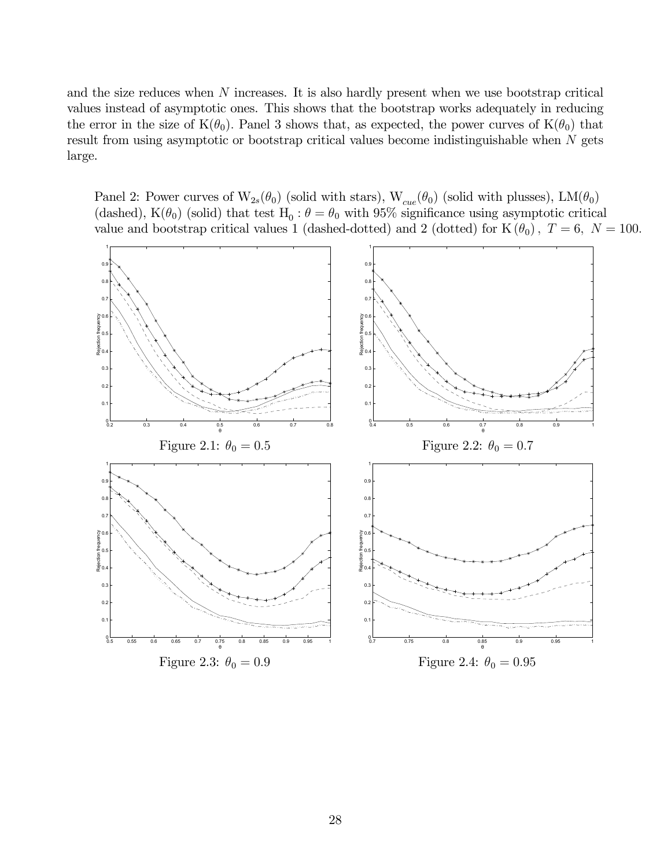and the size reduces when N increases. It is also hardly present when we use bootstrap critical values instead of asymptotic ones. This shows that the bootstrap works adequately in reducing the error in the size of  $K(\theta_0)$ . Panel 3 shows that, as expected, the power curves of  $K(\theta_0)$  that result from using asymptotic or bootstrap critical values become indistinguishable when N gets large.

Panel 2: Power curves of  $W_{2s}(\theta_0)$  (solid with stars),  $W_{cue}(\theta_0)$  (solid with plusses), LM $(\theta_0)$ (dashed), K( $\theta_0$ ) (solid) that test H<sub>0</sub> :  $\theta = \theta_0$  with 95% significance using asymptotic critical value and bootstrap critical values 1 (dashed-dotted) and 2 (dotted) for  $K(\theta_0)$ ,  $T = 6$ ,  $N = 100$ .

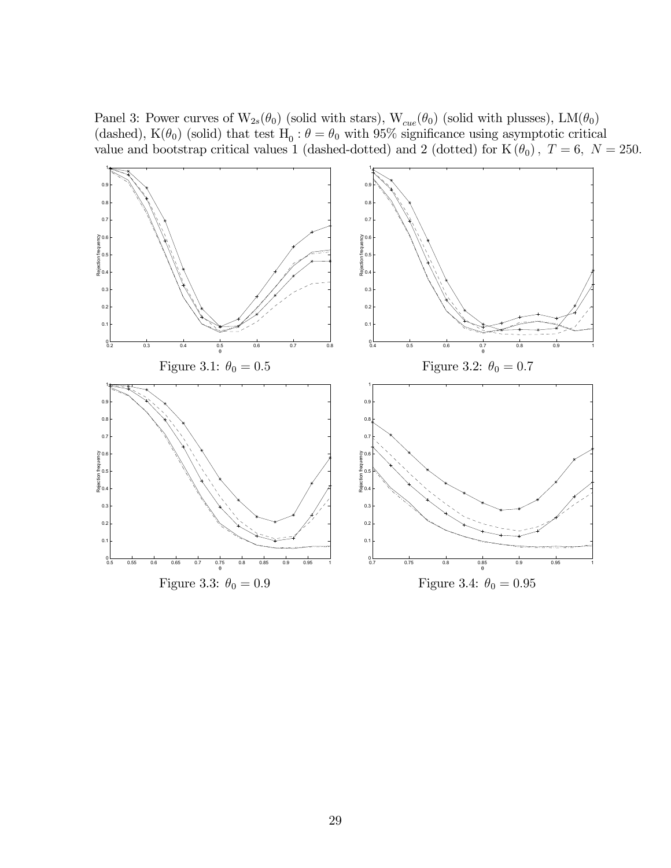Panel 3: Power curves of  $W_{2s}(\theta_0)$  (solid with stars),  $W_{cue}(\theta_0)$  (solid with plusses), LM( $\theta_0$ ) (dashed), K( $\theta_0$ ) (solid) that test H<sub>0</sub> :  $\theta = \theta_0$  with 95% significance using asymptotic critical value and bootstrap critical values 1 (dashed-dotted) and 2 (dotted) for  $K(\theta_0)$ ,  $T = 6$ ,  $N = 250$ .

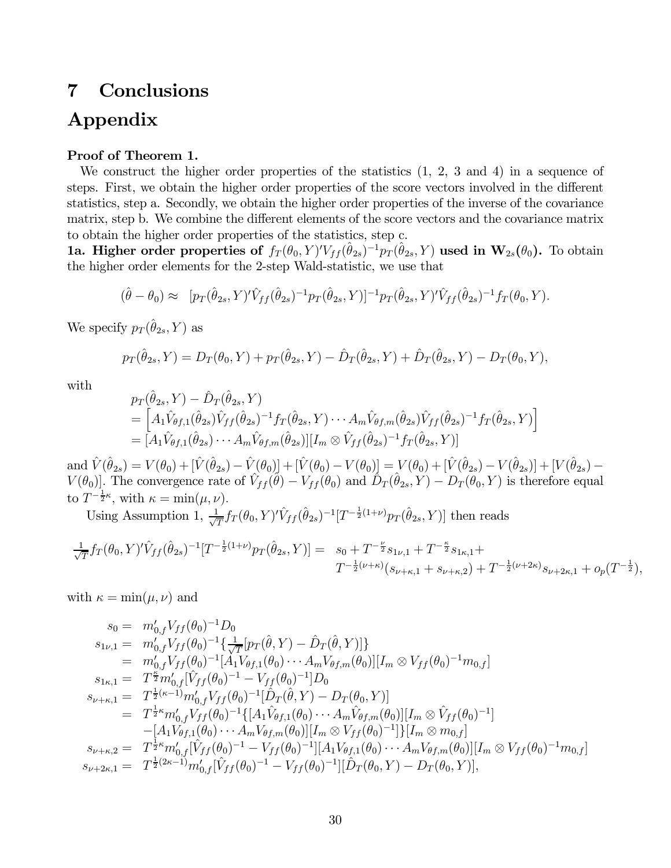# 7 Conclusions Appendix

#### Proof of Theorem 1.

We construct the higher order properties of the statistics  $(1, 2, 3, 4)$  in a sequence of steps. First, we obtain the higher order properties of the score vectors involved in the different statistics, step a. Secondly, we obtain the higher order properties of the inverse of the covariance matrix, step b. We combine the different elements of the score vectors and the covariance matrix to obtain the higher order properties of the statistics, step c.

**1a. Higher order properties of**  $f_T(\theta_0, Y)' V_{ff} (\hat{\theta}_{2s})^{-1} p_T (\hat{\theta}_{2s}, Y)$  used in  $\mathbf{W}_{2s}(\theta_0)$ . To obtain the higher order elements for the 2-step Wald-statistic, we use that

$$
(\hat{\theta} - \theta_0) \approx [p_T(\hat{\theta}_{2s}, Y)' \hat{V}_{ff}(\hat{\theta}_{2s})^{-1} p_T(\hat{\theta}_{2s}, Y)]^{-1} p_T(\hat{\theta}_{2s}, Y)' \hat{V}_{ff}(\hat{\theta}_{2s})^{-1} f_T(\theta_0, Y).
$$

We specify  $p_T(\hat{\theta}_{2s}, Y)$  as

$$
p_T(\hat{\theta}_{2s}, Y) = D_T(\theta_0, Y) + p_T(\hat{\theta}_{2s}, Y) - \hat{D}_T(\hat{\theta}_{2s}, Y) + \hat{D}_T(\hat{\theta}_{2s}, Y) - D_T(\theta_0, Y),
$$

with

$$
p_T(\hat{\theta}_{2s}, Y) - \hat{D}_T(\hat{\theta}_{2s}, Y) = \left[ A_1 \hat{V}_{\theta f, 1}(\hat{\theta}_{2s}) \hat{V}_{f f}(\hat{\theta}_{2s})^{-1} f_T(\hat{\theta}_{2s}, Y) \cdots A_m \hat{V}_{\theta f, m}(\hat{\theta}_{2s}) \hat{V}_{f f}(\hat{\theta}_{2s})^{-1} f_T(\hat{\theta}_{2s}, Y) \right] = \left[ A_1 \hat{V}_{\theta f, 1}(\hat{\theta}_{2s}) \cdots A_m \hat{V}_{\theta f, m}(\hat{\theta}_{2s}) \right] \left[ I_m \otimes \hat{V}_{f f}(\hat{\theta}_{2s})^{-1} f_T(\hat{\theta}_{2s}, Y) \right]
$$

 $\text{and } \hat{V}(\hat{\theta}_{2s}) = V(\theta_0) + [\hat{V}(\hat{\theta}_{2s}) - \hat{V}(\theta_0)] + [\hat{V}(\theta_0) - V(\theta_0)] = V(\theta_0) + [\hat{V}(\hat{\theta}_{2s}) - V(\hat{\theta}_{2s})] + [V(\hat{\theta}_{2s}) - V(\hat{\theta}_{2s})]$  $V(\theta_0)$ . The convergence rate of  $\hat{V}_{ff}(\hat{\theta}) - V_{ff}(\theta_0)$  and  $\hat{D}_T(\hat{\theta}_{2s}, Y) - D_T(\theta_0, Y)$  is therefore equal to  $T^{-\frac{1}{2}\kappa}$ , with  $\kappa = \min(\mu, \nu)$ .

Using Assumption 1,  $\frac{1}{\sqrt{T}} f_T(\theta_0, Y)' \hat{V}_{ff} (\hat{\theta}_{2s})^{-1} [T^{-\frac{1}{2}(1+\nu)} p_T(\hat{\theta}_{2s}, Y)]$  then reads

$$
\frac{1}{\sqrt{T}} f_T(\theta_0, Y)' \hat{V}_{ff}(\hat{\theta}_{2s})^{-1} [T^{-\frac{1}{2}(1+\nu)} p_T(\hat{\theta}_{2s}, Y)] = s_0 + T^{-\frac{\nu}{2}} s_{1\nu,1} + T^{-\frac{\kappa}{2}} s_{1\kappa,1} +
$$
  

$$
T^{-\frac{1}{2}(\nu+\kappa)} (s_{\nu+\kappa,1} + s_{\nu+\kappa,2}) + T^{-\frac{1}{2}(\nu+2\kappa)} s_{\nu+2\kappa,1} + o_p(T^{-\frac{1}{2}}),
$$

with  $\kappa = \min(\mu, \nu)$  and

$$
s_{0} = m'_{0,f} V_{ff}(\theta_{0})^{-1} D_{0}
$$
  
\n
$$
s_{1\nu,1} = m'_{0,f} V_{ff}(\theta_{0})^{-1} \left\{ \frac{1}{\sqrt{T}} [p_{T}(\hat{\theta}, Y) - \hat{D}_{T}(\hat{\theta}, Y)] \right\}
$$
  
\n
$$
= m'_{0,f} V_{ff}(\theta_{0})^{-1} [A_{1} V_{\theta f,1}(\theta_{0}) \cdots A_{m} V_{\theta f,m}(\theta_{0})] [I_{m} \otimes V_{ff}(\theta_{0})^{-1} m_{0,f}]
$$
  
\n
$$
s_{1\kappa,1} = T^{\frac{\kappa}{2}} m'_{0,f} [\hat{V}_{ff}(\theta_{0})^{-1} - V_{ff}(\theta_{0})^{-1}] D_{0}
$$
  
\n
$$
s_{\nu+\kappa,1} = T^{\frac{1}{2}(\kappa-1)} m'_{0,f} V_{ff}(\theta_{0})^{-1} [\hat{D}_{T}(\hat{\theta}, Y) - D_{T}(\theta_{0}, Y)]
$$
  
\n
$$
= T^{\frac{1}{2}\kappa} m'_{0,f} V_{ff}(\theta_{0})^{-1} \{ [A_{1} \hat{V}_{\theta f,1}(\theta_{0}) \cdots A_{m} \hat{V}_{\theta f,m}(\theta_{0})] [I_{m} \otimes \hat{V}_{ff}(\theta_{0})^{-1}]
$$
  
\n
$$
- [A_{1} V_{\theta f,1}(\theta_{0}) \cdots A_{m} V_{\theta f,m}(\theta_{0})] [I_{m} \otimes V_{ff}(\theta_{0})^{-1}] \} [I_{m} \otimes m_{0,f}]
$$
  
\n
$$
s_{\nu+\kappa,2} = T^{\frac{1}{2}\kappa} m'_{0,f} [\hat{V}_{ff}(\theta_{0})^{-1} - V_{ff}(\theta_{0})^{-1}] [A_{1} V_{\theta f,1}(\theta_{0}) \cdots A_{m} V_{\theta f,m}(\theta_{0})] [I_{m} \otimes V_{ff}(\theta_{0})^{-1} m_{0,f}]
$$
  
\n
$$
s_{\nu+2\kappa,1} = T^{\frac{1}{2}(2\kappa-1)} m'_{0,f} [\hat{V}_{ff}(\theta_{0})^{-1} - V_{ff}(\theta_{0})^{-1}] [\
$$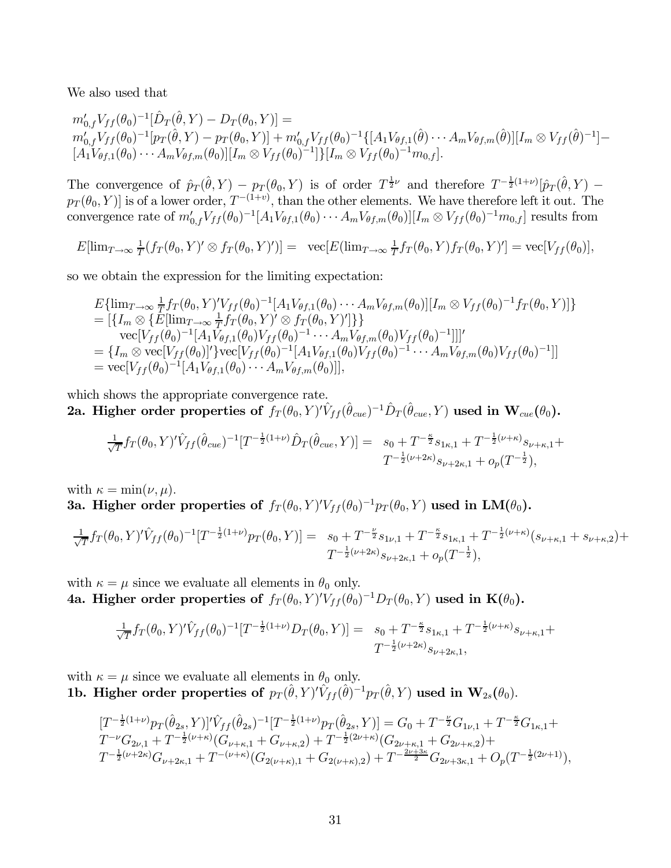We also used that

$$
m'_{0,f}V_{ff}(\theta_0)^{-1}[\hat{D}_T(\hat{\theta},Y) - D_T(\theta_0,Y)] =
$$
  
\n
$$
m'_{0,f}V_{ff}(\theta_0)^{-1}[p_T(\hat{\theta},Y) - p_T(\theta_0,Y)] + m'_{0,f}V_{ff}(\theta_0)^{-1}\{[A_1V_{\theta f,1}(\hat{\theta}) \cdots A_mV_{\theta f,m}(\hat{\theta})][I_m \otimes V_{ff}(\hat{\theta})^{-1}] -
$$
  
\n
$$
[A_1V_{\theta f,1}(\theta_0) \cdots A_mV_{\theta f,m}(\theta_0)][I_m \otimes V_{ff}(\theta_0)^{-1}]\}[I_m \otimes V_{ff}(\theta_0)^{-1}m_{0,f}].
$$

The convergence of  $\hat{p}_T(\hat{\theta}, Y) - p_T(\theta_0, Y)$  is of order  $T^{\frac{1}{2}\nu}$  and therefore  $T^{-\frac{1}{2}(1+\nu)}[\hat{p}_T(\hat{\theta}, Y) - p_T(\theta_0, Y)]$  $p_T(\theta_0, Y)$  is of a lower order,  $T^{-(1+v)}$ , than the other elements. We have therefore left it out. The convergence rate of  $m'_{0,f}V_{ff}(\theta_0)^{-1}[A_1V_{\theta f,1}(\theta_0)\cdots A_mV_{\theta f,m}(\theta_0)][I_m \otimes V_{ff}(\theta_0)^{-1}m_{0,f}]$  results from

$$
E[\lim_{T\to\infty}\frac{1}{T}(f_T(\theta_0,Y)'\otimes f_T(\theta_0,Y)')] = \ \ \text{vec}[E(\lim_{T\to\infty}\frac{1}{T}f_T(\theta_0,Y)f_T(\theta_0,Y)'] = \text{vec}[V_{ff}(\theta_0)],
$$

so we obtain the expression for the limiting expectation:

$$
E\{\lim_{T\to\infty}\frac{1}{T}f_T(\theta_0,Y)'V_{ff}(\theta_0)^{-1}[A_1V_{\theta f,1}(\theta_0)\cdots A_mV_{\theta f,m}(\theta_0)][I_m \otimes V_{ff}(\theta_0)^{-1}f_T(\theta_0,Y)]\}
$$
  
\n
$$
= [\{I_m \otimes \{E[\lim_{T\to\infty}\frac{1}{T}f_T(\theta_0,Y)' \otimes f_T(\theta_0,Y)']\}\}
$$
  
\n
$$
\text{vec}[V_{ff}(\theta_0)^{-1}[A_1V_{\theta f,1}(\theta_0)V_{ff}(\theta_0)^{-1}\cdots A_mV_{\theta f,m}(\theta_0)V_{ff}(\theta_0)^{-1}]]'
$$
  
\n
$$
= \{I_m \otimes \text{vec}[V_{ff}(\theta_0)]'\} \text{vec}[V_{ff}(\theta_0)^{-1}[A_1V_{\theta f,1}(\theta_0)V_{ff}(\theta_0)^{-1}\cdots A_mV_{\theta f,m}(\theta_0)V_{ff}(\theta_0)^{-1}]]
$$
  
\n
$$
= \text{vec}[V_{ff}(\theta_0)^{-1}[A_1V_{\theta f,1}(\theta_0)\cdots A_mV_{\theta f,m}(\theta_0)]],
$$

which shows the appropriate convergence rate. 2a. Higher order properties of  $f_T(\theta_0, Y)' \hat{V}_{ff}(\hat{\theta}_{cue})^{-1} \hat{D}_T(\hat{\theta}_{cue}, Y)$  used in  $\mathbf{W}_{cue}(\theta_0)$ .

$$
\frac{1}{\sqrt{T}} f_T(\theta_0, Y)' \hat{V}_{ff}(\hat{\theta}_{cue})^{-1} [T^{-\frac{1}{2}(1+\nu)} \hat{D}_T(\hat{\theta}_{cue}, Y)] = s_0 + T^{-\frac{\kappa}{2}} s_{1\kappa,1} + T^{-\frac{1}{2}(\nu+\kappa)} s_{\nu+\kappa,1} +
$$
  

$$
T^{-\frac{1}{2}(\nu+2\kappa)} s_{\nu+2\kappa,1} + o_p(T^{-\frac{1}{2}}),
$$

with  $\kappa = \min(\nu, \mu)$ .

3a. Higher order properties of  $f_T(\theta_0, Y)' V_{ff}(\theta_0)^{-1} p_T(\theta_0, Y)$  used in LM $(\theta_0)$ .

$$
\frac{1}{\sqrt{T}} f_T(\theta_0, Y)' \hat{V}_{ff}(\theta_0)^{-1} [T^{-\frac{1}{2}(1+\nu)} p_T(\theta_0, Y)] = s_0 + T^{-\frac{\nu}{2}} s_{1\nu,1} + T^{-\frac{\kappa}{2}} s_{1\kappa,1} + T^{-\frac{1}{2}(\nu+\kappa)} (s_{\nu+\kappa,1} + s_{\nu+\kappa,2}) +
$$
  

$$
T^{-\frac{1}{2}(\nu+2\kappa)} s_{\nu+2\kappa,1} + o_p(T^{-\frac{1}{2}}),
$$

with  $\kappa = \mu$  since we evaluate all elements in  $\theta_0$  only. 4a. Higher order properties of  $f_T(\theta_0, Y)'V_{ff}(\theta_0)^{-1}D_T(\theta_0, Y)$  used in  $\mathbf{K}(\theta_0)$ .

$$
\frac{1}{\sqrt{T}} f_T(\theta_0, Y)' \hat{V}_{ff}(\theta_0)^{-1} [T^{-\frac{1}{2}(1+\nu)} D_T(\theta_0, Y)] = s_0 + T^{-\frac{\kappa}{2}} s_{1\kappa,1} + T^{-\frac{1}{2}(\nu+\kappa)} s_{\nu+\kappa,1} + T^{-\frac{1}{2}(\nu+\kappa)} s_{\nu+\kappa,1} + T^{-\frac{1}{2}(\nu+\kappa)} s_{\nu+\kappa,1} + T^{-\frac{1}{2}(\nu+\kappa)} s_{\nu+\kappa,1} + T^{-\frac{1}{2}(\nu+\kappa)} s_{\nu+\kappa,1} + T^{-\frac{1}{2}(\nu+\kappa)} s_{\nu+\kappa,1} + T^{-\frac{1}{2}(\nu+\kappa)} s_{\nu+\kappa,1} + T^{-\frac{1}{2}(\nu+\kappa)} s_{\nu+\kappa,1} + T^{-\frac{1}{2}(\nu+\kappa)} s_{\nu+\kappa,1} + T^{-\frac{1}{2}(\nu+\kappa)} s_{\nu+\kappa,1} + T^{-\frac{1}{2}(\nu+\kappa)} s_{\nu+\kappa,1} + T^{-\frac{1}{2}(\nu+\kappa)} s_{\nu+\kappa,1} + T^{-\frac{1}{2}(\nu+\kappa)} s_{\nu+\kappa,1} + T^{-\frac{1}{2}(\nu+\kappa)} s_{\nu+\kappa,1} + T^{-\frac{1}{2}(\nu+\kappa)} s_{\nu+\kappa,1} + T^{-\frac{1}{2}(\nu+\kappa)} s_{\nu+\kappa,1} + T^{-\frac{1}{2}(\nu+\kappa)} s_{\nu+\kappa,1} + T^{-\frac{1}{2}(\nu+\kappa)} s_{\nu+\kappa,1} + T^{-\frac{1}{2}(\nu+\kappa)} s_{\nu+\kappa,1} + T^{-\frac{1}{2}(\nu+\kappa)} s_{\nu+\kappa,1} + T^{-\frac{1}{2}(\nu+\kappa)} s_{\nu+\kappa,1} + T^{-\frac{1}{2}(\nu+\kappa)} s_{\nu+\kappa,1} + T^{-\frac{1}{2}(\nu+\kappa)} s_{\nu+\kappa,1} + T^{-\frac{1}{2}(\nu+\kappa)} s_{\nu+\kappa,1} + T^{-\frac{1}{2}(\nu+\kappa)} s_{\nu+\kappa,1} + T^{-\frac{1}{2}(\nu+\kappa)} s_{\nu+\kappa,1} + T^{-\
$$

with  $\kappa = \mu$  since we evaluate all elements in  $\theta_0$  only. 1b. Higher order properties of  $p_T(\hat{\theta}, Y)' \hat{V}_{ff}(\hat{\theta})^{-1} p_T(\hat{\theta}, Y)$  used in  $\mathbf{W}_{2s}(\theta_0)$ .

$$
[T^{-\frac{1}{2}(1+\nu)}p_T(\hat{\theta}_{2s},Y)]'\hat{V}_{ff}(\hat{\theta}_{2s})^{-1}[T^{-\frac{1}{2}(1+\nu)}p_T(\hat{\theta}_{2s},Y)] = G_0 + T^{-\frac{\nu}{2}}G_{1\nu,1} + T^{-\frac{\kappa}{2}}G_{1\kappa,1} + T^{\nu}G_{2\nu,1} + T^{-\frac{1}{2}(\nu+\kappa)}(G_{\nu+\kappa,1} + G_{\nu+\kappa,2}) + T^{-\frac{1}{2}(2\nu+\kappa)}(G_{2\nu+\kappa,1} + G_{2\nu+\kappa,2}) + T^{-\frac{1}{2}(\nu+2\kappa)}G_{\nu+2\kappa,1} + T^{-(\nu+\kappa)}(G_{2(\nu+\kappa),1} + G_{2(\nu+\kappa),2}) + T^{-\frac{2\nu+3\kappa}{2}}G_{2\nu+3\kappa,1} + O_p(T^{-\frac{1}{2}(2\nu+1)}),
$$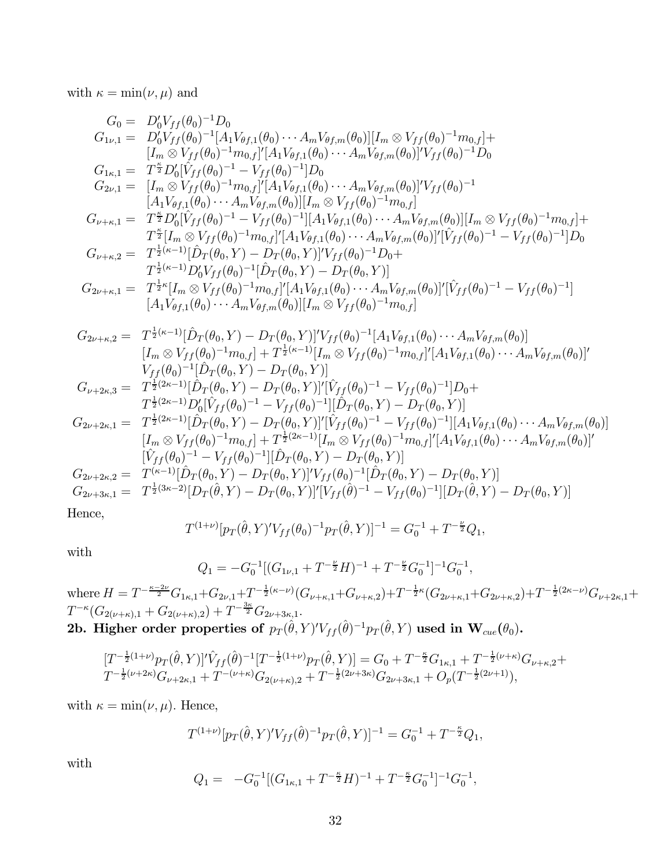with  $\kappa = \min(\nu, \mu)$  and

$$
G_{0} = D'_{0}V_{ff}(\theta_{0})^{-1}D_{0}
$$
\n
$$
G_{1\nu,1} = D'_{0}V_{ff}(\theta_{0})^{-1}[A_{1}V_{\theta f,1}(\theta_{0})\cdots A_{m}V_{\theta f,m}(\theta_{0})][I_{m} \otimes V_{ff}(\theta_{0})^{-1}m_{0,f}]^{+}
$$
\n
$$
[I_{m} \otimes V_{ff}(\theta_{0})^{-1}m_{0,f}][A_{1}V_{\theta f,1}(\theta_{0})\cdots A_{m}V_{\theta f,m}(\theta_{0})][V_{ff}(\theta_{0})^{-1}D_{0}
$$
\n
$$
G_{1\nu,1} = T^{\frac{5}{2}}D'_{0}[\hat{V}_{ff}(\theta_{0})^{-1}-V_{ff}(\theta_{0})^{-1}]D_{0}
$$
\n
$$
G_{2\nu,1} = [I_{m} \otimes V_{ff}(\theta_{0})^{-1}m_{0,f}][A_{1}V_{\theta f,1}(\theta_{0})\cdots A_{m}V_{\theta f,m}(\theta_{0})][V_{ff}(\theta_{0})^{-1}
$$
\n
$$
[A_{1}V_{\theta f,1}(\theta_{0})\cdots A_{m}V_{\theta f,m}(\theta_{0})][I_{m} \otimes V_{ff}(\theta_{0})^{-1}m_{0,f}]^{+}
$$
\n
$$
T^{\frac{5}{2}}[I_{m} \otimes V_{ff}(\theta_{0})^{-1}m_{0,f}][A_{1}V_{\theta f,1}(\theta_{0})\cdots A_{m}V_{\theta f,m}(\theta_{0})][I_{m} \otimes V_{ff}(\theta_{0})^{-1}m_{0,f}]^{+}
$$
\n
$$
T^{\frac{5}{2}[\pi_{m} \otimes V_{ff}(\theta_{0})^{-1}m_{0,f}][A_{1}V_{\theta f,1}(\theta_{0})\cdots A_{m}V_{\theta f,m}(\theta_{0})][V_{ff}(\theta_{0})^{-1}-V_{ff}(\theta_{0})^{-1}]D_{0}
$$
\n
$$
G_{2\nu+\kappa,2} = T^{\frac{1}{2}\kappa-1}[\hat{D}_{\mu}(\theta_{0},Y) - D_{\mu}(\theta_{0},Y)]V_{ff}(\theta_{0})^{-1}D_{0}+
$$
\n
$$
T^{\frac{1}{2}[\
$$

Hence,

$$
T^{(1+\nu)}[p_T(\hat{\theta}, Y)'V_{ff}(\theta_0)^{-1}p_T(\hat{\theta}, Y)]^{-1} = G_0^{-1} + T^{-\frac{\nu}{2}}Q_1,
$$

with

$$
Q_1 = -G_0^{-1}[(G_{1\nu,1} + T^{-\frac{\nu}{2}}H)^{-1} + T^{-\frac{\nu}{2}}G_0^{-1}]^{-1}G_0^{-1},
$$

where  $H = T^{-\frac{\kappa-2\nu}{2}}G_{1\kappa,1} + G_{2\nu,1} + T^{-\frac{1}{2}(\kappa-\nu)}(G_{\nu+\kappa,1} + G_{\nu+\kappa,2}) + T^{-\frac{1}{2}\kappa}(G_{2\nu+\kappa,1} + G_{2\nu+\kappa,2}) + T^{-\frac{1}{2}(2\kappa-\nu)}G_{\nu+2\kappa,1} +$  $T^{-\kappa}(G_{2(\nu+\kappa),1}+G_{2(\nu+\kappa),2})+T^{-\frac{3\kappa}{2}}G_{2\nu+3\kappa,1}.$ 2b. Higher order properties of  $p_T(\hat{\theta}, Y)' V_{ff}(\hat{\theta})^{-1} p_T(\hat{\theta}, Y)$  used in  $\mathbf{W}_{cue}(\theta_0)$ .

$$
\begin{array}{l}[T^{-\frac{1}{2}(1+\nu)}p_{T}(\hat{\theta},Y)]'\hat{V}_{ff}(\hat{\theta})^{-1}[T^{-\frac{1}{2}(1+\nu)}p_{T}(\hat{\theta},Y)]=G_{0}+T^{-\frac{\kappa}{2}}G_{1\kappa,1}+T^{-\frac{1}{2}(\nu+\kappa)}G_{\nu+\kappa,2}+\\T^{-\frac{1}{2}(\nu+2\kappa)}G_{\nu+2\kappa,1}+T^{-(\nu+\kappa)}G_{2(\nu+\kappa),2}+T^{-\frac{1}{2}(2\nu+3\kappa)}G_{2\nu+3\kappa,1}+O_{p}(T^{-\frac{1}{2}(2\nu+1)}),\end{array}
$$

with  $\kappa = \min(\nu, \mu)$ . Hence,

$$
T^{(1+\nu)}[p_T(\hat{\theta}, Y)'V_{ff}(\hat{\theta})^{-1}p_T(\hat{\theta}, Y)]^{-1} = G_0^{-1} + T^{-\frac{\kappa}{2}}Q_1,
$$

with

$$
Q_1 = -G_0^{-1}[(G_{1\kappa,1} + T^{-\frac{\kappa}{2}}H)^{-1} + T^{-\frac{\kappa}{2}}G_0^{-1}]^{-1}G_0^{-1},
$$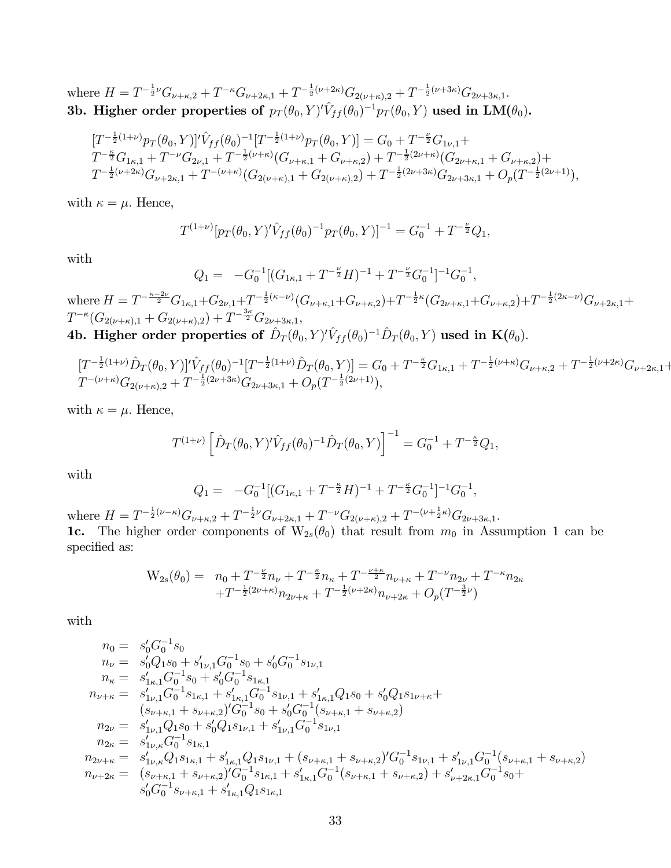where  $H = T^{-\frac{1}{2}\nu}G_{\nu+\kappa,2} + T^{-\kappa}G_{\nu+2\kappa,1} + T^{-\frac{1}{2}(\nu+2\kappa)}G_{2(\nu+\kappa),2} + T^{-\frac{1}{2}(\nu+3\kappa)}G_{2\nu+3\kappa,1}.$ 3b. Higher order properties of  $p_T(\theta_0,Y)^{\prime}\hat{V}_{ff}(\theta_0)^{-1}p_T(\theta_0,Y)$  used in  $\mathbf{LM}(\theta_0)$ .

$$
\begin{split} & [T^{-\frac{1}{2}(1+\nu)}p_T(\theta_0,Y)]'\hat{V}_{ff}(\theta_0)^{-1}[T^{-\frac{1}{2}(1+\nu)}p_T(\theta_0,Y)] = G_0 + T^{-\frac{\nu}{2}}G_{1\nu,1} + \\ & T^{-\frac{\kappa}{2}}G_{1\kappa,1} + T^{-\nu}G_{2\nu,1} + T^{-\frac{1}{2}(\nu+\kappa)}(G_{\nu+\kappa,1} + G_{\nu+\kappa,2}) + T^{-\frac{1}{2}(2\nu+\kappa)}(G_{2\nu+\kappa,1} + G_{\nu+\kappa,2}) + \\ & T^{-\frac{1}{2}(\nu+2\kappa)}G_{\nu+2\kappa,1} + T^{-(\nu+\kappa)}(G_{2(\nu+\kappa),1} + G_{2(\nu+\kappa),2}) + T^{-\frac{1}{2}(2\nu+3\kappa)}G_{2\nu+3\kappa,1} + O_p(T^{-\frac{1}{2}(2\nu+1)}), \end{split}
$$

with  $\kappa = \mu$ . Hence,

$$
T^{(1+\nu)}[p_T(\theta_0, Y)' \hat{V}_{ff}(\theta_0)^{-1} p_T(\theta_0, Y)]^{-1} = G_0^{-1} + T^{-\frac{\nu}{2}} Q_1,
$$

with

$$
Q_1 = -G_0^{-1}[(G_{1\kappa,1} + T^{-\frac{\nu}{2}}H)^{-1} + T^{-\frac{\nu}{2}}G_0^{-1}]^{-1}G_0^{-1},
$$

where  $H = T^{-\frac{\kappa-2\nu}{2}}G_{1\kappa,1} + G_{2\nu,1} + T^{-\frac{1}{2}(\kappa-\nu)}(G_{\nu+\kappa,1} + G_{\nu+\kappa,2}) + T^{-\frac{1}{2}\kappa}(G_{2\nu+\kappa,1} + G_{\nu+\kappa,2}) + T^{-\frac{1}{2}(2\kappa-\nu)}G_{\nu+2\kappa,1} +$  $T^{-\kappa}(G_{2(\nu+\kappa),1}+G_{2(\nu+\kappa),2})+T^{-\frac{3\kappa}{2}}G_{2\nu+3\kappa,1},$ 4b. Higher order properties of  $\hat{D}_T(\theta_0,Y)^{\prime}\hat{V}_{ff}(\theta_0)^{-1}\hat{D}_T(\theta_0,Y)$  used in  $\mathbf{K}(\theta_0).$ 

$$
[T^{-\frac{1}{2}(1+\nu)}\hat{D}_T(\theta_0, Y)]'\hat{V}_{ff}(\theta_0)^{-1}[T^{-\frac{1}{2}(1+\nu)}\hat{D}_T(\theta_0, Y)] = G_0 + T^{-\frac{\kappa}{2}}G_{1\kappa,1} + T^{-\frac{1}{2}(\nu+\kappa)}G_{\nu+\kappa,2} + T^{-\frac{1}{2}(\nu+2\kappa)}G_{\nu+2\kappa,1} + T^{-(\nu+\kappa)}G_{2(\nu+\kappa),2} + T^{-\frac{1}{2}(2\nu+3\kappa)}G_{2\nu+3\kappa,1} + O_p(T^{-\frac{1}{2}(2\nu+1)}),
$$

with  $\kappa = \mu$ . Hence,

$$
T^{(1+\nu)}\left[\hat{D}_T(\theta_0,Y)'\hat{V}_{ff}(\theta_0)^{-1}\hat{D}_T(\theta_0,Y)\right]^{-1} = G_0^{-1} + T^{-\frac{\kappa}{2}}Q_1,
$$

with

$$
Q_1 = -G_0^{-1}[(G_{1\kappa,1} + T^{-\frac{\kappa}{2}}H)^{-1} + T^{-\frac{\kappa}{2}}G_0^{-1}]^{-1}G_0^{-1},
$$

where  $H = T^{-\frac{1}{2}(\nu-\kappa)}G_{\nu+\kappa,2} + T^{-\frac{1}{2}\nu}G_{\nu+2\kappa,1} + T^{-\nu}G_{2(\nu+\kappa),2} + T^{-(\nu+\frac{1}{2}\kappa)}G_{2\nu+3\kappa,1}.$ 1c. The higher order components of  $W_{2s}(\theta_0)$  that result from  $m_0$  in Assumption 1 can be specified as:

$$
\begin{array}{ll} \displaystyle W_{2s}(\theta_0)=&\displaystyle n_0+T^{-\frac{\nu}{2}}n_{\nu}+T^{-\frac{\kappa}{2}}n_{\kappa}+T^{-\frac{\nu+\kappa}{2}}n_{\nu+\kappa}+T^{-\nu}n_{2\nu}+T^{-\kappa}n_{2\kappa}\\ &\displaystyle +T^{-\frac{1}{2}(2\nu+\kappa)}n_{2\nu+\kappa}+T^{-\frac{1}{2}(\nu+2\kappa)}n_{\nu+2\kappa}+O_p(T^{-\frac{3}{2}\nu}) \end{array}
$$

with

$$
n_0 = s'_0 G_0^{-1} s_0
$$
  
\n
$$
n_{\nu} = s'_0 Q_1 s_0 + s'_{1\nu,1} G_0^{-1} s_0 + s'_0 G_0^{-1} s_{1\nu,1}
$$
  
\n
$$
n_{\kappa} = s'_{1\kappa,1} G_0^{-1} s_0 + s'_0 G_0^{-1} s_{1\kappa,1}
$$
  
\n
$$
n_{\nu+\kappa} = s'_{1\nu,1} G_0^{-1} s_{1\kappa,1} + s'_{1\kappa,1} G_0^{-1} s_{1\nu,1} + s'_{1\kappa,1} Q_1 s_0 + s'_0 Q_1 s_{1\nu+\kappa} + (s_{\nu+\kappa,1} + s_{\nu+\kappa,2})' G_0^{-1} s_0 + s'_0 G_0^{-1} (s_{\nu+\kappa,1} + s_{\nu+\kappa,2})
$$
  
\n
$$
n_{2\nu} = s'_{1\nu,1} Q_1 s_0 + s'_0 Q_1 s_{1\nu,1} + s'_{1\nu,1} G_0^{-1} s_{1\nu,1}
$$
  
\n
$$
n_{2\kappa} = s'_{1\nu,\kappa} G_0^{-1} s_{1\kappa,1}
$$
  
\n
$$
n_{2\nu+\kappa} = s'_{1\nu,\kappa} Q_1 s_{1\kappa,1} + s'_{1\kappa,1} Q_1 s_{1\nu,1} + (s_{\nu+\kappa,1} + s_{\nu+\kappa,2})' G_0^{-1} s_{1\nu,1} + s'_{1\nu,1} G_0^{-1} (s_{\nu+\kappa,1} + s_{\nu+\kappa,2})
$$
  
\n
$$
n_{\nu+2\kappa} = (s_{\nu+\kappa,1} + s_{\nu+\kappa,2})' G_0^{-1} s_{1\kappa,1} + s'_{1\kappa,1} G_0^{-1} (s_{\nu+\kappa,1} + s_{\nu+\kappa,2}) + s'_{\nu+2\kappa,1} G_0^{-1} s_0 + s'_0 G_0^{-1} s_{\nu+\kappa,1} + s'_{1\kappa,1} Q_1 s_{1\kappa,1}
$$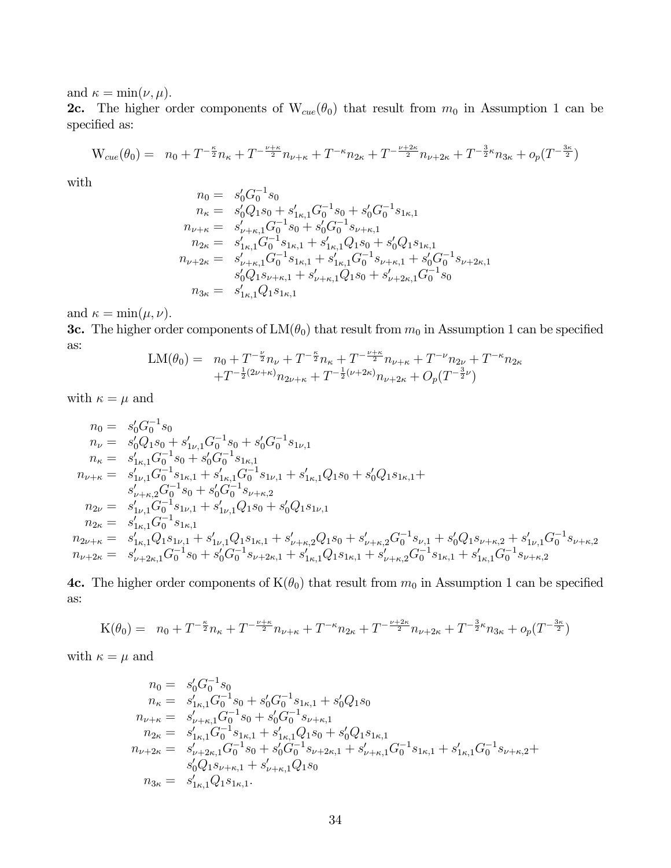and  $\kappa = \min(\nu, \mu)$ .

**2c.** The higher order components of  $W_{cue}(\theta_0)$  that result from  $m_0$  in Assumption 1 can be specified as:

$$
W_{cue}(\theta_0) = n_0 + T^{-\frac{\kappa}{2}}n_{\kappa} + T^{-\frac{\nu+\kappa}{2}}n_{\nu+\kappa} + T^{-\kappa}n_{2\kappa} + T^{-\frac{\nu+2\kappa}{2}}n_{\nu+2\kappa} + T^{-\frac{3}{2}\kappa}n_{3\kappa} + o_p(T^{-\frac{3\kappa}{2}})
$$

with

$$
n_0 = s'_0 G_0^{-1} s_0
$$
  
\n
$$
n_{\kappa} = s'_0 Q_1 s_0 + s'_{1\kappa,1} G_0^{-1} s_0 + s'_0 G_0^{-1} s_{1\kappa,1}
$$
  
\n
$$
n_{\nu+\kappa} = s'_{\nu+\kappa,1} G_0^{-1} s_0 + s'_0 G_0^{-1} s_{\nu+\kappa,1}
$$
  
\n
$$
n_{2\kappa} = s'_{1\kappa,1} G_0^{-1} s_{1\kappa,1} + s'_{1\kappa,1} Q_1 s_0 + s'_0 Q_1 s_{1\kappa,1}
$$
  
\n
$$
n_{\nu+2\kappa} = s'_{\nu+\kappa,1} G_0^{-1} s_{1\kappa,1} + s'_{1\kappa,1} G_0^{-1} s_{\nu+\kappa,1} + s'_0 G_0^{-1} s_{\nu+2\kappa,1}
$$
  
\n
$$
s'_0 Q_1 s_{\nu+\kappa,1} + s'_{\nu+\kappa,1} Q_1 s_0 + s'_{\nu+2\kappa,1} G_0^{-1} s_0
$$
  
\n
$$
n_{3\kappa} = s'_{1\kappa,1} Q_1 s_{1\kappa,1}
$$

and  $\kappa = \min(\mu, \nu)$ .

**3c.** The higher order components of  $LM(\theta_0)$  that result from  $m_0$  in Assumption 1 can be specified as:

$$
\begin{array}{lll} \mathrm{LM}(\theta_0) = & n_0 + T^{-\frac{\nu}{2}}n_{\nu} + T^{-\frac{\kappa}{2}}n_{\kappa} + T^{-\frac{\nu+\kappa}{2}}n_{\nu+\kappa} + T^{-\nu}n_{2\nu} + T^{-\kappa}n_{2\kappa} \\ & & + T^{-\frac{1}{2}(2\nu+\kappa)}n_{2\nu+\kappa} + T^{-\frac{1}{2}(\nu+2\kappa)}n_{\nu+2\kappa} + O_p(T^{-\frac{3}{2}\nu}) \end{array}
$$

with  $\kappa = \mu$  and

$$
n_0 = s'_0 G_0^{-1} s_0
$$
  
\n
$$
n_{\nu} = s'_0 Q_1 s_0 + s'_{1\nu,1} G_0^{-1} s_0 + s'_0 G_0^{-1} s_{1\nu,1}
$$
  
\n
$$
n_{\kappa} = s'_{1\kappa,1} G_0^{-1} s_0 + s'_0 G_0^{-1} s_{1\kappa,1}
$$
  
\n
$$
n_{\nu+\kappa} = s'_{1\nu,1} G_0^{-1} s_{1\kappa,1} + s'_{1\kappa,1} G_0^{-1} s_{1\nu,1} + s'_{1\kappa,1} Q_1 s_0 + s'_0 Q_1 s_{1\kappa,1} + s'_{1\nu,1} Q_0^{-1} s_0 + s'_0 G_0^{-1} s_{1\nu+\kappa,2}
$$
  
\n
$$
n_{2\nu} = s'_{1\nu,1} G_0^{-1} s_{1\nu,1} + s'_{1\nu,1} Q_1 s_0 + s'_0 Q_1 s_{1\nu,1}
$$
  
\n
$$
n_{2\kappa} = s'_{1\kappa,1} G_0^{-1} s_{1\kappa,1}
$$
  
\n
$$
n_{2\nu+\kappa} = s'_{1\kappa,1} Q_1 s_{1\nu,1} + s'_{1\nu,1} Q_1 s_{1\kappa,1} + s'_{1\nu+\kappa,2} Q_1 s_0 + s'_{1\nu+\kappa,2} G_0^{-1} s_{1\nu,1} + s'_0 Q_1 s_{1\nu+\kappa,2} + s'_{1\nu,1} G_0^{-1} s_{1\nu+\kappa,2}
$$
  
\n
$$
n_{\nu+2\kappa} = s'_{1\nu+2\kappa,1} G_0^{-1} s_0 + s'_0 G_0^{-1} s_{1\nu+2\kappa,1} + s'_{1\kappa,1} Q_1 s_{1\kappa,1} + s'_{1\nu+\kappa,2} G_0^{-1} s_{1\kappa,1} + s'_{1\kappa,1} G_0^{-1} s_{1\nu+\kappa,2}
$$

4c. The higher order components of  $K(\theta_0)$  that result from  $m_0$  in Assumption 1 can be specified as:

$$
K(\theta_0) = n_0 + T^{-\frac{\kappa}{2}}n_{\kappa} + T^{-\frac{\nu+\kappa}{2}}n_{\nu+\kappa} + T^{-\kappa}n_{2\kappa} + T^{-\frac{\nu+2\kappa}{2}}n_{\nu+2\kappa} + T^{-\frac{3}{2}\kappa}n_{3\kappa} + o_p(T^{-\frac{3\kappa}{2}})
$$

with  $\kappa = \mu$  and

$$
n_0 = s'_0 G_0^{-1} s_0
$$
  
\n
$$
n_{\kappa} = s'_{1\kappa,1} G_0^{-1} s_0 + s'_0 G_0^{-1} s_{1\kappa,1} + s'_0 Q_1 s_0
$$
  
\n
$$
n_{\nu+\kappa} = s'_{\nu+\kappa,1} G_0^{-1} s_0 + s'_0 G_0^{-1} s_{\nu+\kappa,1}
$$
  
\n
$$
n_{2\kappa} = s'_{1\kappa,1} G_0^{-1} s_{1\kappa,1} + s'_{1\kappa,1} Q_1 s_0 + s'_0 Q_1 s_{1\kappa,1}
$$
  
\n
$$
n_{\nu+2\kappa} = s'_{\nu+2\kappa,1} G_0^{-1} s_0 + s'_0 G_0^{-1} s_{\nu+2\kappa,1} + s'_{\nu+\kappa,1} G_0^{-1} s_{1\kappa,1} + s'_{1\kappa,1} G_0^{-1} s_{\nu+\kappa,2} +
$$
  
\n
$$
s'_0 Q_1 s_{\nu+\kappa,1} + s'_{\nu+\kappa,1} Q_1 s_0
$$
  
\n
$$
n_{3\kappa} = s'_{1\kappa,1} Q_1 s_{1\kappa,1}.
$$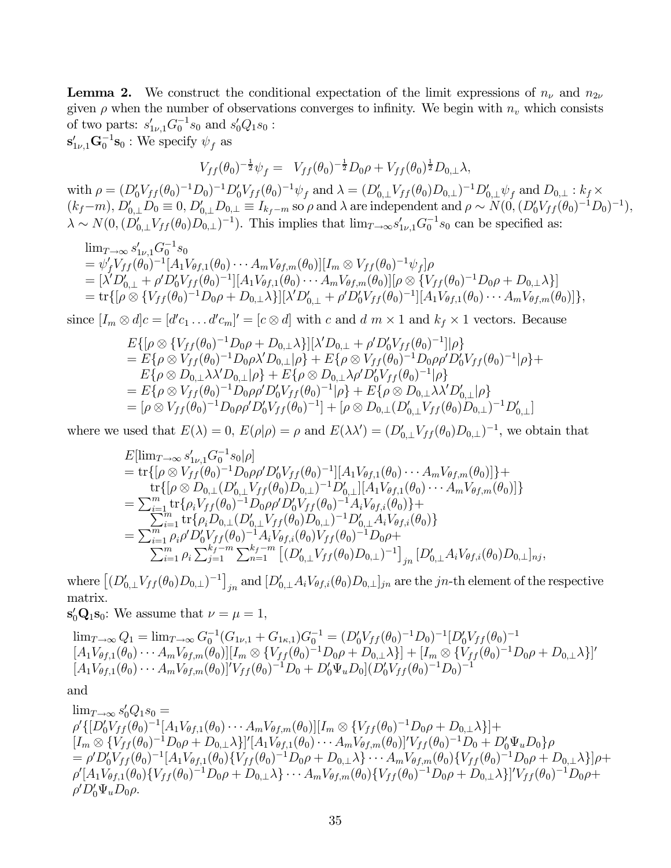**Lemma 2.** We construct the conditional expectation of the limit expressions of  $n_{\nu}$  and  $n_{2\nu}$ given  $\rho$  when the number of observations converges to infinity. We begin with  $n_v$  which consists of two parts:  $s'_{1\nu,1}G_0^{-1}s_0$  and  $s'_0Q_1s_0$ :  $\mathbf{s}'_{1\nu,1}\mathbf{G}_0^{-1}\mathbf{s}_0$ : We specify  $\psi_f$  as

$$
V_{ff}(\theta_0)^{-\frac{1}{2}}\psi_f = V_{ff}(\theta_0)^{-\frac{1}{2}}D_0\rho + V_{ff}(\theta_0)^{\frac{1}{2}}D_{0,\perp}\lambda,
$$

 $\text{with } \rho = (D'_0 V_{ff}(\theta_0)^{-1} D_0)^{-1} D'_0 V_{ff}(\theta_0)^{-1} \psi_f \text{ and } \lambda = (D'_{0,\perp} V_{ff}(\theta_0) D_{0,\perp})^{-1} D'_{0,\perp} \psi_f \text{ and } D_{0,\perp} : k_f \times k_f$  $(k_f-m)$ ,  $D'_{0,\perp}D_0 \equiv 0$ ,  $D'_{0,\perp}D_{0,\perp} \equiv I_{k_f-m}$  so  $\rho$  and  $\lambda$  are independent and  $\rho \sim N(0, (D'_0 V_{ff}(\theta_0)^{-1}D_0)^{-1})$ ,  $\lambda \sim N(0, (D'_{0,\perp}V_{ff}(\theta_0)D_{0,\perp})^{-1})$ . This implies that  $\lim_{T\to\infty} s'_{1\nu,1}G_0^{-1}s_0$  can be specified as:

$$
\begin{split}\n&\lim_{T\to\infty} s'_{1\nu,1} G_0^{-1} s_0 \\
&= \psi'_f V_{ff}(\theta_0)^{-1} [A_1 V_{\theta f,1}(\theta_0) \cdots A_m V_{\theta f,m}(\theta_0)][I_m \otimes V_{ff}(\theta_0)^{-1} \psi_f]\rho \\
&= [\lambda' D'_{0,\perp} + \rho' D'_0 V_{ff}(\theta_0)^{-1}][A_1 V_{\theta f,1}(\theta_0) \cdots A_m V_{\theta f,m}(\theta_0)][\rho \otimes \{V_{ff}(\theta_0)^{-1} D_0 \rho + D_{0,\perp} \lambda\}] \\
&= \text{tr}\{[\rho \otimes \{V_{ff}(\theta_0)^{-1} D_0 \rho + D_{0,\perp} \lambda\}][\lambda' D'_{0,\perp} + \rho' D'_0 V_{ff}(\theta_0)^{-1}][A_1 V_{\theta f,1}(\theta_0) \cdots A_m V_{\theta f,m}(\theta_0)]\},\n\end{split}
$$

since  $[I_m \otimes d]c = [d'c_1 \dots d'c_m]' = [c \otimes d]$  with c and  $d \in \mathbb{N} \times 1$  and  $k_f \times 1$  vectors. Because

$$
E\{[\rho \otimes \{V_{ff}(\theta_0)^{-1}D_0\rho + D_{0,\perp}\lambda\}][\lambda'D_{0,\perp} + \rho'D_0'V_{ff}(\theta_0)^{-1}][\rho]\}
$$
  
=  $E\{\rho \otimes V_{ff}(\theta_0)^{-1}D_0\rho\lambda'D_{0,\perp}|\rho\} + E\{\rho \otimes V_{ff}(\theta_0)^{-1}D_0\rho\rho'D_0'V_{ff}(\theta_0)^{-1}|\rho\} +$   
 $E\{\rho \otimes D_{0,\perp}\lambda\lambda'D_{0,\perp}|\rho\} + E\{\rho \otimes D_{0,\perp}\lambda\rho'D_0'V_{ff}(\theta_0)^{-1}|\rho\}$   
=  $E\{\rho \otimes V_{ff}(\theta_0)^{-1}D_0\rho\rho'D_0'V_{ff}(\theta_0)^{-1}|\rho\} + E\{\rho \otimes D_{0,\perp}\lambda\lambda'D_{0,\perp}'|\rho\}$   
=  $[\rho \otimes V_{ff}(\theta_0)^{-1}D_0\rho\rho'D_0'V_{ff}(\theta_0)^{-1}] + [\rho \otimes D_{0,\perp}(D_{0,\perp}'V_{ff}(\theta_0)D_{0,\perp})^{-1}D_{0,\perp}']$ 

where we used that  $E(\lambda) = 0$ ,  $E(\rho|\rho) = \rho$  and  $E(\lambda \lambda') = (D'_{0,\perp}V_{ff}(\theta_0)D_{0,\perp})^{-1}$ , we obtain that

$$
E[\lim_{T\to\infty} s'_{1\nu,1}G_0^{-1}s_0|\rho]
$$
  
= tr{ $[\rho \otimes V_{ff}(\theta_0)^{-1}D_0\rho D'_0V_{ff}(\theta_0)^{-1}][A_1V_{\theta f,1}(\theta_0)\cdots A_mV_{\theta f,m}(\theta_0)]$  } +  
tr{ $[\rho \otimes D_{0,\perp}(D'_{0,\perp}V_{ff}(\theta_0)D_{0,\perp})^{-1}D'_{0,\perp}][A_1V_{\theta f,1}(\theta_0)\cdots A_mV_{\theta f,m}(\theta_0)]$ }  
=  $\sum_{i=1}^m$  tr{ $\rho_i V_{ff}(\theta_0)^{-1}D_0\rho \rho D'_0V_{ff}(\theta_0)^{-1}A_iV_{\theta f,i}(\theta_0)$ } +  
=  $\sum_{i=1}^m$  tr{ $\rho_i D_{0,\perp}(D'_{0,\perp}V_{ff}(\theta_0)D_{0,\perp})^{-1}D'_{0,\perp}A_iV_{\theta f,i}(\theta_0)}$ }  
=  $\sum_{i=1}^m \rho_i \rho D'_0V_{ff}(\theta_0)^{-1}A_iV_{\theta f,i}(\theta_0)V_{ff}(\theta_0)^{-1}D_0\rho + $\sum_{i=1}^m \rho_i \sum_{j=1}^{k_f-m} \sum_{n=1}^{k_f-m} [ (D'_{0,\perp}V_{ff}(\theta_0)D_{0,\perp})^{-1} ]_{jn} [D'_{0,\perp}A_iV_{\theta f,i}(\theta_0)D_{0,\perp}]_{nj},$$ 

where  $[(D'_{0,\perp}V_{ff}(\theta_0)D_{0,\perp})^{-1}]_{jn}$  and  $[D'_{0,\perp}A_iV_{\theta f,i}(\theta_0)D_{0,\perp}]_{jn}$  are the jn-th element of the respective matrix.

 $\mathbf{s}'_0 \mathbf{Q}_1 \mathbf{s}_0$ : We assume that  $\nu = \mu = 1$ ,

 $\lim_{T\to\infty} Q_1 = \lim_{T\to\infty} G_0^{-1} (G_{1\nu,1} + G_{1\kappa,1}) G_0^{-1} = (D_0' V_{ff}(\theta_0)^{-1} D_0)^{-1} [D_0' V_{ff}(\theta_0)^{-1}$  $[A_1V_{\theta f,1}(\theta_0)\cdots A_mV_{\theta f,m}(\theta_0)][I_m \otimes \{V_{ff}(\theta_0)^{-1}D_0\rho + D_{0,\perp}\lambda\}]+[I_m \otimes \{V_{ff}(\theta_0)^{-1}D_0\rho + D_{0,\perp}\lambda\}]'$  $[A_1 V_{\theta f,1}(\theta_0) \cdots A_m V_{\theta f,m}(\theta_0)]' V_{ff}(\theta_0)^{-1} D_0 + D'_0 \Psi_u D_0] (D'_0 V_{ff}(\theta_0)^{-1} D_0)^{-1}$ 

and

 $\lim_{T\to\infty} s'_0 Q_1 s_0 =$  ${\rho'\{[D_0'V_{ff}(\theta_0)^{-1}[A_1V_{\theta f,1}(\theta_0)\cdots A_mV_{\theta f,m}(\theta_0)][I_m\otimes\{V_{ff}(\theta_0)^{-1}D_0\rho+D_{0,\perp}\lambda\}]+}$  $[I_m \otimes \{V_{ff}(\theta_0)^{-1}D_0\rho + D_{0,\perp}\lambda\}]^{\prime}[A_1V_{\theta f,1}(\theta_0)\cdots A_mV_{\theta f,m}(\theta_0)]^{\prime}V_{ff}(\theta_0)^{-1}D_0 + D_0^{\prime}\Psi_u D_0\}\rho$  $=\rho' D_0' V_{ff}(\theta_0)^{-1}[A_1V_{\theta f,1}(\theta_0)\{V_{ff}(\theta_0)^{-1}D_0\rho+D_{0,\perp}\lambda\}\cdots A_mV_{\theta f,m}(\theta_0)\{V_{ff}(\theta_0)^{-1}D_0\rho+D_{0,\perp}\lambda\}]\rho+$  $\rho' [A_1 V_{\theta f,1}(\theta_0) \{V_{ff}(\theta_0)^{-1}D_0\rho + D_{0,\perp}\lambda\} \cdots A_m V_{\theta f,m}(\theta_0) \{V_{ff}(\theta_0)^{-1}D_0\rho + D_{0,\perp}\lambda\}]^{\prime} V_{ff}(\theta_0)^{-1}D_0\rho +$  $\rho' D_0' \Psi_u D_0 \rho.$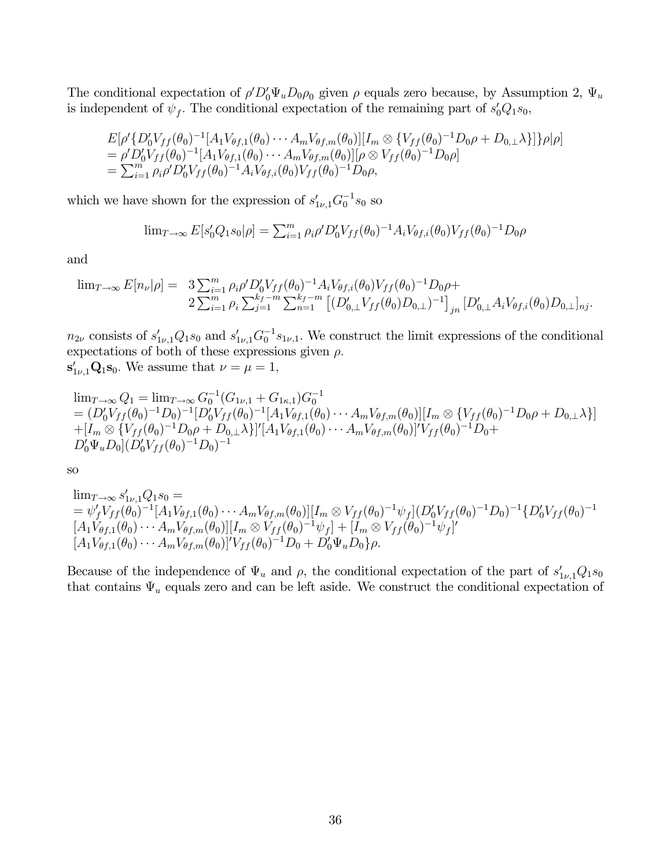The conditional expectation of  $\rho' D_0' \Psi_u D_0 \rho_0$  given  $\rho$  equals zero because, by Assumption 2,  $\Psi_u$ is independent of  $\psi_f$ . The conditional expectation of the remaining part of  $s'_0Q_1s_0$ ,

$$
E[\rho'\{D'_0V_{ff}(\theta_0)^{-1}[A_1V_{\theta f,1}(\theta_0)\cdots A_mV_{\theta f,m}(\theta_0)][I_m \otimes \{V_{ff}(\theta_0)^{-1}D_0\rho + D_{0,\perp}\lambda\}]\rho|\rho]
$$
  
=  $\rho'D'_0V_{ff}(\theta_0)^{-1}[A_1V_{\theta f,1}(\theta_0)\cdots A_mV_{\theta f,m}(\theta_0)][\rho \otimes V_{ff}(\theta_0)^{-1}D_0\rho]$   
=  $\sum_{i=1}^m \rho_i\rho'D'_0V_{ff}(\theta_0)^{-1}A_iV_{\theta f,i}(\theta_0)V_{ff}(\theta_0)^{-1}D_0\rho,$ 

which we have shown for the expression of  $s'_{1\nu,1}G_0^{-1}s_0$  so

$$
\lim_{T \to \infty} E[s'_0 Q_1 s_0 | \rho] = \sum_{i=1}^m \rho_i \rho' D'_0 V_{ff}(\theta_0)^{-1} A_i V_{\theta f, i}(\theta_0) V_{ff}(\theta_0)^{-1} D_0 \rho
$$

and

$$
\lim_{T \to \infty} E[n_{\nu}|\rho] = 3 \sum_{i=1}^{m} \rho_{i} \rho' D'_{0} V_{ff}(\theta_{0})^{-1} A_{i} V_{\theta f, i}(\theta_{0}) V_{ff}(\theta_{0})^{-1} D_{0} \rho + 2 \sum_{i=1}^{m} \rho_{i} \sum_{j=1}^{k_{f}-m} \sum_{n=1}^{k_{f}-m} \left[ (D'_{0,\perp} V_{ff}(\theta_{0}) D_{0,\perp})^{-1} \right]_{jn} [D'_{0,\perp} A_{i} V_{\theta f, i}(\theta_{0}) D_{0,\perp}]_{nj}.
$$

 $n_{2\nu}$  consists of  $s'_{1\nu,1}Q_1s_0$  and  $s'_{1\nu,1}G_0^{-1}s_{1\nu,1}$ . We construct the limit expressions of the conditional expectations of both of these expressions given  $\rho$ .  $\mathbf{s}_{1\nu,1}^{\prime}\mathbf{Q}_1\mathbf{s}_0$ . We assume that  $\nu = \mu = 1$ ,

$$
\lim_{T \to \infty} Q_1 = \lim_{T \to \infty} G_0^{-1} (G_{1\nu,1} + G_{1\kappa,1}) G_0^{-1}
$$
\n
$$
= (D'_0 V_{ff}(\theta_0)^{-1} D_0)^{-1} [D'_0 V_{ff}(\theta_0)^{-1} [A_1 V_{\theta f,1}(\theta_0) \cdots A_m V_{\theta f,m}(\theta_0)][I_m \otimes \{V_{ff}(\theta_0)^{-1} D_0 \rho + D_{0,\perp} \lambda\}]
$$
\n
$$
+ [I_m \otimes \{V_{ff}(\theta_0)^{-1} D_0 \rho + D_{0,\perp} \lambda\}]'[A_1 V_{\theta f,1}(\theta_0) \cdots A_m V_{\theta f,m}(\theta_0)]' V_{ff}(\theta_0)^{-1} D_0 + D'_0 \Psi_u D_0 [D'_0 V_{ff}(\theta_0)^{-1} D_0)^{-1}
$$

so

$$
\lim_{T \to \infty} s'_{1\nu,1}Q_1 s_0 =
$$
\n
$$
= \psi'_f V_{ff}(\theta_0)^{-1} [A_1 V_{\theta f,1}(\theta_0) \cdots A_m V_{\theta f,m}(\theta_0)][I_m \otimes V_{ff}(\theta_0)^{-1} \psi_f] (D'_0 V_{ff}(\theta_0)^{-1} D_0)^{-1} \{D'_0 V_{ff}(\theta_0)^{-1} [A_1 V_{\theta f,1}(\theta_0) \cdots A_m V_{\theta f,m}(\theta_0)][I_m \otimes V_{ff}(\theta_0)^{-1} \psi_f] + [I_m \otimes V_{ff}(\theta_0)^{-1} \psi_f]'\n[A_1 V_{\theta f,1}(\theta_0) \cdots A_m V_{\theta f,m}(\theta_0)]' V_{ff}(\theta_0)^{-1} D_0 + D'_0 \Psi_u D_0 \} \rho.
$$

Because of the independence of  $\Psi_u$  and  $\rho$ , the conditional expectation of the part of  $s'_{1\nu,1}Q_1s_0$ that contains  $\Psi_u$  equals zero and can be left aside. We construct the conditional expectation of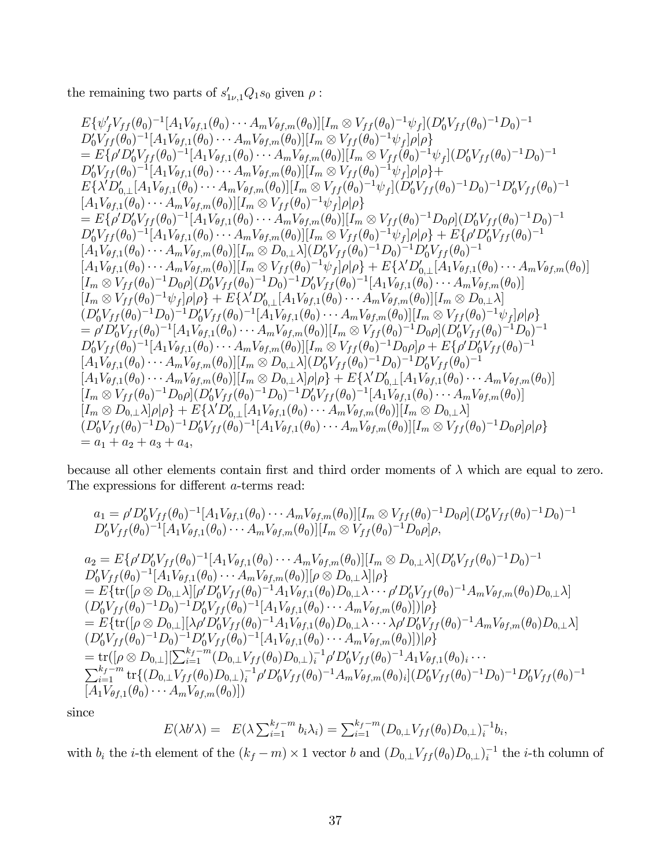the remaining two parts of  $s'_{1\nu,1}Q_1s_0$  given  $\rho$ :

$$
E\{\psi'_{f}V_{ff}(\theta_{0})^{-1}[A_{1}V_{\theta f,1}(\theta_{0})\cdots A_{m}V_{\theta f,m}(\theta_{0})][I_{m}\otimes V_{ff}(\theta_{0})^{-1}\psi_{f}](D'_{0}V_{ff}(\theta_{0})^{-1}D_{0})^{-1} \nD'_{0}V_{ff}(\theta_{0})^{-1}[A_{1}V_{\theta f,1}(\theta_{0})\cdots A_{m}V_{\theta f,m}(\theta_{0})][I_{m}\otimes V_{ff}(\theta_{0})^{-1}\psi_{f}](D'_{0}V_{ff}(\theta_{0})^{-1}D_{0})^{-1} \n= E\{\rho'D'_{0}V_{ff}(\theta_{0})^{-1}[A_{1}V_{\theta f,1}(\theta_{0})\cdots A_{m}V_{\theta f,m}(\theta_{0})][I_{m}\otimes V_{ff}(\theta_{0})^{-1}\psi_{f}](D'_{0}V_{ff}(\theta_{0})^{-1}D_{0})^{-1} \nD'_{0}V_{ff}(\theta_{0})^{-1}[A_{1}V_{\theta f,1}(\theta_{0})\cdots A_{m}V_{\theta f,m}(\theta_{0})][I_{m}\otimes V_{ff}(\theta_{0})^{-1}\psi_{f}](D'_{0}V_{ff}(\theta_{0})^{-1}D_{0})^{-1}D'_{0}V_{ff}(\theta_{0})^{-1} \n[A_{1}V_{\theta f,1}(\theta_{0})\cdots A_{m}V_{\theta f,m}(\theta_{0})][I_{m}\otimes V_{ff}(\theta_{0})^{-1}\psi_{f}](D'_{0}V_{ff}(\theta_{0})^{-1}D_{0})^{-1}D'_{0}V_{ff}(\theta_{0})^{-1} \n= E\{\rho'D'_{0}V_{ff}(\theta_{0})^{-1}[A_{1}V_{\theta f,1}(\theta_{0})\cdots A_{m}V_{\theta f,m}(\theta_{0})][I_{m}\otimes V_{ff}(\theta_{0})^{-1}D_{0}\rho](D'_{0}V_{ff}(\theta_{0})^{-1}D_{0})^{-1} \nD'_{0}V_{ff}(\theta_{0})^{-1}[A_{1}V_{\theta f,1}(\theta_{0})\cdots A_{m}V_{\theta f,m}(\theta_{0})][I_{m}\otimes V_{ff}(\theta_{0})^{-1}D_{0}\rho](D'_{0}V_{ff}(\theta_{0})^{-1} \
$$

because all other elements contain first and third order moments of  $\lambda$  which are equal to zero. The expressions for different a-terms read:

$$
a_1 = \rho' D'_0 V_{ff}(\theta_0)^{-1} [A_1 V_{\theta f,1}(\theta_0) \cdots A_m V_{\theta f,m}(\theta_0)][I_m \otimes V_{ff}(\theta_0)^{-1} D_0 \rho] (D'_0 V_{ff}(\theta_0)^{-1} D_0)^{-1}
$$
  

$$
D'_0 V_{ff}(\theta_0)^{-1} [A_1 V_{\theta f,1}(\theta_0) \cdots A_m V_{\theta f,m}(\theta_0)][I_m \otimes V_{ff}(\theta_0)^{-1} D_0 \rho] \rho,
$$

$$
a_{2} = E\{\rho'D_{0}^{V}V_{ff}(\theta_{0})^{-1}[A_{1}V_{\theta f,1}(\theta_{0})\cdots A_{m}V_{\theta f,m}(\theta_{0})][I_{m} \otimes D_{0,\perp}\lambda](D'_{0}V_{ff}(\theta_{0})^{-1}D_{0})^{-1}D'_{0}V_{ff}(\theta_{0})^{-1}[A_{1}V_{\theta f,1}(\theta_{0})\cdots A_{m}V_{\theta f,m}(\theta_{0})][\rho \otimes D_{0,\perp}\lambda][\rho]
$$
  
\n
$$
= E\{\text{tr}([\rho \otimes D_{0,\perp}\lambda][\rho'D'_{0}V_{ff}(\theta_{0})^{-1}A_{1}V_{\theta f,1}(\theta_{0})D_{0,\perp}\lambda\cdots\rho'D'_{0}V_{ff}(\theta_{0})^{-1}A_{m}V_{\theta f,m}(\theta_{0})D_{0,\perp}\lambda]
$$
  
\n
$$
(D'_{0}V_{ff}(\theta_{0})^{-1}D_{0})^{-1}D'_{0}V_{ff}(\theta_{0})^{-1}[A_{1}V_{\theta f,1}(\theta_{0})\cdots A_{m}V_{\theta f,m}(\theta_{0})]][\rho\}
$$
  
\n
$$
= E\{\text{tr}([\rho \otimes D_{0,\perp}][\lambda\rho'D'_{0}V_{ff}(\theta_{0})^{-1}A_{1}V_{\theta f,1}(\theta_{0})D_{0,\perp}\lambda\cdots\lambda\rho'D'_{0}V_{ff}(\theta_{0})^{-1}A_{m}V_{\theta f,m}(\theta_{0})D_{0,\perp}\lambda]
$$
  
\n
$$
(D'_{0}V_{ff}(\theta_{0})^{-1}D_{0})^{-1}D'_{0}V_{ff}(\theta_{0})^{-1}[A_{1}V_{\theta f,1}(\theta_{0})\cdots A_{m}V_{\theta f,m}(\theta_{0})]][\rho\}
$$
  
\n
$$
= \text{tr}([\rho \otimes D_{0,\perp}][\sum_{i=1}^{k_{f}-m}(D_{0,\perp}V_{ff}(\theta_{0})D_{0,\perp})_{i}^{-1}\rho'D'_{0}V_{ff}(\theta_{0})^{-1}A_{1}V_{\theta f,1}(\theta_{0})_{i}\cdots
$$
  
\n
$$
\sum_{i=1}^{k_{f}-m} \text{tr}\{[
$$

since

$$
E(\lambda b' \lambda) = E(\lambda \sum_{i=1}^{k_f - m} b_i \lambda_i) = \sum_{i=1}^{k_f - m} (D_{0,\perp} V_{ff}(\theta_0) D_{0,\perp})_i^{-1} b_i,
$$

with  $b_i$  the *i*-th element of the  $(k_f - m) \times 1$  vector b and  $(D_{0,\perp} V_{ff}(\theta_0) D_{0,\perp})_i^{-1}$  the *i*-th column of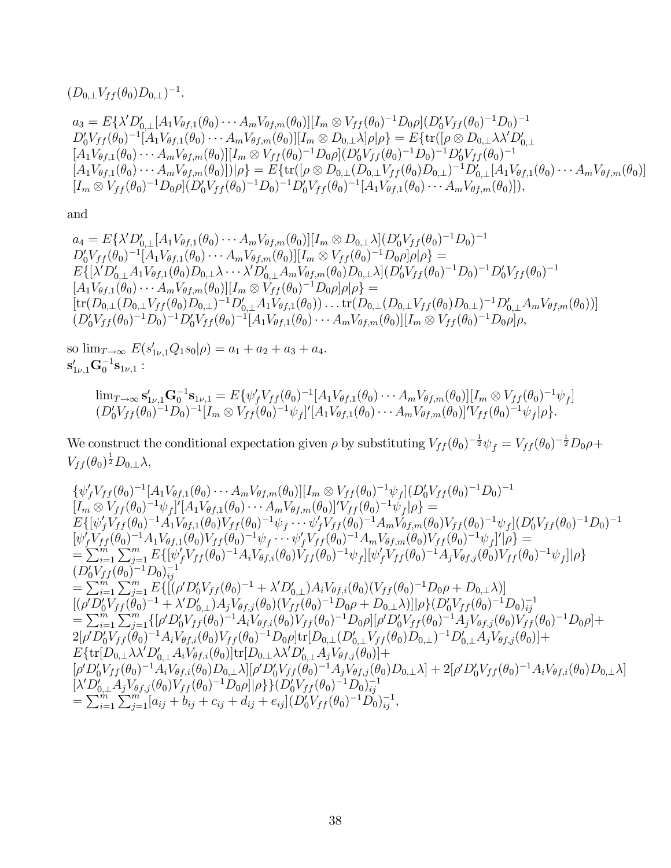$$
(D_{0,\perp}V_{ff}(\theta_0)D_{0,\perp})^{-1}.
$$
  
\n
$$
a_3 = E\{\lambda'D'_{0,\perp}[A_1V_{\theta f,1}(\theta_0)\cdots A_mV_{\theta f,m}(\theta_0)][I_m \otimes V_{ff}(\theta_0)^{-1}D_0\rho](D'_0V_{ff}(\theta_0)^{-1}D_0)^{-1}
$$
  
\n
$$
D'_0V_{ff}(\theta_0)^{-1}[A_1V_{\theta f,1}(\theta_0)\cdots A_mV_{\theta f,m}(\theta_0)][I_m \otimes D_{0,\perp}\lambda]\rho|\rho\rangle = E\{\text{tr}([\rho \otimes D_{0,\perp}\lambda\lambda'D'_{0,\perp}]\rho_{0,\perp}[A_1V_{\theta f,1}(\theta_0)\cdots A_mV_{\theta f,m}(\theta_0)][I_m \otimes V_{ff}(\theta_0)^{-1}D_0\rho](D'_0V_{ff}(\theta_0)^{-1}D_0)^{-1}D'_0V_{ff}(\theta_0)^{-1}
$$
  
\n
$$
[A_1V_{\theta f,1}(\theta_0)\cdots A_mV_{\theta f,m}(\theta_0)]|\rho\rangle = E\{\text{tr}([\rho \otimes D_{0,\perp}(D_{0,\perp}V_{ff}(\theta_0)D_{0,\perp})^{-1}D'_{0,\perp}[A_1V_{\theta f,1}(\theta_0)\cdots A_mV_{\theta f,m}(\theta_0)]\|I_m \otimes V_{ff}(\theta_0)^{-1}D_0\rangle^{-1}D'_0V_{ff}(\theta_0)^{-1}[A_1V_{\theta f,1}(\theta_0)\cdots A_mV_{\theta f,m}(\theta_0)]\},
$$

and

$$
a_4 = E\{\lambda'D'_{0,\perp}[A_1V_{\theta f,1}(\theta_0)\cdots A_mV_{\theta f,m}(\theta_0)][I_m \otimes D_{0,\perp}\lambda](D'_0V_{ff}(\theta_0)^{-1}D_0)^{-1}D'_0V_{ff}(\theta_0)^{-1}[A_1V_{\theta f,1}(\theta_0)\cdots A_mV_{\theta f,m}(\theta_0)][I_m \otimes V_{ff}(\theta_0)^{-1}D_0\rho]\rho]\rho\} =E\{\lambda'D'_{0,\perp}A_1V_{\theta f,1}(\theta_0)D_{0,\perp}\lambda\cdots\lambda'D'_{0,\perp}A_mV_{\theta f,m}(\theta_0)D_{0,\perp}\lambda](D'_0V_{ff}(\theta_0)^{-1}D_0)^{-1}D'_0V_{ff}(\theta_0)^{-1}[A_1V_{\theta f,1}(\theta_0)\cdots A_mV_{\theta f,m}(\theta_0)][I_m \otimes V_{ff}(\theta_0)^{-1}D_0\rho]\rho]\rho\} =[tr(D_{0,\perp}(D_{0,\perp}V_{ff}(\theta_0)D_{0,\perp})^{-1}D'_{0,\perp}A_1V_{\theta f,1}(\theta_0))\cdots tr(D_{0,\perp}(D_{0,\perp}V_{ff}(\theta_0)D_{0,\perp})^{-1}D'_{0,\perp}A_mV_{\theta f,m}(\theta_0))](D'_0V_{ff}(\theta_0)^{-1}D_0)^{-1}D'_0V_{ff}(\theta_0)^{-1}[A_1V_{\theta f,1}(\theta_0)\cdots A_mV_{\theta f,m}(\theta_0)][I_m \otimes V_{ff}(\theta_0)^{-1}D_0\rho]\rho,
$$

so  $\lim_{T \to \infty} E(s'_{1\nu,1}Q_1s_0|\rho) = a_1 + a_2 + a_3 + a_4.$  $\mathbf{s}^{\prime}_{1\nu,1}\mathbf{G}_{0}^{-1}\mathbf{s}_{1\nu,1}$  :

$$
\lim_{T\to\infty} \mathbf{s}'_{1\nu,1} \mathbf{G}_0^{-1} \mathbf{s}_{1\nu,1} = E\{\psi'_f V_{ff}(\theta_0)^{-1}[A_1 V_{\theta f,1}(\theta_0) \cdots A_m V_{\theta f,m}(\theta_0)][I_m \otimes V_{ff}(\theta_0)^{-1}\psi_f] (D'_0 V_{ff}(\theta_0)^{-1} D_0)^{-1}[I_m \otimes V_{ff}(\theta_0)^{-1}\psi_f]'[A_1 V_{\theta f,1}(\theta_0) \cdots A_m V_{\theta f,m}(\theta_0)]' V_{ff}(\theta_0)^{-1}\psi_f|\rho\rbrace.
$$

We construct the conditional expectation given  $\rho$  by substituting  $V_{ff}(\theta_0)^{-\frac{1}{2}}\psi_f = V_{ff}(\theta_0)^{-\frac{1}{2}}D_0\rho +$  $V_{ff}(\theta_0)^{\frac{1}{2}}D_{0,\perp}\lambda,$ 

$$
\{\psi'_{f}V_{ff}(\theta_{0})^{-1}[A_{1}V_{\theta f,1}(\theta_{0})\cdots A_{m}V_{\theta f,m}(\theta_{0})][I_{m}\otimes V_{ff}(\theta_{0})^{-1}\psi_{f}](D'_{0}V_{ff}(\theta_{0})^{-1}D_{0})^{-1}[I_{m}\otimes V_{ff}(\theta_{0})^{-1}\psi_{f}]/[A_{1}V_{\theta f,1}(\theta_{0})\cdots A_{m}V_{\theta f,m}(\theta_{0})]'\psi_{ff}(\theta_{0})^{-1}\psi_{f}(\rho_{0})^{-1}\psi_{f}(\rho_{0})^{-1}D_{0})^{-1}E\{[\psi'_{f}V_{ff}(\theta_{0})^{-1}A_{1}V_{\theta f,1}(\theta_{0})V_{ff}(\theta_{0})^{-1}\psi_{f}\cdots\psi'_{f}V_{ff}(\theta_{0})^{-1}A_{m}V_{\theta f,m}(\theta_{0})V_{ff}(\theta_{0})^{-1}\psi_{f}](D'_{0}V_{ff}(\theta_{0})^{-1}D_{0})^{-1}[\psi'_{f}V_{ff}(\theta_{0})^{-1}A_{1}V_{\theta f,1}(\theta_{0})V_{ff}(\theta_{0})^{-1}\psi_{f}\cdots\psi'_{f}V_{ff}(\theta_{0})^{-1}A_{m}V_{\theta f,m}(\theta_{0})V_{ff}(\theta_{0})^{-1}\psi_{f}](\rho\}==\sum_{i=1}^{m}\sum_{j=1}^{m}E\{[\psi'_{f}V_{ff}(\theta_{0})^{-1}A_{i}V_{\theta f,i}(\theta_{0})V_{ff}(\theta_{0})^{-1}A_{j}V_{\theta f,i}(\theta_{0})V_{ff}(\theta_{0})^{-1}\psi_{f}](\rho\}=[\psi'_{f}V_{ff}(\theta_{0})^{-1}D_{0})_{ij}^{-1}=\sum_{i=1}^{m}\sum_{j=1}^{m}E\{[(\phi'D'_{0}V_{ff}(\theta_{0})^{-1}+\lambda'D'_{0,\perp})A_{i}V_{\theta f,i}(\theta_{0})(V_{ff}(\theta_{0})^{-1}D_{0}\rho+D_{0,\perp}\lambda)]|(\phi'_{f}V_{ff}(\theta_{0})^{-1}D_{0})_{ij}^{-1}=\sum_{i=1}^{m}\sum_{j=1}^{m}E\{[(\phi'D'_{0}V_{ff}(\theta_{0})^{-1
$$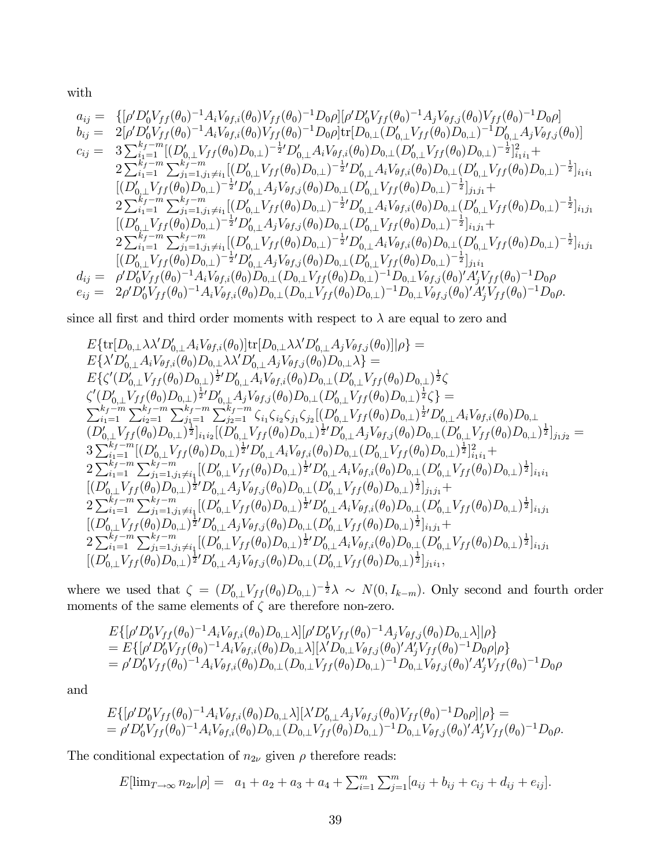with

$$
a_{ij} = \{ [\rho' D'_0 V_{ff}(\theta_0)^{-1} A_i V_{\theta f,i}(\theta_0) V_{ff}(\theta_0)^{-1} D_0 \rho] [ \rho' D'_0 V_{ff}(\theta_0)^{-1} A_j V_{\theta f,i}(\theta_0) V_{ff}(\theta_0)^{-1} D_0 \rho ] \n b_{ij} = 2 [\rho' D'_0 V_{ff}(\theta_0)^{-1} A_i V_{\theta f,i}(\theta_0) V_{ff}(\theta_0)^{-1} D_0 \rho] \text{tr}[D_{0,\perp} (D'_{0,\perp} V_{ff}(\theta_0) D_{0,\perp})^{-1} D'_{0,\perp} A_j V_{\theta f,i}(\theta_0)] \n c_{ij} = 3 \sum_{i_1=1}^{k_f-m} [(D'_{0,\perp} V_{ff}(\theta_0) D_{0,\perp})^{-\frac{1}{2}} D'_{0,\perp} A_i V_{\theta f,i}(\theta_0) D_{0,\perp} (D'_{0,\perp} V_{ff}(\theta_0) D_{0,\perp})^{-\frac{1}{2}}]_{i_1i_1}^2 +\n 2 \sum_{i_1=1}^{k_f-m} \sum_{j_1=1,j_1\neq i_1}^{k_f-m} [(D'_{0,\perp} V_{ff}(\theta_0) D_{0,\perp})^{-\frac{1}{2}} D'_{0,\perp} A_i V_{\theta f,i}(\theta_0) D_{0,\perp} (D'_{0,\perp} V_{ff}(\theta_0) D_{0,\perp})^{-\frac{1}{2}}]_{i_1i_1} \n [(D'_{0,\perp} V_{ff}(\theta_0) D_{0,\perp})^{-\frac{1}{2}} D'_{0,\perp} A_j V_{\theta f,j}(\theta_0) D_{0,\perp} (D'_{0,\perp} V_{ff}(\theta_0) D_{0,\perp})^{-\frac{1}{2}}]_{i_1j_1} +\n 2 \sum_{i_1=1}^{k_f-m} \sum_{j_1=1,j_1\neq i_1}^{k_f-m} [(D'_{0,\perp} V_{ff}(\theta_0) D_{0,\perp})^{-\frac{1}{2}} D'_{0,\perp} A_i V_{\theta f,i}(\theta_0) D_{0,\perp})^{-\frac{1}{2}}]_{i_1j_1} +\n 2 \sum_{i_1=1}^{k
$$

since all first and third order moments with respect to  $\lambda$  are equal to zero and

$$
E\{\text{tr}[D_{0,\perp}\lambda\lambda'D'_{0,\perp}A_{i}V_{\theta f,i}(\theta_{0})]\text{tr}[D_{0,\perp}\lambda\lambda'D'_{0,\perp}A_{j}V_{\theta f,j}(\theta_{0})][\rho\} =\nE\{\lambda'D'_{0,\perp}A_{i}V_{\theta f,i}(\theta_{0})D_{0,\perp}\lambda\lambda'D'_{0,\perp}A_{j}V_{\theta f,j}(\theta_{0})D_{0,\perp}\lambda\} =\nE\{\zeta'(D'_{0,\perp}V_{ff}(\theta_{0})D_{0,\perp})^{\frac{1}{2}}D'_{0,\perp}A_{i}V_{\theta f,i}(\theta_{0})D_{0,\perp}(D'_{0,\perp}V_{ff}(\theta_{0})D_{0,\perp})^{\frac{1}{2}}\zeta\n\zeta'(D'_{0,\perp}V_{ff}(\theta_{0})D_{0,\perp})^{\frac{1}{2}}D'_{0,\perp}A_{j}V_{\theta f,i}(\theta_{0})D_{0,\perp}(D'_{0,\perp}V_{ff}(\theta_{0})D_{0,\perp})^{\frac{1}{2}}\zeta\} =\n\sum_{i_1=1}^{k_f-m}\sum_{i_2=1}^{k_f-m}\sum_{j_1=1}^{k_f-m}\zeta_{i_1}\zeta_{i_2}\zeta_{j_1}\zeta_{j_2}[(D'_{0,\perp}V_{ff}(\theta_{0})D_{0,\perp})^{\frac{1}{2}}D'_{0,\perp}A_{i}V_{\theta f,i}(\theta_{0})D_{0,\perp}\n(D'_{0,\perp}V_{ff}(\theta_{0})D_{0,\perp})^{\frac{1}{2}}]_{i_1i_2}[(D'_{0,\perp}V_{ff}(\theta_{0})D_{0,\perp})^{\frac{1}{2}}D'_{0,\perp}A_{j}V_{\theta f,j}(\theta_{0})D_{0,\perp})^{\frac{1}{2}}D'_{0,\perp}A_{i}V_{\theta f,i}(\theta_{0})D_{0,\perp})^{\frac{1}{2}}]_{i_1i_1}^2 +\n2\sum_{i_1=1}^{k_f-m}\sum_{j_1=1,j_1\neq i_1}^{k_f-m}[(D'_{0,\perp}V_{ff}(\theta_{0})D_{0,\perp})^{\frac{1}{2}}D'_{
$$

where we used that  $\zeta = (D'_{0,\perp} V_{ff}(\theta_0) D_{0,\perp})^{-\frac{1}{2}} \lambda \sim N(0, I_{k-m})$ . Only second and fourth order moments of the same elements of  $\zeta$  are therefore non-zero.

$$
E\{[\rho'D_0'V_{ff}(\theta_0)^{-1}A_iV_{\theta f,i}(\theta_0)D_{0,\perp}\lambda][\rho'D_0'V_{ff}(\theta_0)^{-1}A_jV_{\theta f,j}(\theta_0)D_{0,\perp}\lambda][\rho\}= E\{[\rho'D_0'V_{ff}(\theta_0)^{-1}A_iV_{\theta f,i}(\theta_0)D_{0,\perp}\lambda][\lambda'D_{0,\perp}V_{\theta f,j}(\theta_0)'A_j'V_{ff}(\theta_0)^{-1}D_0\rho]\rho\}= \rho'D_0'V_{ff}(\theta_0)^{-1}A_iV_{\theta f,i}(\theta_0)D_{0,\perp}(D_{0,\perp}V_{ff}(\theta_0)D_{0,\perp})^{-1}D_{0,\perp}V_{\theta f,j}(\theta_0)'A_j'V_{ff}(\theta_0)^{-1}D_0\rho
$$

and

$$
E\{[\rho'D_0'V_{ff}(\theta_0)^{-1}A_iV_{\theta f,i}(\theta_0)D_{0,\perp}\lambda][\lambda'D'_{0,\perp}A_jV_{\theta f,j}(\theta_0)V_{ff}(\theta_0)^{-1}D_0\rho][\rho\} = \rho'D_0'V_{ff}(\theta_0)^{-1}A_iV_{\theta f,i}(\theta_0)D_{0,\perp}(D_{0,\perp}V_{ff}(\theta_0)D_{0,\perp})^{-1}D_{0,\perp}V_{\theta f,j}(\theta_0)'A_j'V_{ff}(\theta_0)^{-1}D_0\rho.
$$

The conditional expectation of  $n_{2\nu}$  given  $\rho$  therefore reads:

$$
E[\lim_{T \to \infty} n_{2\nu}|\rho] = a_1 + a_2 + a_3 + a_4 + \sum_{i=1}^m \sum_{j=1}^m [a_{ij} + b_{ij} + c_{ij} + d_{ij} + e_{ij}].
$$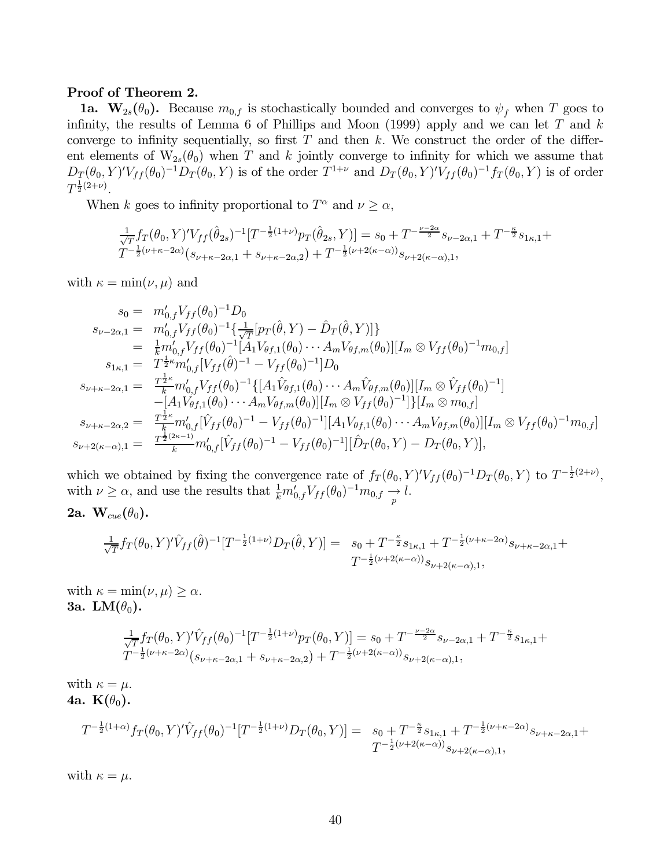#### Proof of Theorem 2.

**1a.**  $\mathbf{W}_{2s}(\theta_0)$ . Because  $m_{0,f}$  is stochastically bounded and converges to  $\psi_f$  when T goes to infinity, the results of Lemma 6 of Phillips and Moon (1999) apply and we can let  $T$  and  $k$ converge to infinity sequentially, so first  $T$  and then k. We construct the order of the different elements of  $W_{2s}(\theta_0)$  when T and k jointly converge to infinity for which we assume that  $D_T(\theta_0, Y)'V_{ff}(\theta_0)^{-1}D_T(\theta_0, Y)$  is of the order  $T^{1+\nu}$  and  $D_T(\theta_0, Y)'V_{ff}(\theta_0)^{-1}f_T(\theta_0, Y)$  is of order  $T^{\frac{1}{2}(2+\nu)}$ .

When k goes to infinity proportional to  $T^{\alpha}$  and  $\nu \geq \alpha$ ,

$$
\frac{1}{\sqrt{T}} f_T(\theta_0, Y)' V_{ff}(\hat{\theta}_{2s})^{-1} [T^{-\frac{1}{2}(1+\nu)} p_T(\hat{\theta}_{2s}, Y)] = s_0 + T^{-\frac{\nu - 2\alpha}{2}} s_{\nu - 2\alpha, 1} + T^{-\frac{\kappa}{2}} s_{1\kappa, 1} + T^{-\frac{\kappa}{2}} s_{1\kappa, 1} + T^{-\frac{1}{2}(\nu + \kappa - 2\alpha)} (s_{\nu + \kappa - 2\alpha, 1} + s_{\nu + \kappa - 2\alpha, 2}) + T^{-\frac{1}{2}(\nu + 2(\kappa - \alpha))} s_{\nu + 2(\kappa - \alpha), 1},
$$

with  $\kappa = \min(\nu, \mu)$  and

$$
s_{0} = m'_{0,f} V_{ff}(\theta_{0})^{-1} D_{0}
$$
  
\n
$$
s_{\nu-2\alpha,1} = m'_{0,f} V_{ff}(\theta_{0})^{-1} \{ \frac{1}{\sqrt{T}} [p_{T}(\hat{\theta}, Y) - \hat{D}_{T}(\hat{\theta}, Y)] \}
$$
  
\n
$$
= \frac{1}{k} m'_{0,f} V_{ff}(\theta_{0})^{-1} [A_{1} V_{\theta f,1}(\theta_{0}) \cdots A_{m} V_{\theta f,m}(\theta_{0})] [I_{m} \otimes V_{ff}(\theta_{0})^{-1} m_{0,f}]
$$
  
\n
$$
s_{1\kappa,1} = T^{\frac{1}{2}\kappa} m'_{0,f} [V_{ff}(\hat{\theta})^{-1} - V_{ff}(\theta_{0})^{-1}] D_{0}
$$
  
\n
$$
s_{\nu+\kappa-2\alpha,1} = \frac{T^{\frac{1}{2}\kappa}}{k} m'_{0,f} V_{ff}(\theta_{0})^{-1} \{ [A_{1} \hat{V}_{\theta f,1}(\theta_{0}) \cdots A_{m} \hat{V}_{\theta f,m}(\theta_{0})] [I_{m} \otimes \hat{V}_{ff}(\theta_{0})^{-1}]
$$
  
\n
$$
- [A_{1} V_{\theta f,1}(\theta_{0}) \cdots A_{m} V_{\theta f,m}(\theta_{0})] [I_{m} \otimes V_{ff}(\theta_{0})^{-1}] \} [I_{m} \otimes m_{0,f}]
$$
  
\n
$$
s_{\nu+\kappa-2\alpha,2} = \frac{T^{\frac{1}{2}\kappa}}{k} m'_{0,f} [\hat{V}_{ff}(\theta_{0})^{-1} - V_{ff}(\theta_{0})^{-1}] [A_{1} V_{\theta f,1}(\theta_{0}) \cdots A_{m} V_{\theta f,m}(\theta_{0})] [I_{m} \otimes V_{ff}(\theta_{0})^{-1} m_{0,f}]
$$
  
\n
$$
s_{\nu+2(\kappa-\alpha),1} = \frac{T^{\frac{1}{2}(\kappa-1)}{k} m'_{0,f} [\hat{V}_{ff}(\theta_{0})^{-1} - V_{ff}(\theta_{0})^{-1}] [\hat{D}_{T}(\theta_{0}, Y) - D_{T}(\theta_{0}, Y)],
$$

which we obtained by fixing the convergence rate of  $f_T(\theta_0, Y)'V_{ff}(\theta_0)^{-1}D_T(\theta_0, Y)$  to  $T^{-\frac{1}{2}(2+\nu)}$ , with  $\nu \ge \alpha$ , and use the results that  $\frac{1}{k} m'_{0,f} V_{ff}(\theta_0)^{-1} m_{0,f} \rightarrow l$ .

2a.  $\mathbf{W}_{cue}(\theta_0)$ .

$$
\frac{1}{\sqrt{T}} f_T(\theta_0, Y)' \hat{V}_{ff}(\hat{\theta})^{-1} [T^{-\frac{1}{2}(1+\nu)} D_T(\hat{\theta}, Y)] = s_0 + T^{-\frac{\kappa}{2}} s_{1\kappa, 1} + T^{-\frac{1}{2}(\nu + \kappa - 2\alpha)} s_{\nu + \kappa - 2\alpha, 1} + T^{-\frac{1}{2}(\nu + 2(\kappa - \alpha))} s_{\nu + 2(\kappa - \alpha), 1},
$$

with  $\kappa = \min(\nu, \mu) \geq \alpha$ . 3a. L $M(\theta_0)$ .

$$
\frac{1}{\sqrt{T}} f_T(\theta_0, Y)' \hat{V}_{ff}(\theta_0)^{-1} [T^{-\frac{1}{2}(1+\nu)} p_T(\theta_0, Y)] = s_0 + T^{-\frac{\nu - 2\alpha}{2}} s_{\nu - 2\alpha, 1} + T^{-\frac{\kappa}{2}} s_{1\kappa, 1} + T^{-\frac{\kappa}{2}} s_{1\kappa, 1} + T^{-\frac{1}{2}(\nu + \kappa - 2\alpha)} (s_{\nu + \kappa - 2\alpha, 1} + s_{\nu + \kappa - 2\alpha, 2}) + T^{-\frac{1}{2}(\nu + 2(\kappa - \alpha))} s_{\nu + 2(\kappa - \alpha), 1},
$$

with  $\kappa = \mu$ . 4a.  $\mathbf{K}(\theta_0)$ .  $T^{-\frac{1}{2}(1+\alpha)}f_T(\theta_0,Y)' \hat{V}_{ff}(\theta_0)^{-1}[T^{-\frac{1}{2}(1+\nu)}D_T(\theta_0,Y)] = s_0 + T^{-\frac{\kappa}{2}}s_{1\kappa,1} + T^{-\frac{1}{2}(\nu+\kappa-2\alpha)}s_{\nu+\kappa-2\alpha,1} +$  $T^{-\frac{1}{2}(\nu+2(\kappa-\alpha))} s_{\nu+2(\kappa-\alpha),1},$ 

with  $\kappa = \mu$ .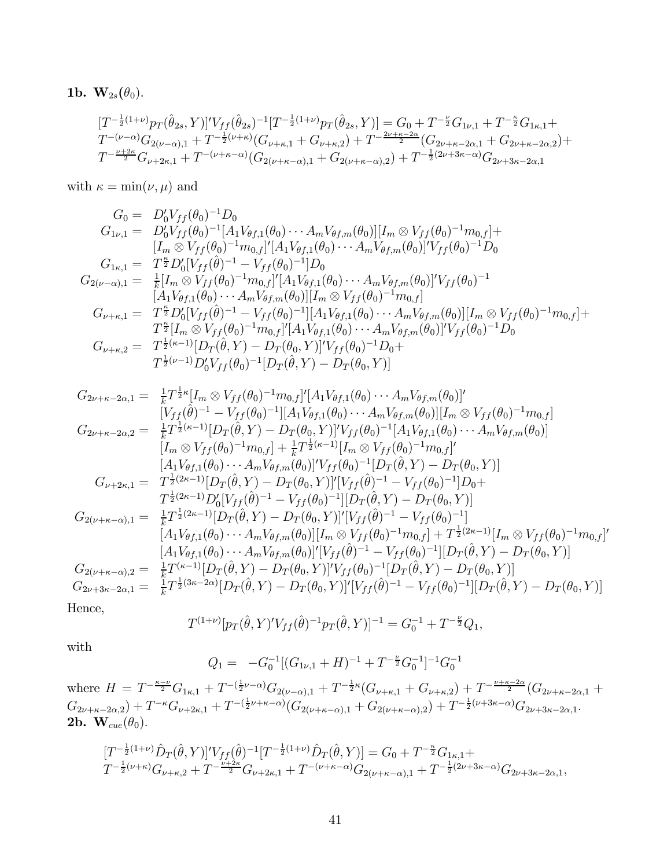### 1b.  ${\bf W}_{2s}(\theta_0)$ .

$$
\begin{array}{l}[T^{-\frac{1}{2}(1+\nu)}p_{T}(\hat{\theta}_{2s},Y)]'V_{ff}(\hat{\theta}_{2s})^{-1}[T^{-\frac{1}{2}(1+\nu)}p_{T}(\hat{\theta}_{2s},Y)]=G_{0}+T^{-\frac{\nu}{2}}G_{1\nu,1}+T^{-\frac{\kappa}{2}}G_{1\kappa,1}+\\ T^{-(\nu-\alpha)}G_{2(\nu-\alpha),1}+T^{-\frac{1}{2}(\nu+\kappa)}(G_{\nu+\kappa,1}+G_{\nu+\kappa,2})+T^{-\frac{2\nu+\kappa-2\alpha}{2}}(G_{2\nu+\kappa-2\alpha,1}+G_{2\nu+\kappa-2\alpha,2})+\\ T^{-\frac{\nu+2\kappa}{2}}G_{\nu+2\kappa,1}+T^{-(\nu+\kappa-\alpha)}(G_{2(\nu+\kappa-\alpha),1}+G_{2(\nu+\kappa-\alpha),2})+T^{-\frac{1}{2}(2\nu+3\kappa-\alpha)}G_{2\nu+3\kappa-2\alpha,1}\end{array}
$$

with  $\kappa = \min(\nu, \mu)$  and

$$
G_{0} = D'_{0}V_{ff}(\theta_{0})^{-1}D_{0}
$$
  
\n
$$
G_{1\nu,1} = D'_{0}V_{ff}(\theta_{0})^{-1}[A_{1}V_{\theta f,1}(\theta_{0})\cdots A_{m}V_{\theta f,m}(\theta_{0})][I_{m} \otimes V_{ff}(\theta_{0})^{-1}m_{0,f}] +
$$
  
\n
$$
[I_{m} \otimes V_{ff}(\theta_{0})^{-1}m_{0,f}]^{'}[A_{1}V_{\theta f,1}(\theta_{0})\cdots A_{m}V_{\theta f,m}(\theta_{0})]^{'}V_{ff}(\theta_{0})^{-1}D_{0}
$$
  
\n
$$
G_{1\kappa,1} = T^{\frac{\kappa}{2}}D'_{0}[V_{ff}(\hat{\theta})^{-1} - V_{ff}(\theta_{0})^{-1}]D_{0}
$$
  
\n
$$
G_{2(\nu-\alpha),1} = \frac{1}{k}[I_{m} \otimes V_{ff}(\theta_{0})^{-1}m_{0,f}]^{'}[A_{1}V_{\theta f,1}(\theta_{0})\cdots A_{m}V_{\theta f,m}(\theta_{0})]^{'}V_{ff}(\theta_{0})^{-1}
$$
  
\n
$$
[A_{1}V_{\theta f,1}(\theta_{0})\cdots A_{m}V_{\theta f,m}(\theta_{0})][I_{m} \otimes V_{ff}(\theta_{0})^{-1}m_{0,f}]
$$
  
\n
$$
G_{\nu+\kappa,1} = T^{\frac{\kappa}{2}}D'_{0}[V_{ff}(\hat{\theta})^{-1} - V_{ff}(\theta_{0})^{-1}][A_{1}V_{\theta f,1}(\theta_{0})\cdots A_{m}V_{\theta f,m}(\theta_{0})][I_{m} \otimes V_{ff}(\theta_{0})^{-1}m_{0,f}] +
$$
  
\n
$$
T^{\frac{\kappa}{2}}[I_{m} \otimes V_{ff}(\theta_{0})^{-1}m_{0,f}]^{'}[A_{1}V_{\theta f,1}(\theta_{0})\cdots A_{m}V_{\theta f,m}(\theta_{0})]^{'}V_{ff}(\theta_{0})^{-1}D_{0}
$$
  
\n
$$
G_{\nu+\kappa,2} = T^{\frac{1}{2}(\kappa-1)}[D_{T}(\hat{\theta},Y) - D_{T}(\theta_{0},Y)]^{'}
$$

$$
G_{2\nu+\kappa-2\alpha,1} = \frac{1}{k}T^{\frac{1}{2}\kappa}[I_m \otimes V_{ff}(\theta_0)^{-1}m_{0,f}]'[A_1V_{\theta f,1}(\theta_0)\cdots A_mV_{\theta f,m}(\theta_0)]'
$$
  
\n
$$
[V_{ff}(\hat{\theta})^{-1} - V_{ff}(\theta_0)^{-1}][A_1V_{\theta f,1}(\theta_0)\cdots A_mV_{\theta f,m}(\theta_0)][I_m \otimes V_{ff}(\theta_0)^{-1}m_{0,f}]
$$
  
\n
$$
G_{2\nu+\kappa-2\alpha,2} = \frac{1}{k}T^{\frac{1}{2}(\kappa-1)}[D_T(\hat{\theta},Y) - D_T(\theta_0,Y)]'V_{ff}(\theta_0)^{-1}[A_1V_{\theta f,1}(\theta_0)\cdots A_mV_{\theta f,m}(\theta_0)]
$$
  
\n
$$
[I_m \otimes V_{ff}(\theta_0)^{-1}m_{0,f}] + \frac{1}{k}T^{\frac{1}{2}(\kappa-1)}[I_m \otimes V_{ff}(\theta_0)^{-1}m_{0,f}]'
$$
  
\n
$$
A_1V_{\theta f,1}(\theta_0)\cdots A_mV_{\theta f,m}(\theta_0)]'V_{ff}(\theta_0)^{-1}[D_T(\hat{\theta},Y) - D_T(\theta_0,Y)]
$$
  
\n
$$
G_{\nu+2\kappa,1} = T^{\frac{1}{2}(2\kappa-1)}[D_T(\hat{\theta},Y) - D_T(\theta_0,Y)]'[V_{ff}(\hat{\theta})^{-1} - V_{ff}(\theta_0)^{-1}]D_0 +
$$
  
\n
$$
T^{\frac{1}{2}(2\kappa-1)}D_0'[V_{ff}(\hat{\theta})^{-1} - V_{ff}(\theta_0)^{-1}][D_T(\hat{\theta},Y) - D_T(\theta_0,Y)]
$$
  
\n
$$
G_{2(\nu+\kappa-\alpha),1} = \frac{1}{k}T^{\frac{1}{2}(2\kappa-1)}[D_T(\hat{\theta},Y) - D_T(\theta_0,Y)]'[V_{ff}(\hat{\theta})^{-1} - V_{ff}(\theta_0)^{-1}]
$$
  
\n
$$
[A_1V_{\theta f,1}(\theta_0)\cdots A_mV_{\theta f,m}(\theta_0)][V
$$

Hence,

$$
T^{(1+\nu)}[p_T(\hat{\theta}, Y)'V_{ff}(\hat{\theta})^{-1}p_T(\hat{\theta}, Y)]^{-1} = G_0^{-1} + T^{-\frac{\nu}{2}}Q_1,
$$

with

$$
Q_1 = -G_0^{-1}[(G_{1\nu,1} + H)^{-1} + T^{-\frac{\nu}{2}}G_0^{-1}]^{-1}G_0^{-1}
$$

where  $H = T^{-\frac{\kappa-\nu}{2}}G_{1\kappa,1} + T^{-(\frac{1}{2}\nu-\alpha)}G_{2(\nu-\alpha),1} + T^{-\frac{1}{2}\kappa}(G_{\nu+\kappa,1} + G_{\nu+\kappa,2}) + T^{-\frac{\nu+\kappa-2\alpha}{2}}(G_{2\nu+\kappa-2\alpha,1} +$  $G_{2\nu+\kappa-2\alpha,2})+T^{-\kappa}G_{\nu+2\kappa,1}+T^{-(\frac{1}{2}\nu+\kappa-\alpha)}(G_{2(\nu+\kappa-\alpha),1}+G_{2(\nu+\kappa-\alpha),2})+T^{-\frac{1}{2}(\nu+3\kappa-\alpha)}G_{2\nu+3\kappa-2\alpha,1}.$ 2b.  $\mathbf{W}_{cue}(\theta_0)$ .

$$
[T^{-\frac{1}{2}(1+\nu)}\hat{D}_T(\hat{\theta},Y)]'V_{ff}(\hat{\theta})^{-1}[T^{-\frac{1}{2}(1+\nu)}\hat{D}_T(\hat{\theta},Y)] = G_0 + T^{-\frac{\kappa}{2}}G_{1\kappa,1} + T^{-\frac{1}{2}(\nu+\kappa)}G_{\nu+\kappa,2} + T^{-\frac{\nu+2\kappa}{2}}G_{\nu+2\kappa,1} + T^{-(\nu+\kappa-\alpha)}G_{2(\nu+\kappa-\alpha),1} + T^{-\frac{1}{2}(2\nu+3\kappa-\alpha)}G_{2\nu+3\kappa-2\alpha,1},
$$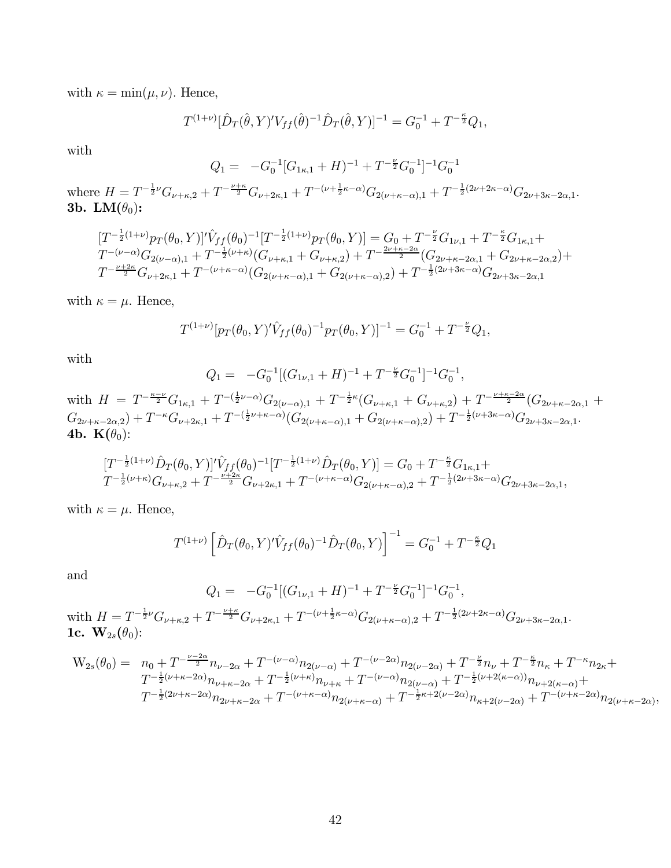with  $\kappa = \min(\mu, \nu)$ . Hence,

$$
T^{(1+\nu)}[\hat{D}_T(\hat{\theta}, Y)'V_{ff}(\hat{\theta})^{-1}\hat{D}_T(\hat{\theta}, Y)]^{-1} = G_0^{-1} + T^{-\frac{\kappa}{2}}Q_1,
$$

with

$$
Q_1 = -G_0^{-1} [G_{1\kappa,1} + H)^{-1} + T^{-\frac{\nu}{2}} G_0^{-1}]^{-1} G_0^{-1}
$$

where  $H = T^{-\frac{1}{2}\nu}G_{\nu+\kappa,2} + T^{-\frac{\nu+\kappa}{2}}G_{\nu+2\kappa,1} + T^{-(\nu+\frac{1}{2}\kappa-\alpha)}G_{2(\nu+\kappa-\alpha),1} + T^{-\frac{1}{2}(2\nu+2\kappa-\alpha)}G_{2\nu+3\kappa-2\alpha,1}.$ 3b. LM $(\theta_0)$ :

$$
\begin{aligned}\n[T^{-\frac{1}{2}(1+\nu)}p_T(\theta_0, Y)]' \hat{V}_{ff}(\theta_0)^{-1} [T^{-\frac{1}{2}(1+\nu)}p_T(\theta_0, Y)] &= G_0 + T^{-\frac{\nu}{2}} G_{1\nu,1} + T^{-\frac{\kappa}{2}} G_{1\kappa,1} + T^{-(\nu-\alpha)} G_{2(\nu-\alpha),1} + T^{-\frac{1}{2}(\nu+\kappa)} (G_{\nu+\kappa,1} + G_{\nu+\kappa,2}) + T^{-\frac{2\nu+\kappa-2\alpha}{2}} (G_{2\nu+\kappa-2\alpha,1} + G_{2\nu+\kappa-2\alpha,2}) + T^{-\frac{\nu+2\kappa}{2}} G_{\nu+2\kappa,1} + T^{-(\nu+\kappa-\alpha)} (G_{2(\nu+\kappa-\alpha),1} + G_{2(\nu+\kappa-\alpha),2}) + T^{-\frac{1}{2}(2\nu+3\kappa-\alpha)} G_{2\nu+3\kappa-2\alpha,1}\n\end{aligned}
$$

with  $\kappa = \mu$ . Hence,

$$
T^{(1+\nu)}[p_T(\theta_0, Y)' \hat{V}_{ff}(\theta_0)^{-1} p_T(\theta_0, Y)]^{-1} = G_0^{-1} + T^{-\frac{\nu}{2}} Q_1,
$$

with

$$
Q_1 = -G_0^{-1}[(G_{1\nu,1} + H)^{-1} + T^{-\frac{\nu}{2}}G_0^{-1}]^{-1}G_0^{-1},
$$

with  $H = T^{-\frac{\kappa-\nu}{2}}G_{1\kappa,1} + T^{-(\frac{1}{2}\nu-\alpha)}G_{2(\nu-\alpha),1} + T^{-\frac{1}{2}\kappa}(G_{\nu+\kappa,1} + G_{\nu+\kappa,2}) + T^{-\frac{\nu+\kappa-2\alpha}{2}}(G_{2\nu+\kappa-2\alpha,1} +$  $G_{2\nu+\kappa-2\alpha,2})+T^{-\kappa}G_{\nu+2\kappa,1}+T^{-(\frac{1}{2}\nu+\kappa-\alpha)}(G_{2(\nu+\kappa-\alpha),1}+G_{2(\nu+\kappa-\alpha),2})+T^{-\frac{1}{2}(\nu+3\kappa-\alpha)}G_{2\nu+3\kappa-2\alpha,1}.$ 4b.  $\mathbf{K}(\theta_0)$ :

$$
\begin{aligned}\n[T^{-\frac{1}{2}(1+\nu)}\hat{D}_T(\theta_0,Y)]'\hat{V}_{ff}(\theta_0)^{-1}[T^{-\frac{1}{2}(1+\nu)}\hat{D}_T(\theta_0,Y)] &= G_0 + T^{-\frac{\kappa}{2}}G_{1\kappa,1} + T^{-\frac{1}{2}(\nu+\kappa)}G_{\nu+\kappa,2} + T^{-\frac{\nu+2\kappa}{2}}G_{\nu+2\kappa,1} + T^{-(\nu+\kappa-\alpha)}G_{2(\nu+\kappa-\alpha),2} + T^{-\frac{1}{2}(2\nu+3\kappa-\alpha)}G_{2\nu+3\kappa-2\alpha,1},\n\end{aligned}
$$

with  $\kappa = \mu$ . Hence,

$$
T^{(1+\nu)}\left[\hat{D}_T(\theta_0,Y)'\hat{V}_{ff}(\theta_0)^{-1}\hat{D}_T(\theta_0,Y)\right]^{-1} = G_0^{-1} + T^{-\frac{\kappa}{2}}Q_1
$$

and

$$
Q_1 = -G_0^{-1}[(G_{1\nu,1} + H)^{-1} + T^{-\frac{\nu}{2}}G_0^{-1}]^{-1}G_0^{-1},
$$

 $\text{with } H = T^{-\frac{1}{2}\nu}G_{\nu+\kappa,2} + T^{-\frac{\nu+\kappa}{2}}G_{\nu+2\kappa,1} + T^{-(\nu+\frac{1}{2}\kappa-\alpha)}G_{2(\nu+\kappa-\alpha),2} + T^{-\frac{1}{2}(2\nu+2\kappa-\alpha)}G_{2\nu+3\kappa-2\alpha,1}.$ 1c.  ${\bf W}_{2s}(\theta_0)$ :

$$
W_{2s}(\theta_0) = n_0 + T^{-\frac{\nu - 2\alpha}{2}} n_{\nu - 2\alpha} + T^{-(\nu - \alpha)} n_{2(\nu - \alpha)} + T^{-(\nu - 2\alpha)} n_{2(\nu - 2\alpha)} + T^{-\frac{\nu}{2}} n_{\nu} + T^{-\frac{\kappa}{2}} n_{\kappa} + T^{-\kappa} n_{2\kappa} + T^{-\frac{\kappa}{2}} n_{\kappa} + T^{-\frac{\kappa}{2}} n_{2\kappa} + T^{-\frac{1}{2}(\nu + \kappa - 2\alpha)} n_{\nu + \kappa - 2\alpha} + T^{-\frac{1}{2}(\nu + \kappa)} n_{\nu + \kappa} + T^{-(\nu - \alpha)} n_{2(\nu - \alpha)} + T^{-\frac{1}{2}(\nu + 2(\kappa - \alpha))} n_{\nu + 2(\kappa - \alpha)} + T^{-\frac{1}{2}(2\nu + \kappa - 2\alpha)} n_{2\nu + \kappa - 2\alpha} + T^{-(\nu + \kappa - \alpha)} n_{2(\nu + \kappa - \alpha)} + T^{-\frac{1}{2}\kappa + 2(\nu - 2\alpha)} n_{\kappa + 2(\nu - 2\alpha)} + T^{-(\nu + \kappa - 2\alpha)} n_{2(\nu + \kappa - 2\alpha)},
$$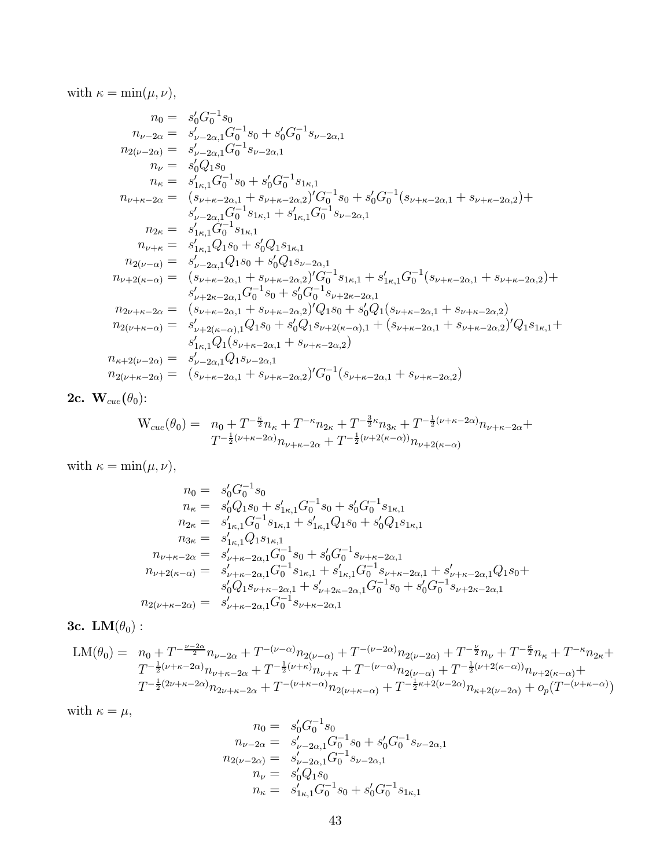with  $\kappa = \min(\mu, \nu)$ ,

$$
n_{0} = s'_{0}G_{0}^{-1}s_{0}
$$
  
\n
$$
n_{\nu-2\alpha} = s'_{\nu-2\alpha,1}G_{0}^{-1}s_{0} + s'_{0}G_{0}^{-1}s_{\nu-2\alpha,1}
$$
  
\n
$$
n_{2(\nu-2\alpha)} = s'_{\nu-2\alpha,1}G_{0}^{-1}s_{\nu-2\alpha,1}
$$
  
\n
$$
n_{\nu} = s'_{0}Q_{1}s_{0}
$$
  
\n
$$
n_{\kappa} = s'_{1\kappa,1}G_{0}^{-1}s_{0} + s'_{0}G_{0}^{-1}s_{1\kappa,1}
$$
  
\n
$$
n_{\nu+\kappa-2\alpha} = (s_{\nu+\kappa-2\alpha,1} + s_{\nu+\kappa-2\alpha,2})'G_{0}^{-1}s_{0} + s'_{0}G_{0}^{-1}(s_{\nu+\kappa-2\alpha,1} + s_{\nu+\kappa-2\alpha,2}) + s'_{\nu-2\alpha,1}G_{0}^{-1}s_{1\kappa,1} + s'_{1\kappa,1}G_{0}^{-1}s_{\nu-2\alpha,1}
$$
  
\n
$$
n_{2\kappa} = s'_{1\kappa,1}G_{0}^{-1}s_{1\kappa,1}
$$
  
\n
$$
n_{\nu+\kappa} = s'_{1\kappa,1}Q_{1}s_{0} + s'_{0}Q_{1}s_{1\kappa,1}
$$
  
\n
$$
n_{2(\nu-\alpha)} = s'_{\nu-2\alpha,1}Q_{1}s_{0} + s'_{0}Q_{1}s_{\nu-2\alpha,1}
$$
  
\n
$$
n_{\nu+2(\kappa-\alpha)} = (s_{\nu+\kappa-2\alpha,1} + s_{\nu+\kappa-2\alpha,2})'G_{0}^{-1}s_{1\kappa,1} + s'_{1\kappa,1}G_{0}^{-1}(s_{\nu+\kappa-2\alpha,1} + s_{\nu+\kappa-2\alpha,2}) + s'_{\nu+2\kappa-2\alpha,1}G_{0}^{-1}s_{0} + s'_{0}G_{0}^{-1}s_{1\kappa,1} + s'_{1\kappa,1}G_{0}^{-1}(s_{\nu+\kappa-2\alpha,1} + s_{\nu+\kappa-2\alpha,2})
$$

2c.  $\mathbf{W}_{cue}(\theta_0)$ :

$$
W_{cue}(\theta_0) = n_0 + T^{-\frac{\kappa}{2}} n_{\kappa} + T^{-\kappa} n_{2\kappa} + T^{-\frac{3}{2}\kappa} n_{3\kappa} + T^{-\frac{1}{2}(\nu + \kappa - 2\alpha)} n_{\nu + \kappa - 2\alpha} + T^{-\frac{1}{2}(\nu + \kappa - 2\alpha)} n_{\nu + \kappa - 2\alpha} + T^{-\frac{1}{2}(\nu + 2(\kappa - \alpha))} n_{\nu + 2(\kappa - \alpha)}
$$

with  $\kappa = \min(\mu, \nu)$ ,

$$
n_0 = s'_0 G_0^{-1} s_0
$$
  
\n
$$
n_{\kappa} = s'_0 Q_1 s_0 + s'_{1\kappa,1} G_0^{-1} s_0 + s'_0 G_0^{-1} s_{1\kappa,1}
$$
  
\n
$$
n_{2\kappa} = s'_{1\kappa,1} G_0^{-1} s_{1\kappa,1} + s'_{1\kappa,1} Q_1 s_0 + s'_0 Q_1 s_{1\kappa,1}
$$
  
\n
$$
n_{3\kappa} = s'_{1\kappa,1} Q_1 s_{1\kappa,1}
$$
  
\n
$$
n_{\nu+\kappa-2\alpha} = s'_{\nu+\kappa-2\alpha,1} G_0^{-1} s_0 + s'_0 G_0^{-1} s_{\nu+\kappa-2\alpha,1}
$$
  
\n
$$
n_{\nu+2(\kappa-\alpha)} = s'_{\nu+\kappa-2\alpha,1} G_0^{-1} s_{1\kappa,1} + s'_{1\kappa,1} G_0^{-1} s_{\nu+\kappa-2\alpha,1} + s'_{\nu+\kappa-2\alpha,1} Q_1 s_0 + s'_0 Q_1 s_{\nu+\kappa-2\alpha,1} + s'_{\nu+2\kappa-2\alpha,1} G_0^{-1} s_0 + s'_0 G_0^{-1} s_{\nu+2\kappa-2\alpha,1}
$$
  
\n
$$
n_{2(\nu+\kappa-2\alpha)} = s'_{\nu+\kappa-2\alpha,1} G_0^{-1} s_{\nu+\kappa-2\alpha,1}
$$

# 3c.  $LM(\theta_0)$  :

$$
\begin{split} \text{LM}(\theta_0) &= \quad n_0 + T^{-\frac{\nu - 2\alpha}{2}} n_{\nu - 2\alpha} + T^{-(\nu - \alpha)} n_{2(\nu - \alpha)} + T^{-(\nu - 2\alpha)} n_{2(\nu - 2\alpha)} + T^{-\frac{\nu}{2}} n_{\nu} + T^{-\frac{\kappa}{2}} n_{\kappa} + T^{-\kappa} n_{2\kappa} + \\ &T^{-\frac{1}{2}(\nu + \kappa - 2\alpha)} n_{\nu + \kappa - 2\alpha} + T^{-\frac{1}{2}(\nu + \kappa)} n_{\nu + \kappa} + T^{-(\nu - \alpha)} n_{2(\nu - \alpha)} + T^{-\frac{1}{2}(\nu + 2(\kappa - \alpha))} n_{\nu + 2(\kappa - \alpha)} + \\ &T^{-\frac{1}{2}(2\nu + \kappa - 2\alpha)} n_{2\nu + \kappa - 2\alpha} + T^{-(\nu + \kappa - \alpha)} n_{2(\nu + \kappa - \alpha)} + T^{-\frac{1}{2}\kappa + 2(\nu - 2\alpha)} n_{\kappa + 2(\nu - 2\alpha)} + o_p(T^{-(\nu + \kappa - \alpha)}) \end{split}
$$

with 
$$
\kappa = \mu
$$
,  
\n
$$
n_0 = s'_0 G_0^{-1} s_0
$$
\n
$$
n_{\nu-2\alpha} = s'_{\nu-2\alpha,1} G_0^{-1} s_0 + s'_0 G_0^{-1} s_{\nu-2\alpha,1}
$$
\n
$$
n_{2(\nu-2\alpha)} = s'_{\nu-2\alpha,1} G_0^{-1} s_{\nu-2\alpha,1}
$$
\n
$$
n_{\nu} = s'_0 Q_1 s_0
$$
\n
$$
n_{\kappa} = s'_{1\kappa,1} G_0^{-1} s_0 + s'_0 G_0^{-1} s_{1\kappa,1}
$$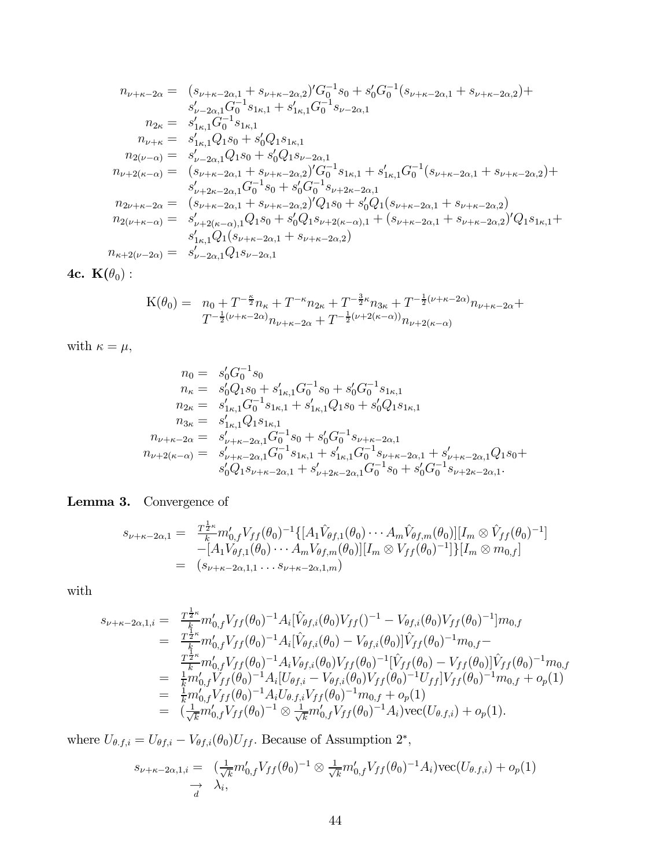$$
n_{\nu+\kappa-2\alpha} = (s_{\nu+\kappa-2\alpha,1} + s_{\nu+\kappa-2\alpha,2})'G_0^{-1}s_0 + s'_0G_0^{-1}(s_{\nu+\kappa-2\alpha,1} + s_{\nu+\kappa-2\alpha,2}) +s'_{\nu-2\alpha,1}G_0^{-1}s_{1\kappa,1} + s'_{1\kappa,1}G_0^{-1}s_{\nu-2\alpha,1} n_{2\kappa} = s'_{1\kappa,1}G_0^{-1}s_{1\kappa,1} n_{\nu+\kappa} = s'_{1\kappa,1}Q_1s_0 + s'_0Q_1s_{1\kappa,1} n_{2(\nu-\alpha)} = s'_{\nu-2\alpha,1}Q_1s_0 + s'_0Q_1s_{\nu-2\alpha,1} n_{\nu+2(\kappa-\alpha)} = (s_{\nu+\kappa-2\alpha,1} + s_{\nu+\kappa-2\alpha,2})'G_0^{-1}s_{1\kappa,1} + s'_{1\kappa,1}G_0^{-1}(s_{\nu+\kappa-2\alpha,1} + s_{\nu+\kappa-2\alpha,2}) +s'_{\nu+2\kappa-2\alpha,1}G_0^{-1}s_0 + s'_0G_0^{-1}s_{\nu+2\kappa-2\alpha,1} n_{2\nu+\kappa-2\alpha} = (s_{\nu+\kappa-2\alpha,1} + s_{\nu+\kappa-2\alpha,2})'Q_1s_0 + s'_0Q_1(s_{\nu+\kappa-2\alpha,1} + s_{\nu+\kappa-2\alpha,2}) n_{2(\nu+\kappa-\alpha)} = s'_{\nu+2(\kappa-\alpha),1}Q_1s_0 + s'_0Q_1s_{\nu+2(\kappa-\alpha),1} + (s_{\nu+\kappa-2\alpha,1} + s_{\nu+\kappa-2\alpha,2})'Q_1s_{1\kappa,1} +s'_{1\kappa,1}Q_1(s_{\nu+\kappa-2\alpha,1} + s_{\nu+\kappa-2\alpha,2})
$$
  
\n
$$
n_{\kappa+2(\nu-2\alpha)} = s'_{\nu-2\alpha,1}Q_1s_{\nu-2\alpha,1}
$$

4c.  $\mathbf{K}(\theta_0)$  :

$$
K(\theta_0) = n_0 + T^{-\frac{\kappa}{2}} n_{\kappa} + T^{-\kappa} n_{2\kappa} + T^{-\frac{3}{2}\kappa} n_{3\kappa} + T^{-\frac{1}{2}(\nu + \kappa - 2\alpha)} n_{\nu + \kappa - 2\alpha} + T^{-\frac{1}{2}(\nu + \kappa - 2\alpha)} n_{\nu + \kappa - 2\alpha} + T^{-\frac{1}{2}(\nu + 2(\kappa - \alpha))} n_{\nu + 2(\kappa - \alpha)}
$$

with  $\kappa = \mu$ ,

$$
n_0 = s'_0 G_0^{-1} s_0
$$
  
\n
$$
n_{\kappa} = s'_0 Q_1 s_0 + s'_{1\kappa,1} G_0^{-1} s_0 + s'_0 G_0^{-1} s_{1\kappa,1}
$$
  
\n
$$
n_{2\kappa} = s'_{1\kappa,1} G_0^{-1} s_{1\kappa,1} + s'_{1\kappa,1} Q_1 s_0 + s'_0 Q_1 s_{1\kappa,1}
$$
  
\n
$$
n_{3\kappa} = s'_{1\kappa,1} Q_1 s_{1\kappa,1}
$$
  
\n
$$
n_{\nu+\kappa-2\alpha} = s'_{\nu+\kappa-2\alpha,1} G_0^{-1} s_0 + s'_0 G_0^{-1} s_{\nu+\kappa-2\alpha,1}
$$
  
\n
$$
n_{\nu+2(\kappa-\alpha)} = s'_{\nu+\kappa-2\alpha,1} G_0^{-1} s_{1\kappa,1} + s'_{1\kappa,1} G_0^{-1} s_{\nu+\kappa-2\alpha,1} + s'_{\nu+\kappa-2\alpha,1} Q_1 s_0 + s'_0 Q_1 s_{\nu+\kappa-2\alpha,1} + s'_{\nu+2\kappa-2\alpha,1}.
$$

# Lemma 3. Convergence of

$$
s_{\nu+\kappa-2\alpha,1} = \frac{T^{\frac{1}{2}\kappa}_{k}m'_{0,f}V_{ff}(\theta_{0})^{-1}\{[A_{1}\hat{V}_{\theta f,1}(\theta_{0})\cdots A_{m}\hat{V}_{\theta f,m}(\theta_{0})][I_{m}\otimes \hat{V}_{ff}(\theta_{0})^{-1}]}{-[A_{1}V_{\theta f,1}(\theta_{0})\cdots A_{m}V_{\theta f,m}(\theta_{0})][I_{m}\otimes V_{ff}(\theta_{0})^{-1}]\}[I_{m}\otimes m_{0,f}]}
$$
  
=  $(s_{\nu+\kappa-2\alpha,1,1}\cdots s_{\nu+\kappa-2\alpha,1,m})$ 

with

$$
s_{\nu+\kappa-2\alpha,1,i} = \frac{T^{\frac{1}{2}\kappa}_{k}}{K} m'_{0,f} V_{ff}(\theta_{0})^{-1} A_{i} [\hat{V}_{\theta f,i}(\theta_{0}) V_{ff}()^{-1} - V_{\theta f,i}(\theta_{0}) V_{ff}(\theta_{0})^{-1}] m_{0,f}
$$
  
\n
$$
= \frac{T^{\frac{1}{2}\kappa}_{k}}{K} m'_{0,f} V_{ff}(\theta_{0})^{-1} A_{i} [\hat{V}_{\theta f,i}(\theta_{0}) - V_{\theta f,i}(\theta_{0})] \hat{V}_{ff}(\theta_{0})^{-1} m_{0,f} -
$$
  
\n
$$
= \frac{T^{\frac{1}{2}\kappa}_{k}}{K} m'_{0,f} V_{ff}(\theta_{0})^{-1} A_{i} V_{\theta f,i}(\theta_{0}) V_{ff}(\theta_{0})^{-1} [\hat{V}_{ff}(\theta_{0}) - V_{ff}(\theta_{0})] \hat{V}_{ff}(\theta_{0})^{-1} m_{0,f}
$$
  
\n
$$
= \frac{1}{K} m'_{0,f} V_{ff}(\theta_{0})^{-1} A_{i} [U_{\theta f,i} - V_{\theta f,i}(\theta_{0}) V_{ff}(\theta_{0})^{-1} U_{ff}] V_{ff}(\theta_{0})^{-1} m_{0,f} + o_{p}(1)
$$
  
\n
$$
= \frac{1}{K} m'_{0,f} V_{ff}(\theta_{0})^{-1} A_{i} U_{\theta f,i} V_{ff}(\theta_{0})^{-1} m_{0,f} + o_{p}(1)
$$
  
\n
$$
= (\frac{1}{\sqrt{k}} m'_{0,f} V_{ff}(\theta_{0})^{-1} \otimes \frac{1}{\sqrt{k}} m'_{0,f} V_{ff}(\theta_{0})^{-1} A_{i}) \text{vec}(U_{\theta f,i}) + o_{p}(1).
$$

where  $U_{\theta.f,i} = U_{\theta f,i} - V_{\theta f,i}(\theta_0)U_{ff}$ . Because of Assumption 2<sup>\*</sup>,

$$
s_{\nu+\kappa-2\alpha,1,i} = \left(\frac{1}{\sqrt{k}}m'_{0,f}V_{ff}(\theta_0)^{-1}\otimes\frac{1}{\sqrt{k}}m'_{0,f}V_{ff}(\theta_0)^{-1}A_i\right)\text{vec}(U_{\theta,f,i})+o_p(1)
$$
  
\n
$$
\rightarrow \lambda_i,
$$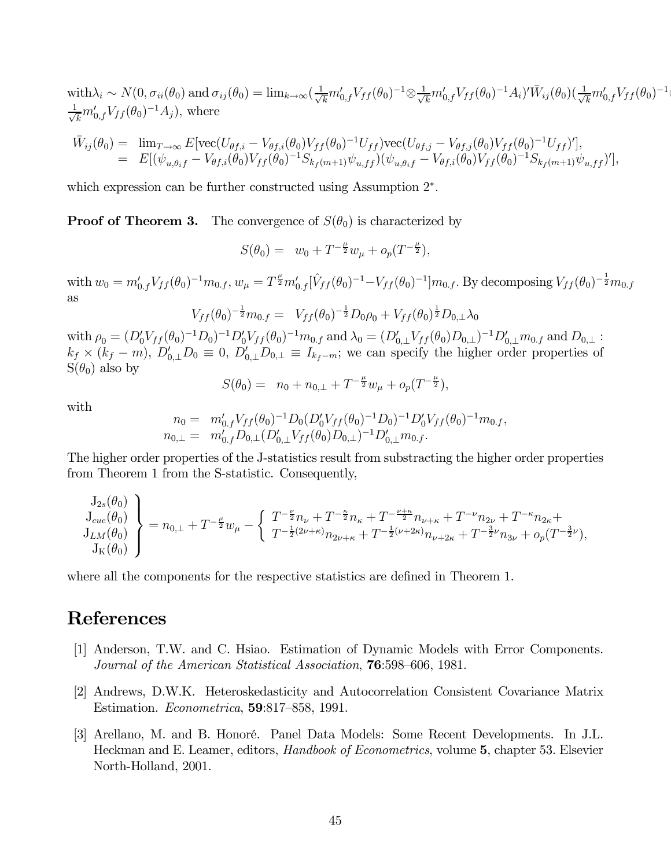$\text{with} \lambda_i \sim N(0, \sigma_{ii}(\theta_0) \text{ and } \sigma_{ij}(\theta_0) = \text{lim}_{k\to\infty} (\frac{1}{\sqrt{k}} m_{0,f}' V_{ff}(\theta_0)^{-1} \otimes \frac{1}{\sqrt{k}} m_{0,f}' V_{ff}(\theta_0)^{-1} A_i)' \overline{W}_{ij}(\theta_0) (\frac{1}{\sqrt{k}} m_{0,f}' V_{ff}(\theta_0)^{-1} \otimes \frac{1}{\sqrt{k}} m_{0,f}' V_{ff}(\theta_0)^{-1} \otimes \frac{1}{\sqrt{k}} m_{0,f}' V_{ff}(\theta_0)^{-1} \otimes \frac{1}{\sqrt{k}} m$  $\frac{1}{\sqrt{k}}m'_{0,f}V_{ff}(\theta_0)^{-1}A_j),$  where

$$
\begin{array}{rcl}\n\bar{W}_{ij}(\theta_{0}) & = & \lim_{T \to \infty} E[\text{vec}(U_{\theta f,i} - V_{\theta f,i}(\theta_{0})V_{ff}(\theta_{0})^{-1}U_{ff})\text{vec}(U_{\theta f,j} - V_{\theta f,j}(\theta_{0})V_{ff}(\theta_{0})^{-1}U_{ff})'], \\
& = & E[(\psi_{u,\theta_{i}f} - V_{\theta f,i}(\theta_{0})V_{ff}(\theta_{0})^{-1}S_{k_{f}(m+1)}\psi_{u,ff})(\psi_{u,\theta_{i}f} - V_{\theta f,i}(\theta_{0})V_{ff}(\theta_{0})^{-1}S_{k_{f}(m+1)}\psi_{u,ff})'],\n\end{array}
$$

which expression can be further constructed using Assumption 2∗.

**Proof of Theorem 3.** The convergence of  $S(\theta_0)$  is characterized by

$$
S(\theta_0) = w_0 + T^{-\frac{\mu}{2}} w_{\mu} + o_p(T^{-\frac{\mu}{2}}),
$$

with  $w_0 = m'_{0,f} V_{ff}(\theta_0)^{-1} m_{0,f}$ ,  $w_\mu = T^{\frac{\mu}{2}} m'_{0,f} [\hat{V}_{ff}(\theta_0)^{-1} - V_{ff}(\theta_0)^{-1}] m_{0,f}$ . By decomposing  $V_{ff}(\theta_0)^{-\frac{1}{2}} m_{0,f}$ as

$$
V_{ff}(\theta_0)^{-\frac{1}{2}}m_{0,f} = V_{ff}(\theta_0)^{-\frac{1}{2}}D_0\rho_0 + V_{ff}(\theta_0)^{\frac{1}{2}}D_{0,\perp}\lambda_0
$$

 $\text{with } \rho_0 = (D_0^{\prime} V_{ff}(\theta_0)^{-1} D_0)^{-1} D_0^{\prime} V_{ff}(\theta_0)^{-1} m_{0,f} \text{ and } \lambda_0 = (D_{0,\perp}^{\prime} V_{ff}(\theta_0) D_{0,\perp})^{-1} D_{0,\perp}^{\prime} m_{0,f} \text{ and } D_{0,\perp}$  $k_f \times (k_f - m)$ ,  $D'_{0,\perp}D_0 \equiv 0$ ,  $D'_{0,\perp}D_{0,\perp} \equiv I_{k_f - m}$ ; we can specify the higher order properties of  $S(\theta_0)$  also by

$$
S(\theta_0) = n_0 + n_{0,\perp} + T^{-\frac{\mu}{2}} w_{\mu} + o_p(T^{-\frac{\mu}{2}}),
$$

with

$$
n_0 = m'_{0,f} V_{ff}(\theta_0)^{-1} D_0 (D'_0 V_{ff}(\theta_0)^{-1} D_0)^{-1} D'_0 V_{ff}(\theta_0)^{-1} m_{0,f},
$$
  
\n
$$
n_{0,\perp} = m'_{0,f} D_{0,\perp} (D'_{0,\perp} V_{ff}(\theta_0) D_{0,\perp})^{-1} D'_{0,\perp} m_{0,f}.
$$

The higher order properties of the J-statistics result from substracting the higher order properties from Theorem 1 from the S-statistic. Consequently,

$$
\begin{array}{l} \left. \begin{array}{l} J_{2s}(\theta_0) \\ J_{c u e}(\theta_0) \\ J_{L M}(\theta_0) \\ J_K(\theta_0) \end{array} \right\} = n_{0,\perp} + T^{-\frac{\mu}{2}} w_\mu - \left\{ \begin{array}{l} T^{-\frac{\nu}{2}} n_\nu + T^{-\frac{\kappa}{2}} n_\kappa + T^{-\frac{\nu+\kappa}{2}} n_{\nu+\kappa} + T^{-\nu} n_{2\nu} + T^{-\kappa} n_{2\kappa} + \\ T^{-\frac{1}{2}(2\nu+\kappa)} n_{2\nu+\kappa} + T^{-\frac{1}{2}(\nu+2\kappa)} n_{\nu+2\kappa} + T^{-\frac{3}{2}\nu} n_{3\nu} + o_p(T^{-\frac{3}{2}\nu}), \end{array} \right. \end{array}
$$

where all the components for the respective statistics are defined in Theorem 1.

# References

- [1] Anderson, T.W. and C. Hsiao. Estimation of Dynamic Models with Error Components. Journal of the American Statistical Association, 76:598—606, 1981.
- [2] Andrews, D.W.K. Heteroskedasticity and Autocorrelation Consistent Covariance Matrix Estimation. Econometrica, 59:817—858, 1991.
- [3] Arellano, M. and B. Honoré. Panel Data Models: Some Recent Developments. In J.L. Heckman and E. Leamer, editors, Handbook of Econometrics, volume 5, chapter 53. Elsevier North-Holland, 2001.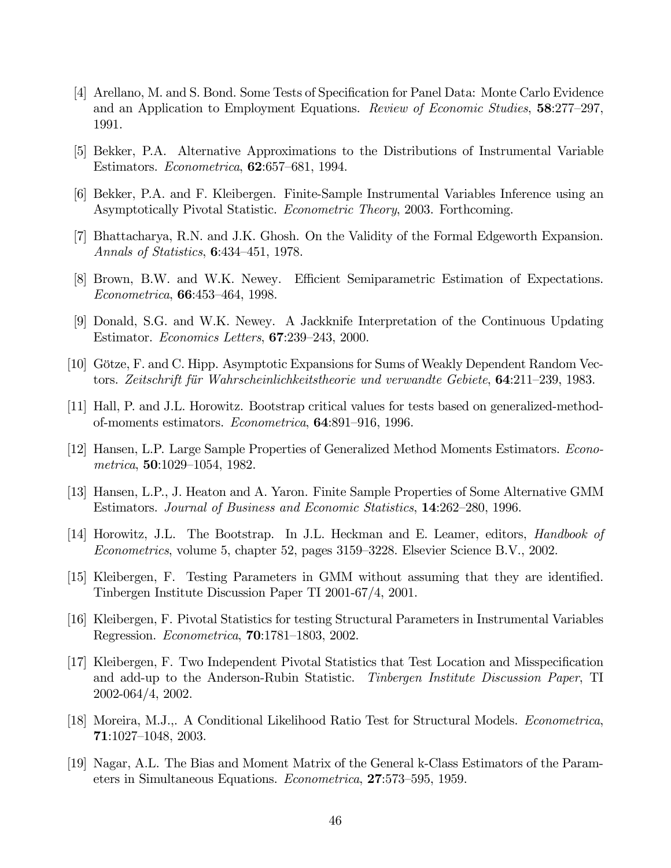- [4] Arellano, M. and S. Bond. Some Tests of Specification for Panel Data: Monte Carlo Evidence and an Application to Employment Equations. Review of Economic Studies, 58:277—297, 1991.
- [5] Bekker, P.A. Alternative Approximations to the Distributions of Instrumental Variable Estimators. Econometrica, 62:657—681, 1994.
- [6] Bekker, P.A. and F. Kleibergen. Finite-Sample Instrumental Variables Inference using an Asymptotically Pivotal Statistic. Econometric Theory, 2003. Forthcoming.
- [7] Bhattacharya, R.N. and J.K. Ghosh. On the Validity of the Formal Edgeworth Expansion. Annals of Statistics, 6:434—451, 1978.
- [8] Brown, B.W. and W.K. Newey. Efficient Semiparametric Estimation of Expectations. Econometrica, 66:453—464, 1998.
- [9] Donald, S.G. and W.K. Newey. A Jackknife Interpretation of the Continuous Updating Estimator. Economics Letters, 67:239—243, 2000.
- [10] Götze, F. and C. Hipp. Asymptotic Expansions for Sums of Weakly Dependent Random Vectors. Zeitschrift für Wahrscheinlichkeitstheorie und verwandte Gebiete, 64:211—239, 1983.
- [11] Hall, P. and J.L. Horowitz. Bootstrap critical values for tests based on generalized-methodof-moments estimators. Econometrica, 64:891—916, 1996.
- [12] Hansen, L.P. Large Sample Properties of Generalized Method Moments Estimators. Econometrica, 50:1029—1054, 1982.
- [13] Hansen, L.P., J. Heaton and A. Yaron. Finite Sample Properties of Some Alternative GMM Estimators. Journal of Business and Economic Statistics, 14:262—280, 1996.
- [14] Horowitz, J.L. The Bootstrap. In J.L. Heckman and E. Leamer, editors, Handbook of Econometrics, volume 5, chapter 52, pages 3159—3228. Elsevier Science B.V., 2002.
- [15] Kleibergen, F. Testing Parameters in GMM without assuming that they are identified. Tinbergen Institute Discussion Paper TI 2001-67/4, 2001.
- [16] Kleibergen, F. Pivotal Statistics for testing Structural Parameters in Instrumental Variables Regression. Econometrica, 70:1781—1803, 2002.
- [17] Kleibergen, F. Two Independent Pivotal Statistics that Test Location and Misspecification and add-up to the Anderson-Rubin Statistic. Tinbergen Institute Discussion Paper, TI 2002-064/4, 2002.
- [18] Moreira, M.J.,. A Conditional Likelihood Ratio Test for Structural Models. Econometrica, 71:1027—1048, 2003.
- [19] Nagar, A.L. The Bias and Moment Matrix of the General k-Class Estimators of the Parameters in Simultaneous Equations. Econometrica, 27:573—595, 1959.